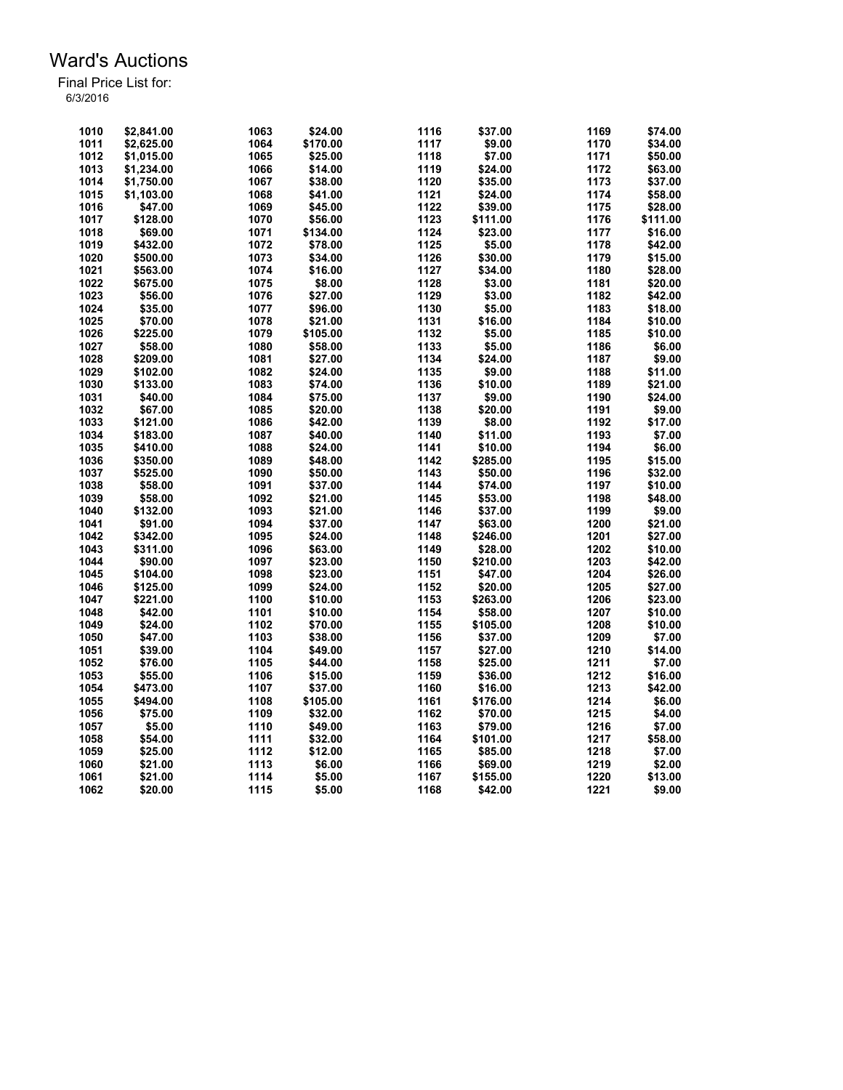| 1010 | \$2.841.00 | 1063         | \$24.00  | 1116 | \$37.00  | 1169 | \$74.00  |
|------|------------|--------------|----------|------|----------|------|----------|
|      |            |              |          |      |          |      |          |
| 1011 | \$2,625.00 | 1064         | \$170.00 | 1117 | \$9.00   | 1170 | \$34.00  |
| 1012 | \$1,015.00 | 1065         | \$25.00  | 1118 | \$7.00   | 1171 | \$50.00  |
| 1013 | \$1.234.00 | 1066         | \$14.00  | 1119 | \$24.00  | 1172 | \$63.00  |
| 1014 | \$1,750.00 | 1067         | \$38.00  | 1120 | \$35.00  | 1173 | \$37.00  |
| 1015 | \$1,103.00 | 1068         | \$41.00  | 1121 | \$24.00  | 1174 | \$58.00  |
| 1016 | \$47.00    | 1069         | \$45.00  | 1122 | \$39.00  | 1175 | \$28.00  |
| 1017 | \$128.00   | 1070         | \$56.00  | 1123 | \$111.00 | 1176 | \$111.00 |
| 1018 | \$69.00    | 1071         | \$134.00 | 1124 | \$23.00  | 1177 | \$16.00  |
| 1019 | \$432.00   | 1072         | \$78.00  | 1125 | \$5.00   | 1178 | \$42.00  |
| 1020 | \$500.00   | 1073         | \$34.00  | 1126 | \$30.00  | 1179 | \$15.00  |
| 1021 | \$563.00   | 1074         | \$16.00  | 1127 | \$34.00  | 1180 | \$28.00  |
| 1022 | \$675.00   | 1075         | \$8.00   | 1128 | \$3.00   | 1181 | \$20.00  |
| 1023 | \$56.00    | 1076         | \$27.00  | 1129 | \$3.00   | 1182 | \$42.00  |
| 1024 | \$35.00    | 1077         | \$96.00  | 1130 | \$5.00   | 1183 | \$18.00  |
| 1025 | \$70.00    | 1078         | \$21.00  | 1131 | \$16.00  | 1184 | \$10.00  |
| 1026 | \$225.00   | 1079         | \$105.00 | 1132 | \$5.00   | 1185 | \$10.00  |
| 1027 | \$58.00    | 1080         | \$58.00  | 1133 | \$5.00   | 1186 | \$6.00   |
| 1028 | \$209.00   | 1081         | \$27.00  | 1134 | \$24.00  | 1187 | \$9.00   |
| 1029 | \$102.00   | 1082         | \$24.00  | 1135 | \$9.00   | 1188 | \$11.00  |
| 1030 | \$133.00   | 1083         | \$74.00  | 1136 | \$10.00  | 1189 | \$21.00  |
| 1031 | \$40.00    | 1084         | \$75.00  | 1137 | \$9.00   | 1190 | \$24.00  |
| 1032 | \$67.00    | 1085         | \$20.00  | 1138 | \$20.00  | 1191 | \$9.00   |
| 1033 | \$121.00   | 1086         | \$42.00  | 1139 | \$8.00   | 1192 | \$17.00  |
| 1034 |            |              |          | 1140 |          | 1193 | \$7.00   |
|      | \$183.00   | 1087<br>1088 | \$40.00  | 1141 | \$11.00  | 1194 |          |
| 1035 | \$410.00   |              | \$24.00  |      | \$10.00  |      | \$6.00   |
| 1036 | \$350.00   | 1089         | \$48.00  | 1142 | \$285.00 | 1195 | \$15.00  |
| 1037 | \$525.00   | 1090         | \$50.00  | 1143 | \$50.00  | 1196 | \$32.00  |
| 1038 | \$58.00    | 1091         | \$37.00  | 1144 | \$74.00  | 1197 | \$10.00  |
| 1039 | \$58.00    | 1092         | \$21.00  | 1145 | \$53.00  | 1198 | \$48.00  |
| 1040 | \$132.00   | 1093         | \$21.00  | 1146 | \$37.00  | 1199 | \$9.00   |
| 1041 | \$91.00    | 1094         | \$37.00  | 1147 | \$63.00  | 1200 | \$21.00  |
| 1042 | \$342.00   | 1095         | \$24.00  | 1148 | \$246.00 | 1201 | \$27.00  |
| 1043 | \$311.00   | 1096         | \$63.00  | 1149 | \$28.00  | 1202 | \$10.00  |
| 1044 | \$90.00    | 1097         | \$23.00  | 1150 | \$210.00 | 1203 | \$42.00  |
| 1045 | \$104.00   | 1098         | \$23.00  | 1151 | \$47.00  | 1204 | \$26.00  |
| 1046 | \$125.00   | 1099         | \$24.00  | 1152 | \$20.00  | 1205 | \$27.00  |
| 1047 | \$221.00   | 1100         | \$10.00  | 1153 | \$263.00 | 1206 | \$23.00  |
| 1048 | \$42.00    | 1101         | \$10.00  | 1154 | \$58.00  | 1207 | \$10.00  |
| 1049 | \$24.00    | 1102         | \$70.00  | 1155 | \$105.00 | 1208 | \$10.00  |
| 1050 | \$47.00    | 1103         | \$38.00  | 1156 | \$37.00  | 1209 | \$7.00   |
| 1051 | \$39.00    | 1104         | \$49.00  | 1157 | \$27.00  | 1210 | \$14.00  |
| 1052 | \$76.00    | 1105         | \$44.00  | 1158 | \$25.00  | 1211 | \$7.00   |
| 1053 | \$55.00    | 1106         | \$15.00  | 1159 | \$36.00  | 1212 | \$16.00  |
| 1054 | \$473.00   | 1107         | \$37.00  | 1160 | \$16.00  | 1213 | \$42.00  |
| 1055 | \$494.00   | 1108         | \$105.00 | 1161 | \$176.00 | 1214 | \$6.00   |
| 1056 | \$75.00    | 1109         | \$32.00  | 1162 | \$70.00  | 1215 | \$4.00   |
| 1057 | \$5.00     | 1110         | \$49.00  | 1163 | \$79.00  | 1216 | \$7.00   |
| 1058 | \$54.00    | 1111         | \$32.00  | 1164 | \$101.00 | 1217 | \$58.00  |
| 1059 | \$25.00    | 1112         | \$12.00  | 1165 | \$85.00  | 1218 | \$7.00   |
| 1060 | \$21.00    | 1113         | \$6.00   | 1166 | \$69.00  | 1219 | \$2.00   |
| 1061 | \$21.00    | 1114         | \$5.00   | 1167 | \$155.00 | 1220 | \$13.00  |
| 1062 | \$20.00    | 1115         | \$5.00   | 1168 | \$42.00  | 1221 | \$9.00   |
|      |            |              |          |      |          |      |          |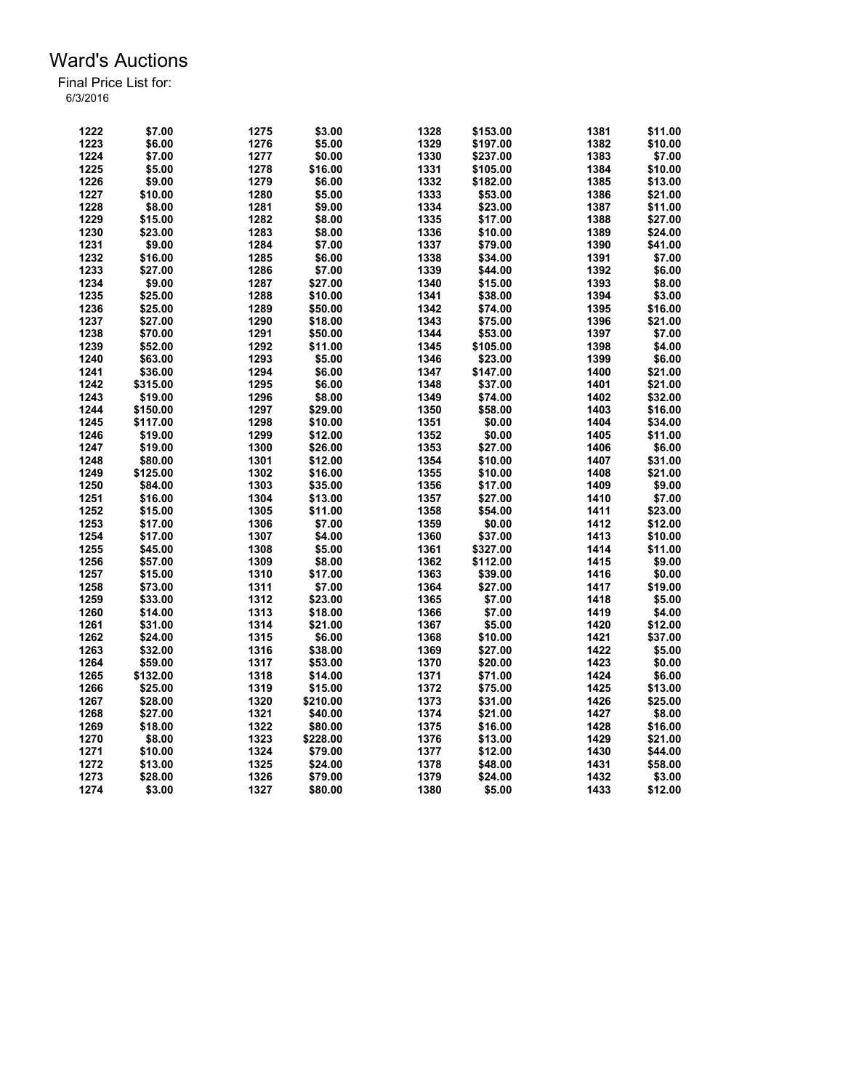| 1222 | \$7.00   | 1275 | \$3.00   | 1328 | \$153.00 | 1381 | \$11.00 |
|------|----------|------|----------|------|----------|------|---------|
| 1223 | \$6.00   | 1276 | \$5.00   | 1329 | \$197.00 | 1382 | \$10.00 |
| 1224 | \$7.00   | 1277 | \$0.00   | 1330 | \$237.00 | 1383 | \$7.00  |
| 1225 | \$5.00   | 1278 | \$16.00  | 1331 | \$105.00 | 1384 | \$10.00 |
| 1226 | \$9.00   | 1279 | \$6.00   | 1332 | \$182.00 | 1385 | \$13.00 |
| 1227 | \$10.00  | 1280 | \$5.00   | 1333 | \$53.00  | 1386 | \$21.00 |
| 1228 | \$8.00   | 1281 | \$9.00   | 1334 | \$23.00  | 1387 | \$11.00 |
| 1229 | \$15.00  | 1282 | \$8.00   | 1335 | \$17.00  | 1388 | \$27.00 |
| 1230 | \$23.00  | 1283 | \$8.00   | 1336 | \$10.00  | 1389 | \$24.00 |
| 1231 | \$9.00   | 1284 | \$7.00   | 1337 | \$79.00  | 1390 | \$41.00 |
| 1232 | \$16.00  | 1285 | \$6.00   | 1338 | \$34.00  | 1391 | \$7.00  |
| 1233 | \$27.00  | 1286 | \$7.00   | 1339 | \$44.00  | 1392 | \$6.00  |
| 1234 | \$9.00   | 1287 | \$27.00  | 1340 | \$15.00  | 1393 | \$8.00  |
| 1235 | \$25.00  | 1288 | \$10.00  | 1341 | \$38.00  | 1394 | \$3.00  |
| 1236 | \$25.00  | 1289 | \$50.00  | 1342 | \$74.00  | 1395 | \$16.00 |
| 1237 | \$27.00  | 1290 | \$18.00  | 1343 | \$75.00  | 1396 | \$21.00 |
| 1238 | \$70.00  | 1291 | \$50.00  | 1344 | \$53.00  | 1397 | \$7.00  |
| 1239 | \$52.00  | 1292 | \$11.00  | 1345 | \$105.00 | 1398 | \$4.00  |
| 1240 | \$63.00  | 1293 | \$5.00   | 1346 | \$23.00  | 1399 | \$6.00  |
| 1241 | \$36.00  | 1294 | \$6.00   | 1347 |          | 1400 | \$21.00 |
|      |          |      |          | 1348 | \$147.00 | 1401 |         |
| 1242 | \$315.00 | 1295 | \$6.00   |      | \$37.00  |      | \$21.00 |
| 1243 | \$19.00  | 1296 | \$8.00   | 1349 | \$74.00  | 1402 | \$32.00 |
| 1244 | \$150.00 | 1297 | \$29.00  | 1350 | \$58.00  | 1403 | \$16.00 |
| 1245 | \$117.00 | 1298 | \$10.00  | 1351 | \$0.00   | 1404 | \$34.00 |
| 1246 | \$19.00  | 1299 | \$12.00  | 1352 | \$0.00   | 1405 | \$11.00 |
| 1247 | \$19.00  | 1300 | \$26.00  | 1353 | \$27.00  | 1406 | \$6.00  |
| 1248 | \$80.00  | 1301 | \$12.00  | 1354 | \$10.00  | 1407 | \$31.00 |
| 1249 | \$125.00 | 1302 | \$16.00  | 1355 | \$10.00  | 1408 | \$21.00 |
| 1250 | \$84.00  | 1303 | \$35.00  | 1356 | \$17.00  | 1409 | \$9.00  |
| 1251 | \$16.00  | 1304 | \$13.00  | 1357 | \$27.00  | 1410 | \$7.00  |
| 1252 | \$15.00  | 1305 | \$11.00  | 1358 | \$54.00  | 1411 | \$23.00 |
| 1253 | \$17.00  | 1306 | \$7.00   | 1359 | \$0.00   | 1412 | \$12.00 |
| 1254 | \$17.00  | 1307 | \$4.00   | 1360 | \$37.00  | 1413 | \$10.00 |
| 1255 | \$45.00  | 1308 | \$5.00   | 1361 | \$327.00 | 1414 | \$11.00 |
| 1256 | \$57.00  | 1309 | \$8.00   | 1362 | \$112.00 | 1415 | \$9.00  |
| 1257 | \$15.00  | 1310 | \$17.00  | 1363 | \$39.00  | 1416 | \$0.00  |
| 1258 | \$73.00  | 1311 | \$7.00   | 1364 | \$27.00  | 1417 | \$19.00 |
| 1259 | \$33.00  | 1312 | \$23.00  | 1365 | \$7.00   | 1418 | \$5.00  |
| 1260 | \$14.00  | 1313 | \$18.00  | 1366 | \$7.00   | 1419 | \$4.00  |
| 1261 | \$31.00  | 1314 | \$21.00  | 1367 | \$5.00   | 1420 | \$12.00 |
| 1262 | \$24.00  | 1315 | \$6.00   | 1368 | \$10.00  | 1421 | \$37.00 |
| 1263 | \$32.00  | 1316 | \$38.00  | 1369 | \$27.00  | 1422 | \$5.00  |
| 1264 | \$59.00  | 1317 | \$53.00  | 1370 | \$20.00  | 1423 | \$0.00  |
| 1265 | \$132.00 | 1318 | \$14.00  | 1371 | \$71.00  | 1424 | \$6.00  |
| 1266 | \$25.00  | 1319 | \$15.00  | 1372 | \$75.00  | 1425 | \$13.00 |
| 1267 | \$28.00  | 1320 | \$210.00 | 1373 | \$31.00  | 1426 | \$25.00 |
| 1268 | \$27.00  | 1321 | \$40.00  | 1374 | \$21.00  | 1427 | \$8.00  |
| 1269 | \$18.00  | 1322 | \$80.00  | 1375 | \$16.00  | 1428 | \$16.00 |
| 1270 | \$8.00   | 1323 | \$228.00 | 1376 | \$13.00  | 1429 | \$21.00 |
| 1271 | \$10.00  | 1324 | \$79.00  | 1377 | \$12.00  | 1430 | \$44.00 |
| 1272 | \$13.00  | 1325 | \$24.00  | 1378 | \$48.00  | 1431 | \$58.00 |
| 1273 | \$28.00  | 1326 | \$79.00  | 1379 |          | 1432 | \$3.00  |
|      |          |      |          |      | \$24.00  |      |         |
| 1274 | \$3.00   | 1327 | \$80.00  | 1380 | \$5.00   | 1433 | \$12.00 |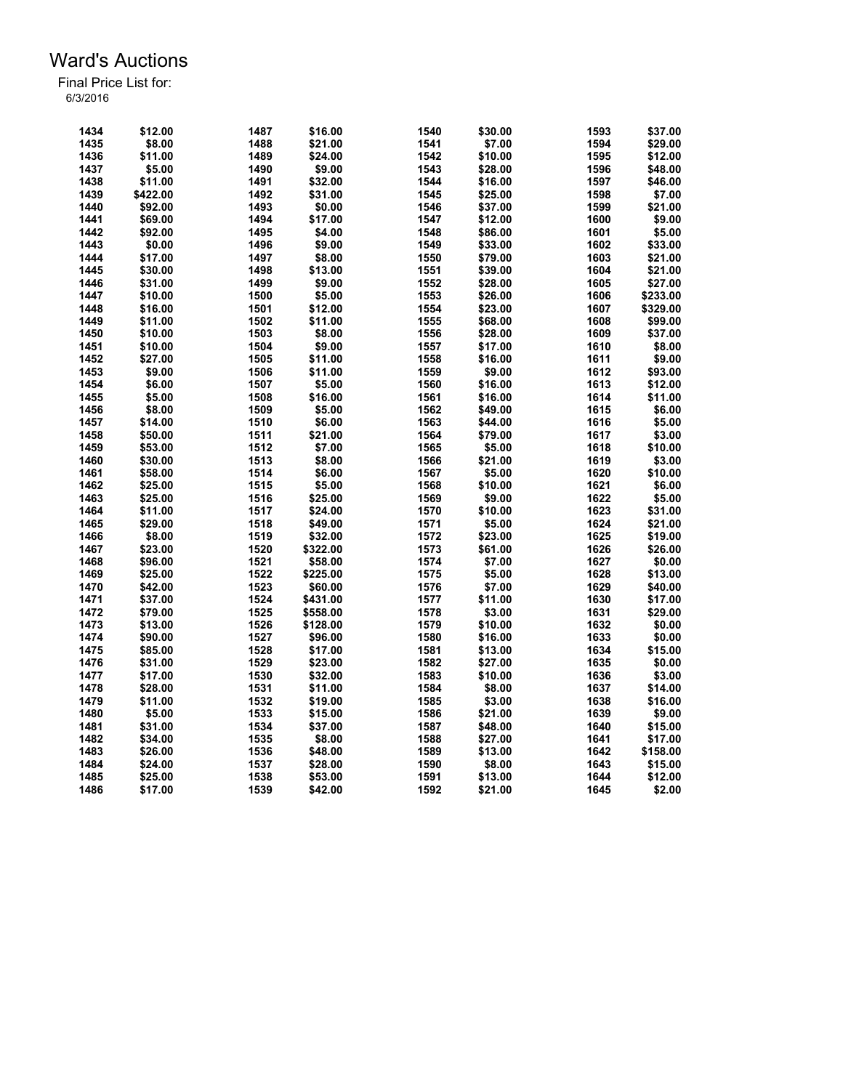| 1434 | \$12.00  | 1487 | \$16.00  | 1540 | \$30.00 | 1593         | \$37.00  |
|------|----------|------|----------|------|---------|--------------|----------|
| 1435 | \$8.00   | 1488 | \$21.00  | 1541 | \$7.00  | 1594         | \$29.00  |
| 1436 | \$11.00  | 1489 | \$24.00  | 1542 | \$10.00 | 1595         | \$12.00  |
| 1437 | \$5.00   | 1490 | \$9.00   | 1543 | \$28.00 | 1596         | \$48.00  |
| 1438 | \$11.00  | 1491 | \$32.00  | 1544 | \$16.00 | 1597         | \$46.00  |
| 1439 | \$422.00 | 1492 | \$31.00  | 1545 | \$25.00 | 1598         | \$7.00   |
| 1440 | \$92.00  | 1493 | \$0.00   | 1546 | \$37.00 | 1599         | \$21.00  |
| 1441 | \$69.00  | 1494 | \$17.00  | 1547 | \$12.00 | 1600         | \$9.00   |
| 1442 | \$92.00  | 1495 | \$4.00   | 1548 | \$86.00 | 1601         | \$5.00   |
| 1443 | \$0.00   | 1496 | \$9.00   | 1549 | \$33.00 | 1602         | \$33.00  |
| 1444 | \$17.00  | 1497 | \$8.00   | 1550 | \$79.00 | 1603         | \$21.00  |
| 1445 | \$30.00  | 1498 | \$13.00  | 1551 | \$39.00 | 1604         | \$21.00  |
| 1446 | \$31.00  | 1499 | \$9.00   | 1552 | \$28.00 | 1605         | \$27.00  |
| 1447 | \$10.00  | 1500 | \$5.00   | 1553 | \$26.00 | 1606         | \$233.00 |
| 1448 | \$16.00  | 1501 | \$12.00  | 1554 | \$23.00 | 1607         | \$329.00 |
| 1449 | \$11.00  | 1502 | \$11.00  | 1555 | \$68.00 | 1608         | \$99.00  |
| 1450 | \$10.00  | 1503 | \$8.00   | 1556 | \$28.00 | 1609         | \$37.00  |
| 1451 | \$10.00  | 1504 | \$9.00   | 1557 | \$17.00 | 1610         | \$8.00   |
| 1452 | \$27.00  | 1505 | \$11.00  | 1558 | \$16.00 | 1611         | \$9.00   |
| 1453 | \$9.00   | 1506 | \$11.00  | 1559 | \$9.00  | 1612         | \$93.00  |
| 1454 | \$6.00   |      |          | 1560 |         |              | \$12.00  |
|      |          | 1507 | \$5.00   |      | \$16.00 | 1613<br>1614 |          |
| 1455 | \$5.00   | 1508 | \$16.00  | 1561 | \$16.00 |              | \$11.00  |
| 1456 | \$8.00   | 1509 | \$5.00   | 1562 | \$49.00 | 1615         | \$6.00   |
| 1457 | \$14.00  | 1510 | \$6.00   | 1563 | \$44.00 | 1616         | \$5.00   |
| 1458 | \$50.00  | 1511 | \$21.00  | 1564 | \$79.00 | 1617         | \$3.00   |
| 1459 | \$53.00  | 1512 | \$7.00   | 1565 | \$5.00  | 1618         | \$10.00  |
| 1460 | \$30.00  | 1513 | \$8.00   | 1566 | \$21.00 | 1619         | \$3.00   |
| 1461 | \$58.00  | 1514 | \$6.00   | 1567 | \$5.00  | 1620         | \$10.00  |
| 1462 | \$25.00  | 1515 | \$5.00   | 1568 | \$10.00 | 1621         | \$6.00   |
| 1463 | \$25.00  | 1516 | \$25.00  | 1569 | \$9.00  | 1622         | \$5.00   |
| 1464 | \$11.00  | 1517 | \$24.00  | 1570 | \$10.00 | 1623         | \$31.00  |
| 1465 | \$29.00  | 1518 | \$49.00  | 1571 | \$5.00  | 1624         | \$21.00  |
| 1466 | \$8.00   | 1519 | \$32.00  | 1572 | \$23.00 | 1625         | \$19.00  |
| 1467 | \$23.00  | 1520 | \$322.00 | 1573 | \$61.00 | 1626         | \$26.00  |
| 1468 | \$96.00  | 1521 | \$58.00  | 1574 | \$7.00  | 1627         | \$0.00   |
| 1469 | \$25.00  | 1522 | \$225.00 | 1575 | \$5.00  | 1628         | \$13.00  |
| 1470 | \$42.00  | 1523 | \$60.00  | 1576 | \$7.00  | 1629         | \$40.00  |
| 1471 | \$37.00  | 1524 | \$431.00 | 1577 | \$11.00 | 1630         | \$17.00  |
| 1472 | \$79.00  | 1525 | \$558.00 | 1578 | \$3.00  | 1631         | \$29.00  |
| 1473 | \$13.00  | 1526 | \$128.00 | 1579 | \$10.00 | 1632         | \$0.00   |
| 1474 | \$90.00  | 1527 | \$96.00  | 1580 | \$16.00 | 1633         | \$0.00   |
| 1475 | \$85.00  | 1528 | \$17.00  | 1581 | \$13.00 | 1634         | \$15.00  |
| 1476 | \$31.00  | 1529 | \$23.00  | 1582 | \$27.00 | 1635         | \$0.00   |
| 1477 | \$17.00  | 1530 | \$32.00  | 1583 | \$10.00 | 1636         | \$3.00   |
| 1478 | \$28.00  | 1531 | \$11.00  | 1584 | \$8.00  | 1637         | \$14.00  |
| 1479 | \$11.00  | 1532 | \$19.00  | 1585 | \$3.00  | 1638         | \$16.00  |
| 1480 | \$5.00   | 1533 | \$15.00  | 1586 | \$21.00 | 1639         | \$9.00   |
| 1481 | \$31.00  | 1534 | \$37.00  | 1587 | \$48.00 | 1640         | \$15.00  |
| 1482 | \$34.00  | 1535 | \$8.00   | 1588 | \$27.00 | 1641         | \$17.00  |
| 1483 | \$26.00  | 1536 | \$48.00  | 1589 | \$13.00 | 1642         | \$158.00 |
|      | \$24.00  |      |          | 1590 |         | 1643         |          |
| 1484 |          | 1537 | \$28.00  |      | \$8.00  |              | \$15.00  |
| 1485 | \$25.00  | 1538 | \$53.00  | 1591 | \$13.00 | 1644         | \$12.00  |
| 1486 | \$17.00  | 1539 | \$42.00  | 1592 | \$21.00 | 1645         | \$2.00   |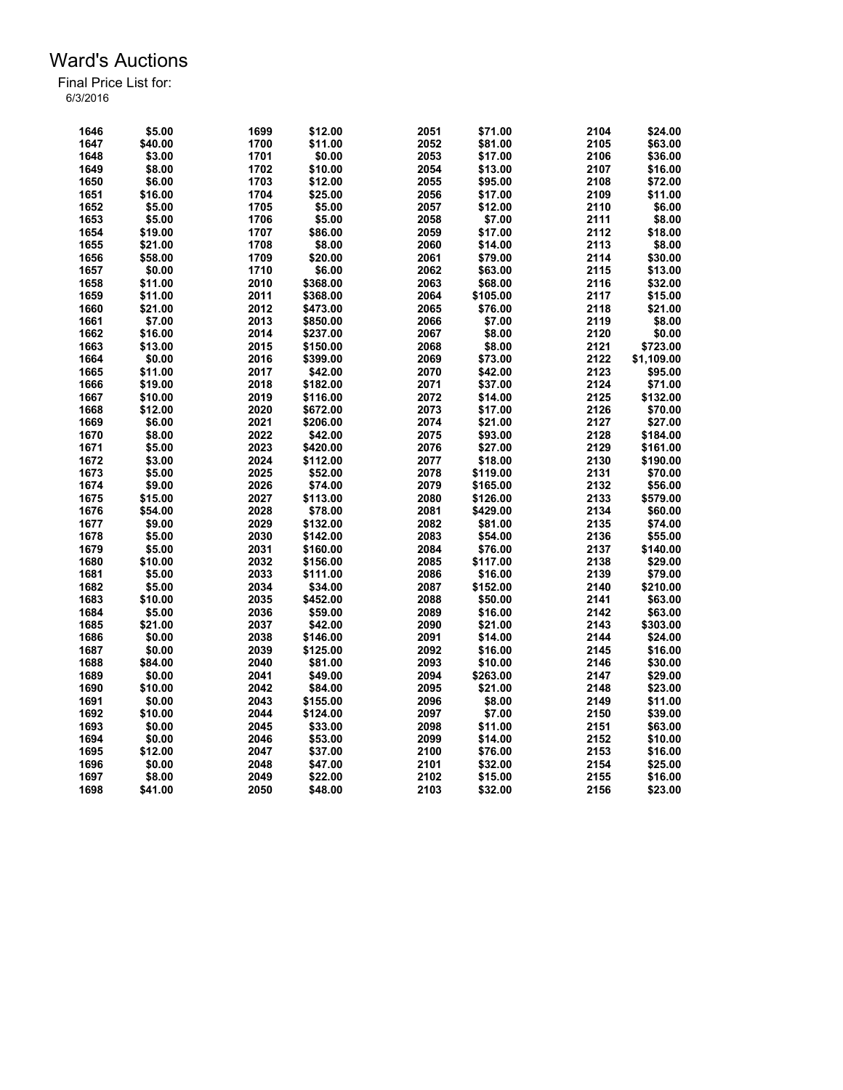| 1646         | \$5.00  | 1699 | \$12.00  | 2051 | \$71.00  | 2104 | \$24.00    |
|--------------|---------|------|----------|------|----------|------|------------|
| 1647         | \$40.00 | 1700 | \$11.00  | 2052 | \$81.00  | 2105 | \$63.00    |
| 1648         | \$3.00  | 1701 | \$0.00   | 2053 | \$17.00  | 2106 | \$36.00    |
| 1649         | \$8.00  | 1702 | \$10.00  | 2054 | \$13.00  | 2107 | \$16.00    |
| 1650         | \$6.00  | 1703 | \$12.00  | 2055 | \$95.00  | 2108 | \$72.00    |
| 1651         | \$16.00 | 1704 | \$25.00  | 2056 | \$17.00  | 2109 | \$11.00    |
| 1652         | \$5.00  | 1705 | \$5.00   | 2057 | \$12.00  | 2110 | \$6.00     |
| 1653         | \$5.00  | 1706 | \$5.00   | 2058 | \$7.00   | 2111 | \$8.00     |
| 1654         | \$19.00 | 1707 | \$86.00  | 2059 | \$17.00  | 2112 | \$18.00    |
| 1655         | \$21.00 | 1708 | \$8.00   | 2060 | \$14.00  | 2113 | \$8.00     |
| 1656         | \$58.00 | 1709 | \$20.00  | 2061 | \$79.00  | 2114 | \$30.00    |
| 1657         | \$0.00  | 1710 | \$6.00   | 2062 | \$63.00  | 2115 | \$13.00    |
| 1658         | \$11.00 | 2010 | \$368.00 | 2063 | \$68.00  | 2116 | \$32.00    |
| 1659         | \$11.00 | 2011 | \$368.00 | 2064 | \$105.00 | 2117 | \$15.00    |
| 1660         | \$21.00 | 2012 | \$473.00 | 2065 | \$76.00  | 2118 | \$21.00    |
| 1661         | \$7.00  | 2013 | \$850.00 | 2066 | \$7.00   | 2119 | \$8.00     |
| 1662         | \$16.00 | 2014 | \$237.00 | 2067 | \$8.00   | 2120 | \$0.00     |
| 1663         | \$13.00 | 2015 | \$150.00 | 2068 | \$8.00   | 2121 | \$723.00   |
| 1664         | \$0.00  | 2016 | \$399.00 | 2069 | \$73.00  | 2122 | \$1,109.00 |
| 1665         | \$11.00 | 2017 | \$42.00  | 2070 | \$42.00  | 2123 | \$95.00    |
|              | \$19.00 | 2018 |          | 2071 |          | 2124 |            |
| 1666<br>1667 |         |      | \$182.00 |      | \$37.00  | 2125 | \$71.00    |
|              | \$10.00 | 2019 | \$116.00 | 2072 | \$14.00  |      | \$132.00   |
| 1668         | \$12.00 | 2020 | \$672.00 | 2073 | \$17.00  | 2126 | \$70.00    |
| 1669         | \$6.00  | 2021 | \$206.00 | 2074 | \$21.00  | 2127 | \$27.00    |
| 1670         | \$8.00  | 2022 | \$42.00  | 2075 | \$93.00  | 2128 | \$184.00   |
| 1671         | \$5.00  | 2023 | \$420.00 | 2076 | \$27.00  | 2129 | \$161.00   |
| 1672         | \$3.00  | 2024 | \$112.00 | 2077 | \$18.00  | 2130 | \$190.00   |
| 1673         | \$5.00  | 2025 | \$52.00  | 2078 | \$119.00 | 2131 | \$70.00    |
| 1674         | \$9.00  | 2026 | \$74.00  | 2079 | \$165.00 | 2132 | \$56.00    |
| 1675         | \$15.00 | 2027 | \$113.00 | 2080 | \$126.00 | 2133 | \$579.00   |
| 1676         | \$54.00 | 2028 | \$78.00  | 2081 | \$429.00 | 2134 | \$60.00    |
| 1677         | \$9.00  | 2029 | \$132.00 | 2082 | \$81.00  | 2135 | \$74.00    |
| 1678         | \$5.00  | 2030 | \$142.00 | 2083 | \$54.00  | 2136 | \$55.00    |
| 1679         | \$5.00  | 2031 | \$160.00 | 2084 | \$76.00  | 2137 | \$140.00   |
| 1680         | \$10.00 | 2032 | \$156.00 | 2085 | \$117.00 | 2138 | \$29.00    |
| 1681         | \$5.00  | 2033 | \$111.00 | 2086 | \$16.00  | 2139 | \$79.00    |
| 1682         | \$5.00  | 2034 | \$34.00  | 2087 | \$152.00 | 2140 | \$210.00   |
| 1683         | \$10.00 | 2035 | \$452.00 | 2088 | \$50.00  | 2141 | \$63.00    |
| 1684         | \$5.00  | 2036 | \$59.00  | 2089 | \$16.00  | 2142 | \$63.00    |
| 1685         | \$21.00 | 2037 | \$42.00  | 2090 | \$21.00  | 2143 | \$303.00   |
| 1686         | \$0.00  | 2038 | \$146.00 | 2091 | \$14.00  | 2144 | \$24.00    |
| 1687         | \$0.00  | 2039 | \$125.00 | 2092 | \$16.00  | 2145 | \$16.00    |
| 1688         | \$84.00 | 2040 | \$81.00  | 2093 | \$10.00  | 2146 | \$30.00    |
| 1689         | \$0.00  | 2041 | \$49.00  | 2094 | \$263.00 | 2147 | \$29.00    |
| 1690         | \$10.00 | 2042 | \$84.00  | 2095 | \$21.00  | 2148 | \$23.00    |
| 1691         | \$0.00  | 2043 | \$155.00 | 2096 | \$8.00   | 2149 | \$11.00    |
| 1692         | \$10.00 | 2044 | \$124.00 | 2097 | \$7.00   | 2150 | \$39.00    |
| 1693         | \$0.00  | 2045 | \$33.00  | 2098 | \$11.00  | 2151 | \$63.00    |
| 1694         | \$0.00  | 2046 | \$53.00  | 2099 | \$14.00  | 2152 | \$10.00    |
| 1695         | \$12.00 | 2047 | \$37.00  | 2100 | \$76.00  | 2153 | \$16.00    |
| 1696         | \$0.00  | 2048 | \$47.00  | 2101 | \$32.00  | 2154 | \$25.00    |
| 1697         | \$8.00  | 2049 | \$22.00  | 2102 | \$15.00  | 2155 | \$16.00    |
| 1698         | \$41.00 | 2050 | \$48.00  | 2103 | \$32.00  | 2156 | \$23.00    |
|              |         |      |          |      |          |      |            |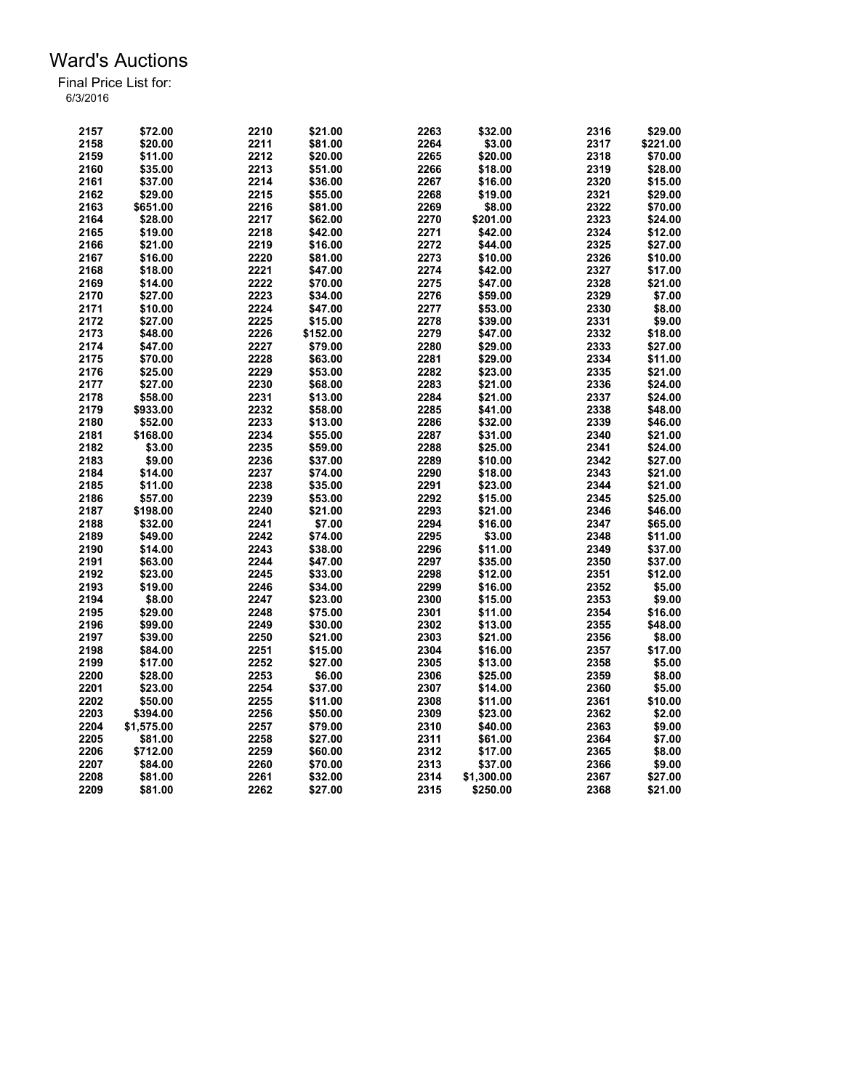| 2157 | \$72.00    | 2210 | \$21.00  | 2263 | \$32.00    | 2316 | \$29.00  |
|------|------------|------|----------|------|------------|------|----------|
| 2158 | \$20.00    | 2211 | \$81.00  | 2264 | \$3.00     | 2317 | \$221.00 |
| 2159 | \$11.00    | 2212 | \$20.00  | 2265 | \$20.00    | 2318 | \$70.00  |
| 2160 | \$35.00    | 2213 | \$51.00  | 2266 | \$18.00    | 2319 | \$28.00  |
| 2161 | \$37.00    | 2214 | \$36.00  | 2267 | \$16.00    | 2320 | \$15.00  |
| 2162 | \$29.00    | 2215 | \$55.00  | 2268 | \$19.00    | 2321 | \$29.00  |
| 2163 | \$651.00   | 2216 | \$81.00  | 2269 | \$8.00     | 2322 | \$70.00  |
| 2164 | \$28.00    | 2217 | \$62.00  | 2270 | \$201.00   | 2323 | \$24.00  |
| 2165 | \$19.00    | 2218 | \$42.00  | 2271 | \$42.00    | 2324 | \$12.00  |
| 2166 | \$21.00    | 2219 | \$16.00  | 2272 | \$44.00    | 2325 | \$27.00  |
| 2167 | \$16.00    | 2220 | \$81.00  | 2273 | \$10.00    | 2326 | \$10.00  |
| 2168 | \$18.00    | 2221 | \$47.00  | 2274 | \$42.00    | 2327 | \$17.00  |
| 2169 | \$14.00    | 2222 | \$70.00  | 2275 | \$47.00    | 2328 | \$21.00  |
| 2170 | \$27.00    | 2223 | \$34.00  | 2276 | \$59.00    | 2329 | \$7.00   |
| 2171 | \$10.00    | 2224 | \$47.00  | 2277 | \$53.00    | 2330 | \$8.00   |
| 2172 | \$27.00    | 2225 | \$15.00  | 2278 | \$39.00    | 2331 | \$9.00   |
| 2173 | \$48.00    | 2226 | \$152.00 | 2279 | \$47.00    | 2332 | \$18.00  |
| 2174 | \$47.00    | 2227 | \$79.00  | 2280 | \$29.00    | 2333 | \$27.00  |
|      |            | 2228 | \$63.00  | 2281 |            | 2334 |          |
| 2175 | \$70.00    | 2229 |          | 2282 | \$29.00    | 2335 | \$11.00  |
| 2176 | \$25.00    |      | \$53.00  |      | \$23.00    |      | \$21.00  |
| 2177 | \$27.00    | 2230 | \$68.00  | 2283 | \$21.00    | 2336 | \$24.00  |
| 2178 | \$58.00    | 2231 | \$13.00  | 2284 | \$21.00    | 2337 | \$24.00  |
| 2179 | \$933.00   | 2232 | \$58.00  | 2285 | \$41.00    | 2338 | \$48.00  |
| 2180 | \$52.00    | 2233 | \$13.00  | 2286 | \$32.00    | 2339 | \$46.00  |
| 2181 | \$168.00   | 2234 | \$55.00  | 2287 | \$31.00    | 2340 | \$21.00  |
| 2182 | \$3.00     | 2235 | \$59.00  | 2288 | \$25.00    | 2341 | \$24.00  |
| 2183 | \$9.00     | 2236 | \$37.00  | 2289 | \$10.00    | 2342 | \$27.00  |
| 2184 | \$14.00    | 2237 | \$74.00  | 2290 | \$18.00    | 2343 | \$21.00  |
| 2185 | \$11.00    | 2238 | \$35.00  | 2291 | \$23.00    | 2344 | \$21.00  |
| 2186 | \$57.00    | 2239 | \$53.00  | 2292 | \$15.00    | 2345 | \$25.00  |
| 2187 | \$198.00   | 2240 | \$21.00  | 2293 | \$21.00    | 2346 | \$46.00  |
| 2188 | \$32.00    | 2241 | \$7.00   | 2294 | \$16.00    | 2347 | \$65.00  |
| 2189 | \$49.00    | 2242 | \$74.00  | 2295 | \$3.00     | 2348 | \$11.00  |
| 2190 | \$14.00    | 2243 | \$38.00  | 2296 | \$11.00    | 2349 | \$37.00  |
| 2191 | \$63.00    | 2244 | \$47.00  | 2297 | \$35.00    | 2350 | \$37.00  |
| 2192 | \$23.00    | 2245 | \$33.00  | 2298 | \$12.00    | 2351 | \$12.00  |
| 2193 | \$19.00    | 2246 | \$34.00  | 2299 | \$16.00    | 2352 | \$5.00   |
| 2194 | \$8.00     | 2247 | \$23.00  | 2300 | \$15.00    | 2353 | \$9.00   |
| 2195 | \$29.00    | 2248 | \$75.00  | 2301 | \$11.00    | 2354 | \$16.00  |
| 2196 | \$99.00    | 2249 | \$30.00  | 2302 | \$13.00    | 2355 | \$48.00  |
| 2197 | \$39.00    | 2250 | \$21.00  | 2303 | \$21.00    | 2356 | \$8.00   |
| 2198 | \$84.00    | 2251 | \$15.00  | 2304 | \$16.00    | 2357 | \$17.00  |
| 2199 | \$17.00    | 2252 | \$27.00  | 2305 | \$13.00    | 2358 | \$5.00   |
| 2200 | \$28.00    | 2253 | \$6.00   | 2306 | \$25.00    | 2359 | \$8.00   |
| 2201 | \$23.00    | 2254 | \$37.00  | 2307 | \$14.00    | 2360 | \$5.00   |
| 2202 | \$50.00    | 2255 | \$11.00  | 2308 | \$11.00    | 2361 | \$10.00  |
| 2203 | \$394.00   | 2256 | \$50.00  | 2309 | \$23.00    | 2362 | \$2.00   |
| 2204 | \$1,575.00 | 2257 | \$79.00  | 2310 | \$40.00    | 2363 | \$9.00   |
| 2205 | \$81.00    | 2258 | \$27.00  | 2311 | \$61.00    | 2364 | \$7.00   |
| 2206 | \$712.00   | 2259 | \$60.00  | 2312 | \$17.00    | 2365 | \$8.00   |
| 2207 | \$84.00    | 2260 | \$70.00  | 2313 | \$37.00    | 2366 | \$9.00   |
| 2208 | \$81.00    | 2261 | \$32.00  | 2314 | \$1,300.00 | 2367 | \$27.00  |
|      |            |      |          |      |            |      |          |
| 2209 | \$81.00    | 2262 | \$27.00  | 2315 | \$250.00   | 2368 | \$21.00  |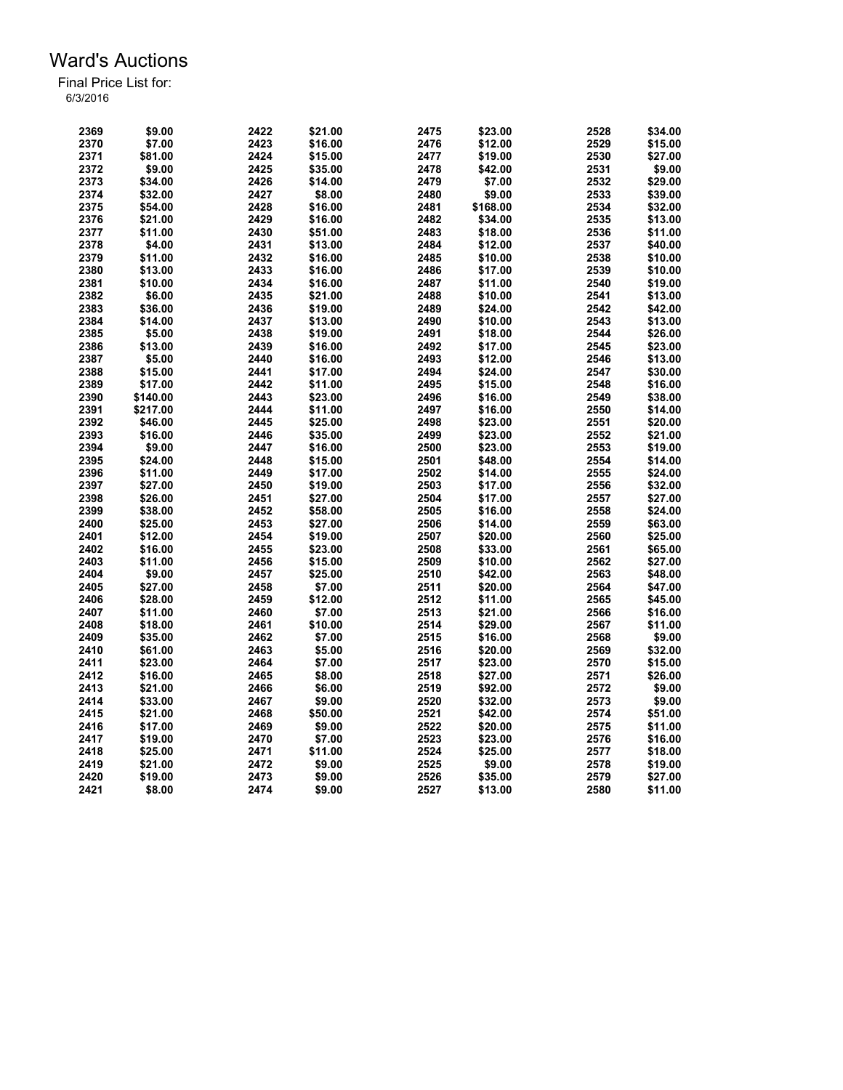| 2369 | \$9.00   | 2422 | \$21.00 | 2475 | \$23.00  | 2528 | \$34.00 |
|------|----------|------|---------|------|----------|------|---------|
| 2370 | \$7.00   | 2423 | \$16.00 | 2476 | \$12.00  | 2529 | \$15.00 |
| 2371 | \$81.00  | 2424 | \$15.00 | 2477 | \$19.00  | 2530 | \$27.00 |
| 2372 | \$9.00   | 2425 | \$35.00 | 2478 | \$42.00  | 2531 | \$9.00  |
| 2373 | \$34.00  | 2426 | \$14.00 | 2479 | \$7.00   | 2532 | \$29.00 |
| 2374 | \$32.00  | 2427 | \$8.00  | 2480 | \$9.00   | 2533 | \$39.00 |
| 2375 | \$54.00  | 2428 | \$16.00 | 2481 | \$168.00 | 2534 | \$32.00 |
| 2376 | \$21.00  | 2429 | \$16.00 | 2482 | \$34.00  | 2535 | \$13.00 |
| 2377 | \$11.00  | 2430 | \$51.00 | 2483 | \$18.00  | 2536 | \$11.00 |
| 2378 | \$4.00   | 2431 | \$13.00 | 2484 | \$12.00  | 2537 | \$40.00 |
| 2379 | \$11.00  | 2432 | \$16.00 | 2485 | \$10.00  | 2538 | \$10.00 |
| 2380 | \$13.00  | 2433 | \$16.00 | 2486 | \$17.00  | 2539 | \$10.00 |
| 2381 | \$10.00  | 2434 | \$16.00 | 2487 | \$11.00  | 2540 | \$19.00 |
| 2382 | \$6.00   | 2435 | \$21.00 | 2488 | \$10.00  | 2541 | \$13.00 |
| 2383 | \$36.00  | 2436 | \$19.00 | 2489 | \$24.00  | 2542 | \$42.00 |
| 2384 | \$14.00  | 2437 | \$13.00 | 2490 | \$10.00  | 2543 | \$13.00 |
| 2385 | \$5.00   | 2438 | \$19.00 | 2491 | \$18.00  | 2544 | \$26.00 |
| 2386 | \$13.00  | 2439 |         | 2492 |          | 2545 | \$23.00 |
|      |          |      | \$16.00 |      | \$17.00  |      |         |
| 2387 | \$5.00   | 2440 | \$16.00 | 2493 | \$12.00  | 2546 | \$13.00 |
| 2388 | \$15.00  | 2441 | \$17.00 | 2494 | \$24.00  | 2547 | \$30.00 |
| 2389 | \$17.00  | 2442 | \$11.00 | 2495 | \$15.00  | 2548 | \$16.00 |
| 2390 | \$140.00 | 2443 | \$23.00 | 2496 | \$16.00  | 2549 | \$38.00 |
| 2391 | \$217.00 | 2444 | \$11.00 | 2497 | \$16.00  | 2550 | \$14.00 |
| 2392 | \$46.00  | 2445 | \$25.00 | 2498 | \$23.00  | 2551 | \$20.00 |
| 2393 | \$16.00  | 2446 | \$35.00 | 2499 | \$23.00  | 2552 | \$21.00 |
| 2394 | \$9.00   | 2447 | \$16.00 | 2500 | \$23.00  | 2553 | \$19.00 |
| 2395 | \$24.00  | 2448 | \$15.00 | 2501 | \$48.00  | 2554 | \$14.00 |
| 2396 | \$11.00  | 2449 | \$17.00 | 2502 | \$14.00  | 2555 | \$24.00 |
| 2397 | \$27.00  | 2450 | \$19.00 | 2503 | \$17.00  | 2556 | \$32.00 |
| 2398 | \$26.00  | 2451 | \$27.00 | 2504 | \$17.00  | 2557 | \$27.00 |
| 2399 | \$38.00  | 2452 | \$58.00 | 2505 | \$16.00  | 2558 | \$24.00 |
| 2400 | \$25.00  | 2453 | \$27.00 | 2506 | \$14.00  | 2559 | \$63.00 |
| 2401 | \$12.00  | 2454 | \$19.00 | 2507 | \$20.00  | 2560 | \$25.00 |
| 2402 | \$16.00  | 2455 | \$23.00 | 2508 | \$33.00  | 2561 | \$65.00 |
| 2403 | \$11.00  | 2456 | \$15.00 | 2509 | \$10.00  | 2562 | \$27.00 |
| 2404 | \$9.00   | 2457 | \$25.00 | 2510 | \$42.00  | 2563 | \$48.00 |
| 2405 | \$27.00  | 2458 | \$7.00  | 2511 | \$20.00  | 2564 | \$47.00 |
| 2406 | \$28.00  | 2459 | \$12.00 | 2512 | \$11.00  | 2565 | \$45.00 |
| 2407 | \$11.00  | 2460 | \$7.00  | 2513 | \$21.00  | 2566 | \$16.00 |
| 2408 | \$18.00  | 2461 | \$10.00 | 2514 | \$29.00  | 2567 | \$11.00 |
| 2409 | \$35.00  | 2462 | \$7.00  | 2515 | \$16.00  | 2568 | \$9.00  |
| 2410 | \$61.00  | 2463 | \$5.00  | 2516 | \$20.00  | 2569 | \$32.00 |
| 2411 | \$23.00  | 2464 | \$7.00  | 2517 | \$23.00  | 2570 | \$15.00 |
| 2412 | \$16.00  | 2465 | \$8.00  | 2518 | \$27.00  | 2571 | \$26.00 |
| 2413 | \$21.00  | 2466 | \$6.00  | 2519 | \$92.00  | 2572 | \$9.00  |
| 2414 | \$33.00  | 2467 | \$9.00  | 2520 | \$32.00  | 2573 | \$9.00  |
| 2415 | \$21.00  | 2468 | \$50.00 | 2521 | \$42.00  | 2574 | \$51.00 |
| 2416 | \$17.00  | 2469 | \$9.00  | 2522 | \$20.00  | 2575 | \$11.00 |
| 2417 | \$19.00  | 2470 | \$7.00  | 2523 | \$23.00  | 2576 | \$16.00 |
| 2418 | \$25.00  | 2471 | \$11.00 | 2524 | \$25.00  | 2577 | \$18.00 |
| 2419 | \$21.00  | 2472 | \$9.00  | 2525 | \$9.00   | 2578 | \$19.00 |
| 2420 | \$19.00  | 2473 | \$9.00  | 2526 | \$35.00  | 2579 | \$27.00 |
| 2421 | \$8.00   | 2474 | \$9.00  | 2527 | \$13.00  | 2580 | \$11.00 |
|      |          |      |         |      |          |      |         |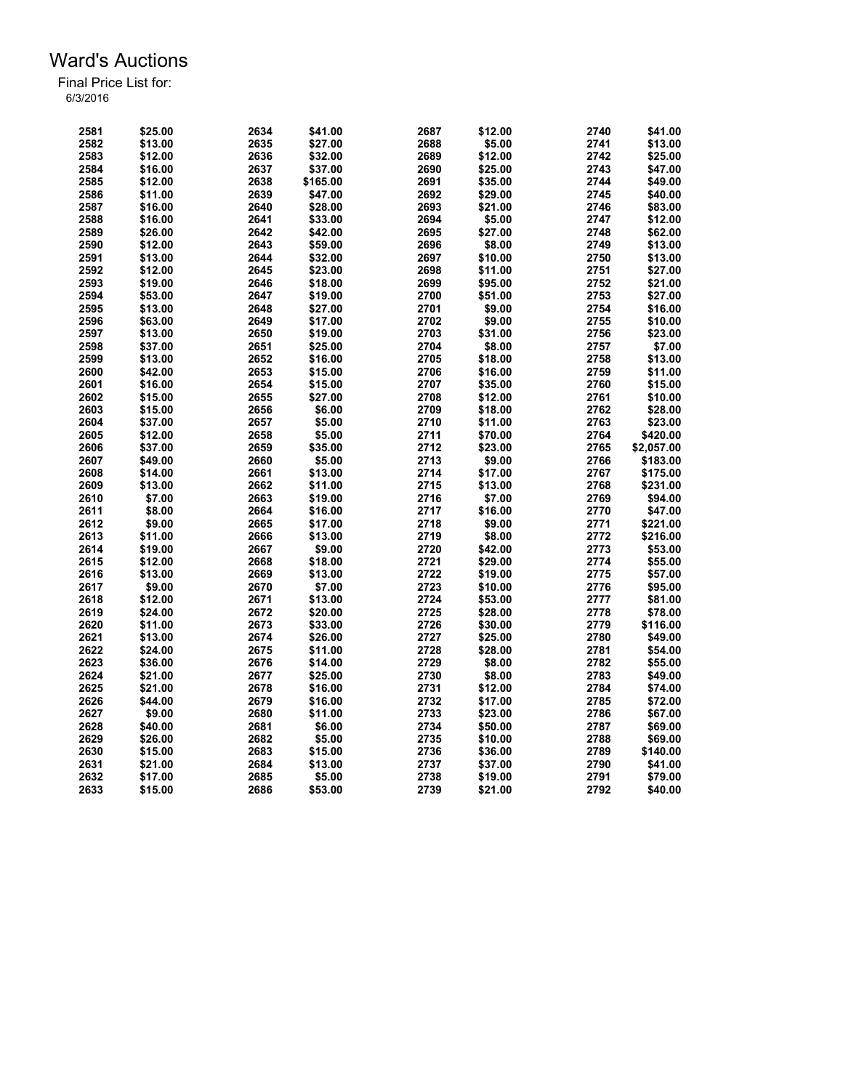| 2581 | \$25.00 | 2634 | \$41.00  | 2687 | \$12.00 | 2740 | \$41.00    |
|------|---------|------|----------|------|---------|------|------------|
| 2582 | \$13.00 | 2635 | \$27.00  | 2688 | \$5.00  | 2741 | \$13.00    |
| 2583 | \$12.00 | 2636 | \$32.00  | 2689 | \$12.00 | 2742 | \$25.00    |
| 2584 | \$16.00 | 2637 | \$37.00  | 2690 | \$25.00 | 2743 | \$47.00    |
| 2585 | \$12.00 | 2638 | \$165.00 | 2691 | \$35.00 | 2744 | \$49.00    |
| 2586 | \$11.00 | 2639 | \$47.00  | 2692 | \$29.00 | 2745 | \$40.00    |
|      |         |      |          |      |         |      |            |
| 2587 | \$16.00 | 2640 | \$28.00  | 2693 | \$21.00 | 2746 | \$83.00    |
| 2588 | \$16.00 | 2641 | \$33.00  | 2694 | \$5.00  | 2747 | \$12.00    |
| 2589 | \$26.00 | 2642 | \$42.00  | 2695 | \$27.00 | 2748 | \$62.00    |
| 2590 | \$12.00 | 2643 | \$59.00  | 2696 | \$8.00  | 2749 | \$13.00    |
| 2591 | \$13.00 | 2644 | \$32.00  | 2697 | \$10.00 | 2750 | \$13.00    |
| 2592 | \$12.00 | 2645 | \$23.00  | 2698 | \$11.00 | 2751 | \$27.00    |
| 2593 | \$19.00 | 2646 | \$18.00  | 2699 | \$95.00 | 2752 | \$21.00    |
| 2594 | \$53.00 | 2647 | \$19.00  | 2700 | \$51.00 | 2753 | \$27.00    |
| 2595 | \$13.00 | 2648 | \$27.00  | 2701 | \$9.00  | 2754 | \$16.00    |
| 2596 | \$63.00 | 2649 | \$17.00  | 2702 | \$9.00  | 2755 | \$10.00    |
| 2597 | \$13.00 | 2650 | \$19.00  | 2703 | \$31.00 | 2756 | \$23.00    |
|      |         |      |          |      |         |      |            |
| 2598 | \$37.00 | 2651 | \$25.00  | 2704 | \$8.00  | 2757 | \$7.00     |
| 2599 | \$13.00 | 2652 | \$16.00  | 2705 | \$18.00 | 2758 | \$13.00    |
| 2600 | \$42.00 | 2653 | \$15.00  | 2706 | \$16.00 | 2759 | \$11.00    |
| 2601 | \$16.00 | 2654 | \$15.00  | 2707 | \$35.00 | 2760 | \$15.00    |
| 2602 | \$15.00 | 2655 | \$27.00  | 2708 | \$12.00 | 2761 | \$10.00    |
| 2603 | \$15.00 | 2656 | \$6.00   | 2709 | \$18.00 | 2762 | \$28.00    |
| 2604 | \$37.00 | 2657 | \$5.00   | 2710 | \$11.00 | 2763 | \$23.00    |
| 2605 | \$12.00 | 2658 | \$5.00   | 2711 | \$70.00 | 2764 | \$420.00   |
| 2606 | \$37.00 | 2659 | \$35.00  | 2712 | \$23.00 | 2765 | \$2,057.00 |
| 2607 | \$49.00 | 2660 | \$5.00   | 2713 | \$9.00  | 2766 | \$183.00   |
|      | \$14.00 | 2661 | \$13.00  |      |         |      |            |
| 2608 |         |      |          | 2714 | \$17.00 | 2767 | \$175.00   |
| 2609 | \$13.00 | 2662 | \$11.00  | 2715 | \$13.00 | 2768 | \$231.00   |
| 2610 | \$7.00  | 2663 | \$19.00  | 2716 | \$7.00  | 2769 | \$94.00    |
| 2611 | \$8.00  | 2664 | \$16.00  | 2717 | \$16.00 | 2770 | \$47.00    |
| 2612 | \$9.00  | 2665 | \$17.00  | 2718 | \$9.00  | 2771 | \$221.00   |
| 2613 | \$11.00 | 2666 | \$13.00  | 2719 | \$8.00  | 2772 | \$216.00   |
| 2614 | \$19.00 | 2667 | \$9.00   | 2720 | \$42.00 | 2773 | \$53.00    |
| 2615 | \$12.00 | 2668 | \$18.00  | 2721 | \$29.00 | 2774 | \$55.00    |
| 2616 | \$13.00 | 2669 | \$13.00  | 2722 | \$19.00 | 2775 | \$57.00    |
| 2617 | \$9.00  | 2670 | \$7.00   | 2723 | \$10.00 | 2776 | \$95.00    |
| 2618 | \$12.00 | 2671 | \$13.00  | 2724 | \$53.00 | 2777 | \$81.00    |
|      |         |      |          | 2725 |         | 2778 |            |
| 2619 | \$24.00 | 2672 | \$20.00  |      | \$28.00 |      | \$78.00    |
| 2620 | \$11.00 | 2673 | \$33.00  | 2726 | \$30.00 | 2779 | \$116.00   |
| 2621 | \$13.00 | 2674 | \$26.00  | 2727 | \$25.00 | 2780 | \$49.00    |
| 2622 | \$24.00 | 2675 | \$11.00  | 2728 | \$28.00 | 2781 | \$54.00    |
| 2623 | \$36.00 | 2676 | \$14.00  | 2729 | \$8.00  | 2782 | \$55.00    |
| 2624 | \$21.00 | 2677 | \$25.00  | 2730 | \$8.00  | 2783 | \$49.00    |
| 2625 | \$21.00 | 2678 | \$16.00  | 2731 | \$12.00 | 2784 | \$74.00    |
| 2626 | \$44.00 | 2679 | \$16.00  | 2732 | \$17.00 | 2785 | \$72.00    |
| 2627 | \$9.00  | 2680 | \$11.00  | 2733 | \$23.00 | 2786 | \$67.00    |
| 2628 | \$40.00 | 2681 | \$6.00   | 2734 | \$50.00 | 2787 | \$69.00    |
| 2629 | \$26.00 | 2682 | \$5.00   | 2735 | \$10.00 | 2788 | \$69.00    |
|      |         |      |          |      |         |      |            |
| 2630 | \$15.00 | 2683 | \$15.00  | 2736 | \$36.00 | 2789 | \$140.00   |
| 2631 | \$21.00 | 2684 | \$13.00  | 2737 | \$37.00 | 2790 | \$41.00    |
| 2632 | \$17.00 | 2685 | \$5.00   | 2738 | \$19.00 | 2791 | \$79.00    |
| 2633 | \$15.00 | 2686 | \$53.00  | 2739 | \$21.00 | 2792 | \$40.00    |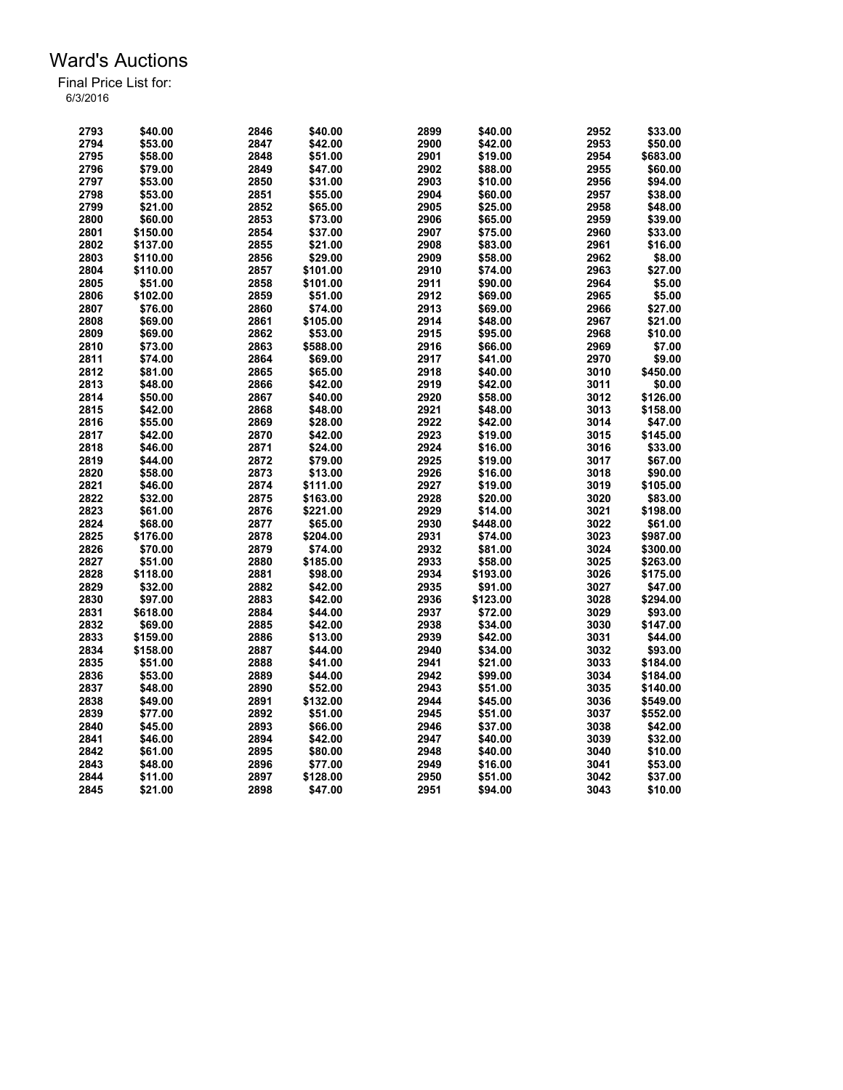| 2793 | \$40.00  | 2846 | \$40.00  | 2899 | \$40.00  | 2952 | \$33.00  |
|------|----------|------|----------|------|----------|------|----------|
| 2794 | \$53.00  | 2847 | \$42.00  | 2900 | \$42.00  | 2953 | \$50.00  |
| 2795 | \$58.00  | 2848 | \$51.00  | 2901 | \$19.00  | 2954 | \$683.00 |
| 2796 | \$79.00  | 2849 | \$47.00  | 2902 | \$88.00  | 2955 | \$60.00  |
| 2797 | \$53.00  | 2850 | \$31.00  | 2903 | \$10.00  | 2956 | \$94.00  |
| 2798 | \$53.00  | 2851 | \$55.00  | 2904 | \$60.00  | 2957 | \$38.00  |
| 2799 | \$21.00  | 2852 | \$65.00  | 2905 | \$25.00  | 2958 | \$48.00  |
| 2800 | \$60.00  | 2853 | \$73.00  | 2906 | \$65.00  | 2959 | \$39.00  |
| 2801 | \$150.00 | 2854 | \$37.00  | 2907 | \$75.00  | 2960 | \$33.00  |
| 2802 | \$137.00 | 2855 | \$21.00  | 2908 | \$83.00  | 2961 | \$16.00  |
| 2803 | \$110.00 | 2856 | \$29.00  | 2909 | \$58.00  | 2962 | \$8.00   |
| 2804 | \$110.00 | 2857 | \$101.00 | 2910 | \$74.00  | 2963 | \$27.00  |
| 2805 | \$51.00  | 2858 | \$101.00 | 2911 | \$90.00  | 2964 | \$5.00   |
| 2806 | \$102.00 | 2859 | \$51.00  | 2912 | \$69.00  | 2965 | \$5.00   |
| 2807 | \$76.00  | 2860 | \$74.00  | 2913 | \$69.00  | 2966 | \$27.00  |
| 2808 | \$69.00  | 2861 | \$105.00 | 2914 | \$48.00  | 2967 | \$21.00  |
| 2809 | \$69.00  | 2862 | \$53.00  | 2915 | \$95.00  | 2968 | \$10.00  |
| 2810 | \$73.00  | 2863 | \$588.00 | 2916 |          | 2969 | \$7.00   |
|      |          |      |          |      | \$66.00  |      |          |
| 2811 | \$74.00  | 2864 | \$69.00  | 2917 | \$41.00  | 2970 | \$9.00   |
| 2812 | \$81.00  | 2865 | \$65.00  | 2918 | \$40.00  | 3010 | \$450.00 |
| 2813 | \$48.00  | 2866 | \$42.00  | 2919 | \$42.00  | 3011 | \$0.00   |
| 2814 | \$50.00  | 2867 | \$40.00  | 2920 | \$58.00  | 3012 | \$126.00 |
| 2815 | \$42.00  | 2868 | \$48.00  | 2921 | \$48.00  | 3013 | \$158.00 |
| 2816 | \$55.00  | 2869 | \$28.00  | 2922 | \$42.00  | 3014 | \$47.00  |
| 2817 | \$42.00  | 2870 | \$42.00  | 2923 | \$19.00  | 3015 | \$145.00 |
| 2818 | \$46.00  | 2871 | \$24.00  | 2924 | \$16.00  | 3016 | \$33.00  |
| 2819 | \$44.00  | 2872 | \$79.00  | 2925 | \$19.00  | 3017 | \$67.00  |
| 2820 | \$58.00  | 2873 | \$13.00  | 2926 | \$16.00  | 3018 | \$90.00  |
| 2821 | \$46.00  | 2874 | \$111.00 | 2927 | \$19.00  | 3019 | \$105.00 |
| 2822 | \$32.00  | 2875 | \$163.00 | 2928 | \$20.00  | 3020 | \$83.00  |
| 2823 | \$61.00  | 2876 | \$221.00 | 2929 | \$14.00  | 3021 | \$198.00 |
| 2824 | \$68.00  | 2877 | \$65.00  | 2930 | \$448.00 | 3022 | \$61.00  |
| 2825 | \$176.00 | 2878 | \$204.00 | 2931 | \$74.00  | 3023 | \$987.00 |
| 2826 | \$70.00  | 2879 | \$74.00  | 2932 | \$81.00  | 3024 | \$300.00 |
| 2827 | \$51.00  | 2880 | \$185.00 | 2933 | \$58.00  | 3025 | \$263.00 |
| 2828 | \$118.00 | 2881 | \$98.00  | 2934 | \$193.00 | 3026 | \$175.00 |
| 2829 | \$32.00  | 2882 | \$42.00  | 2935 | \$91.00  | 3027 | \$47.00  |
| 2830 | \$97.00  | 2883 | \$42.00  | 2936 | \$123.00 | 3028 | \$294.00 |
| 2831 | \$618.00 | 2884 | \$44.00  | 2937 | \$72.00  | 3029 | \$93.00  |
| 2832 | \$69.00  | 2885 | \$42.00  | 2938 | \$34.00  | 3030 | \$147.00 |
| 2833 | \$159.00 | 2886 | \$13.00  | 2939 | \$42.00  | 3031 | \$44.00  |
| 2834 | \$158.00 | 2887 | \$44.00  | 2940 | \$34.00  | 3032 | \$93.00  |
| 2835 | \$51.00  | 2888 | \$41.00  | 2941 | \$21.00  | 3033 | \$184.00 |
| 2836 | \$53.00  | 2889 | \$44.00  | 2942 | \$99.00  | 3034 | \$184.00 |
| 2837 | \$48.00  | 2890 | \$52.00  | 2943 | \$51.00  | 3035 | \$140.00 |
| 2838 | \$49.00  | 2891 | \$132.00 | 2944 | \$45.00  | 3036 | \$549.00 |
| 2839 | \$77.00  | 2892 | \$51.00  | 2945 | \$51.00  | 3037 | \$552.00 |
| 2840 | \$45.00  | 2893 | \$66.00  | 2946 | \$37.00  | 3038 | \$42.00  |
| 2841 | \$46.00  | 2894 | \$42.00  | 2947 | \$40.00  | 3039 | \$32.00  |
| 2842 | \$61.00  | 2895 | \$80.00  | 2948 | \$40.00  | 3040 | \$10.00  |
| 2843 | \$48.00  | 2896 | \$77.00  | 2949 | \$16.00  | 3041 | \$53.00  |
| 2844 | \$11.00  | 2897 | \$128.00 | 2950 | \$51.00  | 3042 | \$37.00  |
| 2845 | \$21.00  | 2898 | \$47.00  | 2951 | \$94.00  | 3043 | \$10.00  |
|      |          |      |          |      |          |      |          |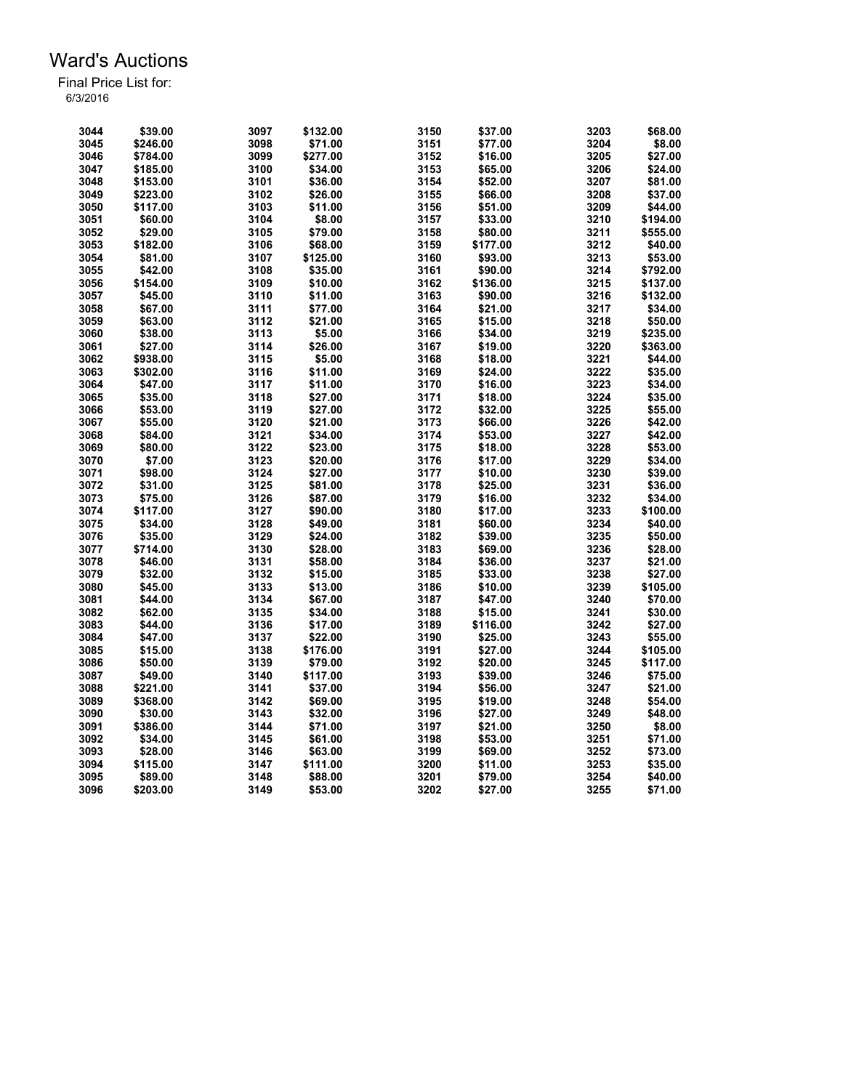| 3044 | \$39.00  | 3097 | \$132.00 | 3150 | \$37.00  | 3203 | \$68.00  |
|------|----------|------|----------|------|----------|------|----------|
| 3045 | \$246.00 | 3098 | \$71.00  | 3151 | \$77.00  | 3204 | \$8.00   |
| 3046 | \$784.00 | 3099 | \$277.00 | 3152 | \$16.00  | 3205 | \$27.00  |
| 3047 | \$185.00 | 3100 | \$34.00  | 3153 | \$65.00  | 3206 | \$24.00  |
| 3048 | \$153.00 | 3101 | \$36.00  | 3154 | \$52.00  | 3207 | \$81.00  |
| 3049 | \$223.00 | 3102 | \$26.00  | 3155 | \$66.00  | 3208 | \$37.00  |
|      |          |      |          |      |          |      |          |
| 3050 | \$117.00 | 3103 | \$11.00  | 3156 | \$51.00  | 3209 | \$44.00  |
| 3051 | \$60.00  | 3104 | \$8.00   | 3157 | \$33.00  | 3210 | \$194.00 |
| 3052 | \$29.00  | 3105 | \$79.00  | 3158 | \$80.00  | 3211 | \$555.00 |
| 3053 | \$182.00 | 3106 | \$68.00  | 3159 | \$177.00 | 3212 | \$40.00  |
| 3054 | \$81.00  | 3107 | \$125.00 | 3160 | \$93.00  | 3213 | \$53.00  |
| 3055 | \$42.00  | 3108 | \$35.00  | 3161 | \$90.00  | 3214 | \$792.00 |
| 3056 | \$154.00 | 3109 | \$10.00  | 3162 | \$136.00 | 3215 | \$137.00 |
| 3057 | \$45.00  | 3110 | \$11.00  | 3163 | \$90.00  | 3216 | \$132.00 |
| 3058 | \$67.00  | 3111 | \$77.00  | 3164 | \$21.00  | 3217 | \$34.00  |
| 3059 | \$63.00  | 3112 | \$21.00  | 3165 | \$15.00  | 3218 | \$50.00  |
| 3060 | \$38.00  | 3113 | \$5.00   | 3166 | \$34.00  | 3219 | \$235.00 |
| 3061 | \$27.00  | 3114 | \$26.00  | 3167 | \$19.00  | 3220 | \$363.00 |
| 3062 | \$938.00 | 3115 | \$5.00   | 3168 | \$18.00  | 3221 | \$44.00  |
| 3063 | \$302.00 | 3116 | \$11.00  | 3169 | \$24.00  | 3222 | \$35.00  |
| 3064 | \$47.00  | 3117 | \$11.00  | 3170 | \$16.00  | 3223 | \$34.00  |
| 3065 | \$35.00  | 3118 | \$27.00  | 3171 | \$18.00  | 3224 | \$35.00  |
| 3066 | \$53.00  | 3119 | \$27.00  | 3172 | \$32.00  | 3225 | \$55.00  |
| 3067 | \$55.00  | 3120 | \$21.00  | 3173 | \$66.00  | 3226 | \$42.00  |
| 3068 | \$84.00  | 3121 | \$34.00  | 3174 | \$53.00  | 3227 | \$42.00  |
| 3069 | \$80.00  | 3122 | \$23.00  | 3175 | \$18.00  | 3228 | \$53.00  |
| 3070 | \$7.00   | 3123 | \$20.00  | 3176 | \$17.00  | 3229 | \$34.00  |
| 3071 | \$98.00  | 3124 | \$27.00  | 3177 | \$10.00  | 3230 | \$39.00  |
|      |          |      |          |      |          |      |          |
| 3072 | \$31.00  | 3125 | \$81.00  | 3178 | \$25.00  | 3231 | \$36.00  |
| 3073 | \$75.00  | 3126 | \$87.00  | 3179 | \$16.00  | 3232 | \$34.00  |
| 3074 | \$117.00 | 3127 | \$90.00  | 3180 | \$17.00  | 3233 | \$100.00 |
| 3075 | \$34.00  | 3128 | \$49.00  | 3181 | \$60.00  | 3234 | \$40.00  |
| 3076 | \$35.00  | 3129 | \$24.00  | 3182 | \$39.00  | 3235 | \$50.00  |
| 3077 | \$714.00 | 3130 | \$28.00  | 3183 | \$69.00  | 3236 | \$28.00  |
| 3078 | \$46.00  | 3131 | \$58.00  | 3184 | \$36.00  | 3237 | \$21.00  |
| 3079 | \$32.00  | 3132 | \$15.00  | 3185 | \$33.00  | 3238 | \$27.00  |
| 3080 | \$45.00  | 3133 | \$13.00  | 3186 | \$10.00  | 3239 | \$105.00 |
| 3081 | \$44.00  | 3134 | \$67.00  | 3187 | \$47.00  | 3240 | \$70.00  |
| 3082 | \$62.00  | 3135 | \$34.00  | 3188 | \$15.00  | 3241 | \$30.00  |
| 3083 | \$44.00  | 3136 | \$17.00  | 3189 | \$116.00 | 3242 | \$27.00  |
| 3084 | \$47.00  | 3137 | \$22.00  | 3190 | \$25.00  | 3243 | \$55.00  |
| 3085 | \$15.00  | 3138 | \$176.00 | 3191 | \$27.00  | 3244 | \$105.00 |
| 3086 | \$50.00  | 3139 | \$79.00  | 3192 | \$20.00  | 3245 | \$117.00 |
| 3087 | \$49.00  | 3140 | \$117.00 | 3193 | \$39.00  | 3246 | \$75.00  |
| 3088 | \$221.00 | 3141 | \$37.00  | 3194 | \$56.00  | 3247 | \$21.00  |
| 3089 | \$368.00 | 3142 | \$69.00  | 3195 | \$19.00  | 3248 | \$54.00  |
| 3090 | \$30.00  | 3143 | \$32.00  | 3196 | \$27.00  | 3249 | \$48.00  |
| 3091 | \$386.00 | 3144 | \$71.00  | 3197 | \$21.00  | 3250 | \$8.00   |
| 3092 | \$34.00  | 3145 | \$61.00  | 3198 | \$53.00  | 3251 | \$71.00  |
| 3093 | \$28.00  | 3146 | \$63.00  | 3199 | \$69.00  | 3252 | \$73.00  |
| 3094 | \$115.00 | 3147 | \$111.00 | 3200 | \$11.00  | 3253 | \$35.00  |
| 3095 | \$89.00  | 3148 | \$88.00  | 3201 | \$79.00  | 3254 | \$40.00  |
|      |          |      |          |      |          |      |          |
| 3096 | \$203.00 | 3149 | \$53.00  | 3202 | \$27.00  | 3255 | \$71.00  |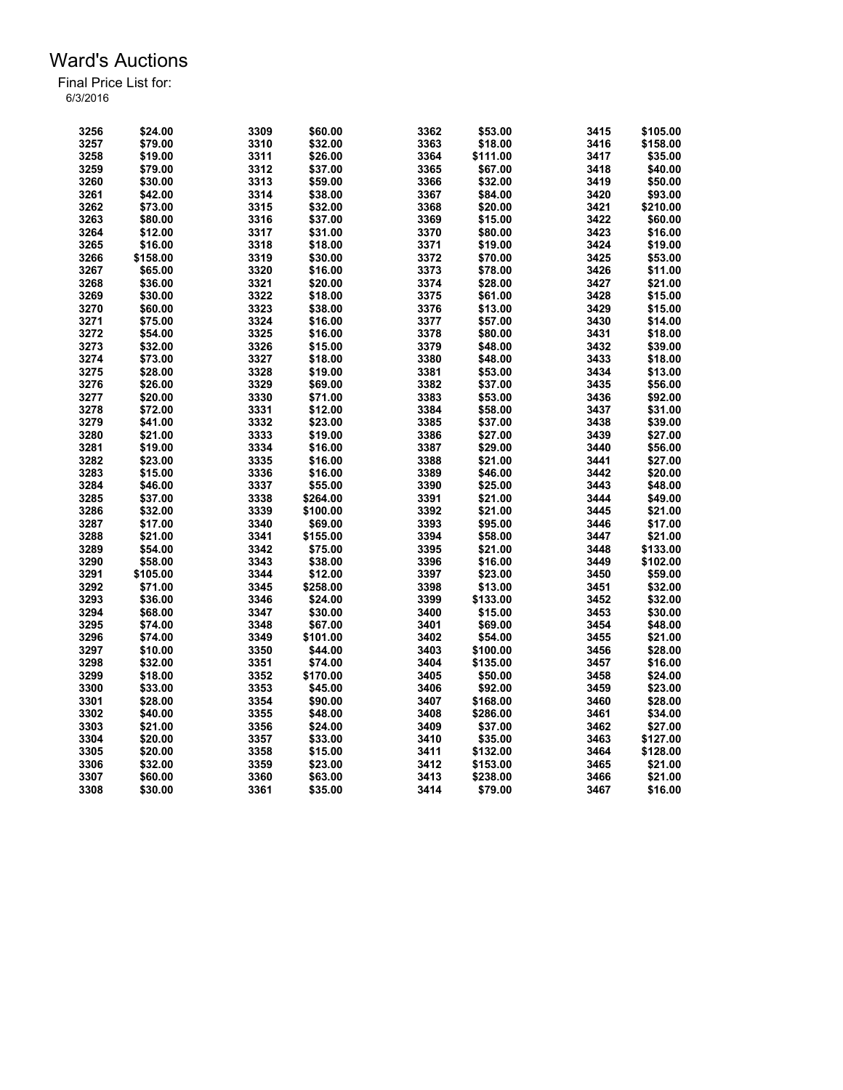| 3256 | \$24.00  | 3309 | \$60.00  | 3362 | \$53.00  | 3415 | \$105.00 |
|------|----------|------|----------|------|----------|------|----------|
| 3257 | \$79.00  | 3310 | \$32.00  | 3363 | \$18.00  | 3416 | \$158.00 |
| 3258 | \$19.00  | 3311 | \$26.00  | 3364 | \$111.00 | 3417 | \$35.00  |
| 3259 | \$79.00  | 3312 | \$37.00  | 3365 | \$67.00  | 3418 | \$40.00  |
| 3260 | \$30.00  | 3313 | \$59.00  | 3366 | \$32.00  | 3419 | \$50.00  |
| 3261 | \$42.00  | 3314 | \$38.00  | 3367 | \$84.00  | 3420 | \$93.00  |
| 3262 | \$73.00  | 3315 | \$32.00  | 3368 | \$20.00  | 3421 | \$210.00 |
| 3263 | \$80.00  | 3316 | \$37.00  | 3369 | \$15.00  | 3422 | \$60.00  |
| 3264 | \$12.00  | 3317 | \$31.00  | 3370 | \$80.00  | 3423 | \$16.00  |
| 3265 | \$16.00  | 3318 | \$18.00  | 3371 | \$19.00  | 3424 | \$19.00  |
| 3266 | \$158.00 | 3319 | \$30.00  | 3372 | \$70.00  | 3425 | \$53.00  |
| 3267 | \$65.00  | 3320 | \$16.00  | 3373 | \$78.00  | 3426 | \$11.00  |
| 3268 | \$36.00  | 3321 | \$20.00  | 3374 | \$28.00  | 3427 | \$21.00  |
|      |          |      |          |      |          |      |          |
| 3269 | \$30.00  | 3322 | \$18.00  | 3375 | \$61.00  | 3428 | \$15.00  |
| 3270 | \$60.00  | 3323 | \$38.00  | 3376 | \$13.00  | 3429 | \$15.00  |
| 3271 | \$75.00  | 3324 | \$16.00  | 3377 | \$57.00  | 3430 | \$14.00  |
| 3272 | \$54.00  | 3325 | \$16.00  | 3378 | \$80.00  | 3431 | \$18.00  |
| 3273 | \$32.00  | 3326 | \$15.00  | 3379 | \$48.00  | 3432 | \$39.00  |
| 3274 | \$73.00  | 3327 | \$18.00  | 3380 | \$48.00  | 3433 | \$18.00  |
| 3275 | \$28.00  | 3328 | \$19.00  | 3381 | \$53.00  | 3434 | \$13.00  |
| 3276 | \$26.00  | 3329 | \$69.00  | 3382 | \$37.00  | 3435 | \$56.00  |
| 3277 | \$20.00  | 3330 | \$71.00  | 3383 | \$53.00  | 3436 | \$92.00  |
| 3278 | \$72.00  | 3331 | \$12.00  | 3384 | \$58.00  | 3437 | \$31.00  |
| 3279 | \$41.00  | 3332 | \$23.00  | 3385 | \$37.00  | 3438 | \$39.00  |
| 3280 | \$21.00  | 3333 | \$19.00  | 3386 | \$27.00  | 3439 | \$27.00  |
| 3281 | \$19.00  | 3334 | \$16.00  | 3387 | \$29.00  | 3440 | \$56.00  |
| 3282 | \$23.00  | 3335 | \$16.00  | 3388 | \$21.00  | 3441 | \$27.00  |
| 3283 | \$15.00  | 3336 | \$16.00  | 3389 | \$46.00  | 3442 | \$20.00  |
| 3284 | \$46.00  | 3337 | \$55.00  | 3390 | \$25.00  | 3443 | \$48.00  |
| 3285 | \$37.00  | 3338 | \$264.00 | 3391 | \$21.00  | 3444 | \$49.00  |
| 3286 | \$32.00  | 3339 | \$100.00 | 3392 | \$21.00  | 3445 | \$21.00  |
| 3287 | \$17.00  | 3340 | \$69.00  | 3393 | \$95.00  | 3446 | \$17.00  |
| 3288 | \$21.00  | 3341 | \$155.00 | 3394 | \$58.00  | 3447 | \$21.00  |
| 3289 | \$54.00  | 3342 | \$75.00  | 3395 | \$21.00  | 3448 | \$133.00 |
| 3290 | \$58.00  | 3343 |          | 3396 |          | 3449 |          |
|      |          |      | \$38.00  |      | \$16.00  |      | \$102.00 |
| 3291 | \$105.00 | 3344 | \$12.00  | 3397 | \$23.00  | 3450 | \$59.00  |
| 3292 | \$71.00  | 3345 | \$258.00 | 3398 | \$13.00  | 3451 | \$32.00  |
| 3293 | \$36.00  | 3346 | \$24.00  | 3399 | \$133.00 | 3452 | \$32.00  |
| 3294 | \$68.00  | 3347 | \$30.00  | 3400 | \$15.00  | 3453 | \$30.00  |
| 3295 | \$74.00  | 3348 | \$67.00  | 3401 | \$69.00  | 3454 | \$48.00  |
| 3296 | \$74.00  | 3349 | \$101.00 | 3402 | \$54.00  | 3455 | \$21.00  |
| 3297 | \$10.00  | 3350 | \$44.00  | 3403 | \$100.00 | 3456 | \$28.00  |
| 3298 | \$32.00  | 3351 | \$74.00  | 3404 | \$135.00 | 3457 | \$16.00  |
| 3299 | \$18.00  | 3352 | \$170.00 | 3405 | \$50.00  | 3458 | \$24.00  |
| 3300 | \$33.00  | 3353 | \$45.00  | 3406 | \$92.00  | 3459 | \$23.00  |
| 3301 | \$28.00  | 3354 | \$90.00  | 3407 | \$168.00 | 3460 | \$28.00  |
| 3302 | \$40.00  | 3355 | \$48.00  | 3408 | \$286.00 | 3461 | \$34.00  |
| 3303 | \$21.00  | 3356 | \$24.00  | 3409 | \$37.00  | 3462 | \$27.00  |
| 3304 | \$20.00  | 3357 | \$33.00  | 3410 | \$35.00  | 3463 | \$127.00 |
| 3305 | \$20.00  | 3358 | \$15.00  | 3411 | \$132.00 | 3464 | \$128.00 |
| 3306 | \$32.00  | 3359 | \$23.00  | 3412 | \$153.00 | 3465 | \$21.00  |
| 3307 | \$60.00  | 3360 | \$63.00  | 3413 | \$238.00 | 3466 | \$21.00  |
| 3308 | \$30.00  | 3361 | \$35.00  | 3414 | \$79.00  | 3467 | \$16.00  |
|      |          |      |          |      |          |      |          |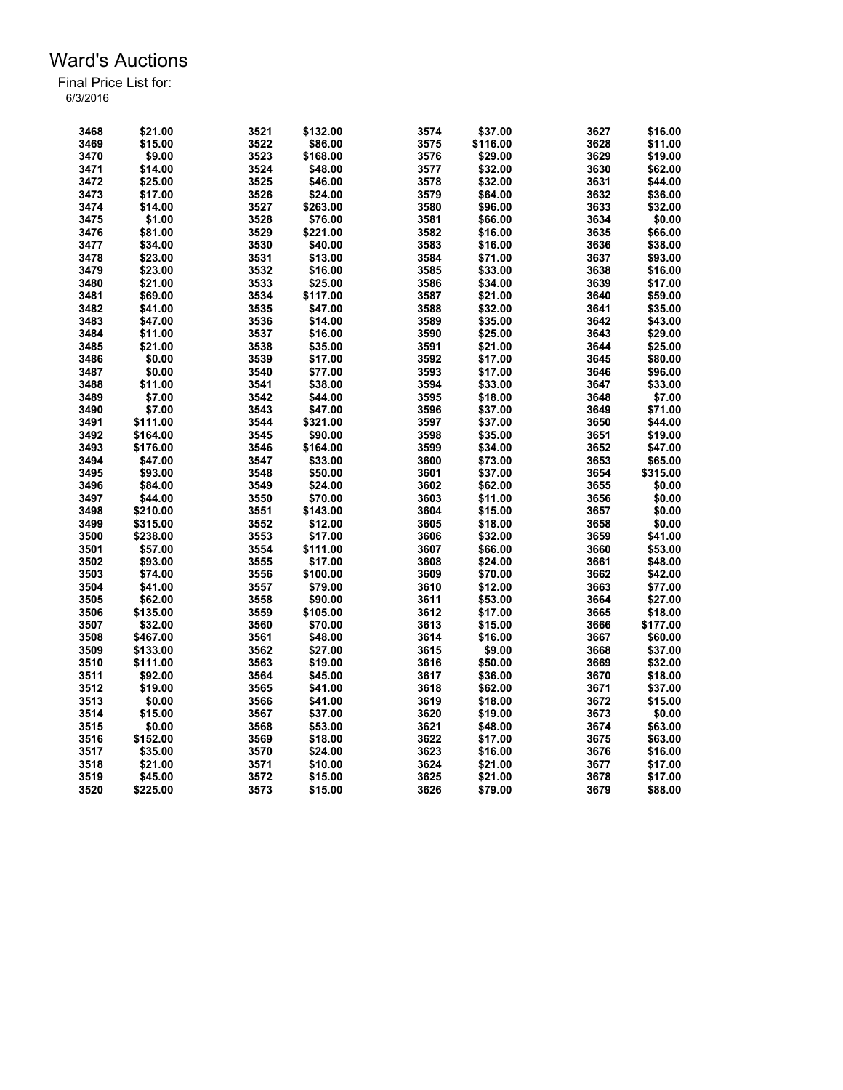| 3468 | \$21.00  | 3521 | \$132.00 | 3574 | \$37.00  | 3627 | \$16.00  |
|------|----------|------|----------|------|----------|------|----------|
| 3469 | \$15.00  | 3522 | \$86.00  | 3575 | \$116.00 | 3628 | \$11.00  |
| 3470 | \$9.00   | 3523 | \$168.00 | 3576 | \$29.00  | 3629 | \$19.00  |
| 3471 | \$14.00  | 3524 | \$48.00  | 3577 | \$32.00  | 3630 | \$62.00  |
| 3472 | \$25.00  | 3525 | \$46.00  | 3578 | \$32.00  | 3631 | \$44.00  |
| 3473 | \$17.00  | 3526 | \$24.00  | 3579 | \$64.00  | 3632 | \$36.00  |
| 3474 | \$14.00  | 3527 | \$263.00 | 3580 | \$96.00  | 3633 | \$32.00  |
| 3475 | \$1.00   | 3528 | \$76.00  | 3581 | \$66.00  | 3634 | \$0.00   |
| 3476 | \$81.00  | 3529 | \$221.00 | 3582 | \$16.00  | 3635 | \$66.00  |
| 3477 | \$34.00  | 3530 | \$40.00  | 3583 | \$16.00  | 3636 | \$38.00  |
| 3478 | \$23.00  | 3531 | \$13.00  | 3584 | \$71.00  | 3637 | \$93.00  |
| 3479 | \$23.00  | 3532 | \$16.00  | 3585 | \$33.00  | 3638 | \$16.00  |
| 3480 | \$21.00  | 3533 | \$25.00  | 3586 | \$34.00  | 3639 | \$17.00  |
| 3481 | \$69.00  | 3534 | \$117.00 | 3587 | \$21.00  | 3640 | \$59.00  |
| 3482 | \$41.00  | 3535 | \$47.00  | 3588 | \$32.00  | 3641 | \$35.00  |
| 3483 | \$47.00  | 3536 | \$14.00  | 3589 | \$35.00  | 3642 | \$43.00  |
| 3484 | \$11.00  | 3537 | \$16.00  | 3590 | \$25.00  | 3643 | \$29.00  |
| 3485 | \$21.00  | 3538 | \$35.00  | 3591 | \$21.00  | 3644 | \$25.00  |
| 3486 | \$0.00   | 3539 | \$17.00  | 3592 | \$17.00  | 3645 | \$80.00  |
| 3487 | \$0.00   | 3540 |          | 3593 |          | 3646 |          |
|      |          |      | \$77.00  |      | \$17.00  |      | \$96.00  |
| 3488 | \$11.00  | 3541 | \$38.00  | 3594 | \$33.00  | 3647 | \$33.00  |
| 3489 | \$7.00   | 3542 | \$44.00  | 3595 | \$18.00  | 3648 | \$7.00   |
| 3490 | \$7.00   | 3543 | \$47.00  | 3596 | \$37.00  | 3649 | \$71.00  |
| 3491 | \$111.00 | 3544 | \$321.00 | 3597 | \$37.00  | 3650 | \$44.00  |
| 3492 | \$164.00 | 3545 | \$90.00  | 3598 | \$35.00  | 3651 | \$19.00  |
| 3493 | \$176.00 | 3546 | \$164.00 | 3599 | \$34.00  | 3652 | \$47.00  |
| 3494 | \$47.00  | 3547 | \$33.00  | 3600 | \$73.00  | 3653 | \$65.00  |
| 3495 | \$93.00  | 3548 | \$50.00  | 3601 | \$37.00  | 3654 | \$315.00 |
| 3496 | \$84.00  | 3549 | \$24.00  | 3602 | \$62.00  | 3655 | \$0.00   |
| 3497 | \$44.00  | 3550 | \$70.00  | 3603 | \$11.00  | 3656 | \$0.00   |
| 3498 | \$210.00 | 3551 | \$143.00 | 3604 | \$15.00  | 3657 | \$0.00   |
| 3499 | \$315.00 | 3552 | \$12.00  | 3605 | \$18.00  | 3658 | \$0.00   |
| 3500 | \$238.00 | 3553 | \$17.00  | 3606 | \$32.00  | 3659 | \$41.00  |
| 3501 | \$57.00  | 3554 | \$111.00 | 3607 | \$66.00  | 3660 | \$53.00  |
| 3502 | \$93.00  | 3555 | \$17.00  | 3608 | \$24.00  | 3661 | \$48.00  |
| 3503 | \$74.00  | 3556 | \$100.00 | 3609 | \$70.00  | 3662 | \$42.00  |
| 3504 | \$41.00  | 3557 | \$79.00  | 3610 | \$12.00  | 3663 | \$77.00  |
| 3505 | \$62.00  | 3558 | \$90.00  | 3611 | \$53.00  | 3664 | \$27.00  |
| 3506 | \$135.00 | 3559 | \$105.00 | 3612 | \$17.00  | 3665 | \$18.00  |
| 3507 | \$32.00  | 3560 | \$70.00  | 3613 | \$15.00  | 3666 | \$177.00 |
| 3508 | \$467.00 | 3561 | \$48.00  | 3614 | \$16.00  | 3667 | \$60.00  |
| 3509 | \$133.00 | 3562 | \$27.00  | 3615 | \$9.00   | 3668 | \$37.00  |
| 3510 | \$111.00 | 3563 | \$19.00  | 3616 | \$50.00  | 3669 | \$32.00  |
| 3511 | \$92.00  | 3564 | \$45.00  | 3617 | \$36.00  | 3670 | \$18.00  |
| 3512 | \$19.00  | 3565 | \$41.00  | 3618 | \$62.00  | 3671 | \$37.00  |
| 3513 | \$0.00   | 3566 | \$41.00  | 3619 | \$18.00  | 3672 | \$15.00  |
| 3514 | \$15.00  | 3567 | \$37.00  | 3620 | \$19.00  | 3673 | \$0.00   |
| 3515 | \$0.00   | 3568 | \$53.00  | 3621 | \$48.00  | 3674 | \$63.00  |
| 3516 | \$152.00 | 3569 | \$18.00  | 3622 | \$17.00  | 3675 | \$63.00  |
| 3517 | \$35.00  | 3570 | \$24.00  | 3623 | \$16.00  | 3676 | \$16.00  |
| 3518 | \$21.00  | 3571 | \$10.00  | 3624 | \$21.00  | 3677 | \$17.00  |
| 3519 | \$45.00  | 3572 | \$15.00  | 3625 | \$21.00  | 3678 | \$17.00  |
| 3520 | \$225.00 | 3573 | \$15.00  | 3626 | \$79.00  | 3679 | \$88.00  |
|      |          |      |          |      |          |      |          |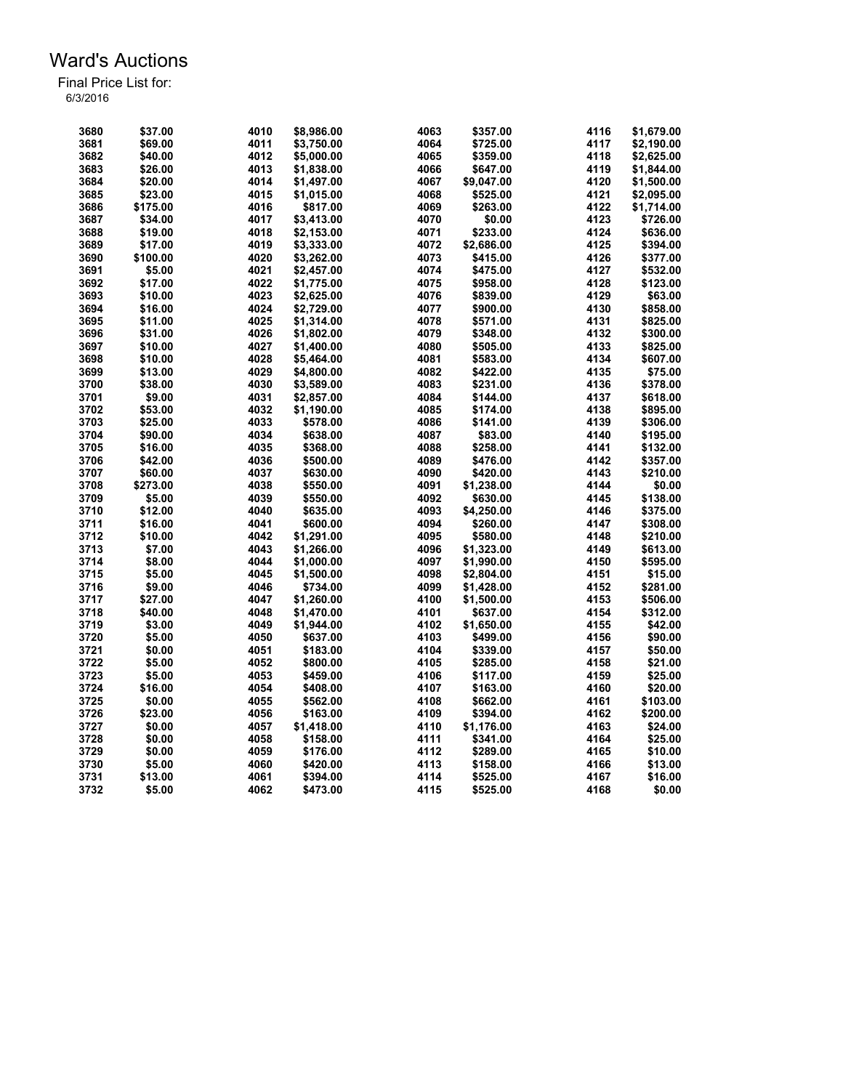| 3680 | \$37.00  | 4010 | \$8,986.00 | 4063 | \$357.00   | 4116 | \$1,679.00 |
|------|----------|------|------------|------|------------|------|------------|
| 3681 | \$69.00  | 4011 | \$3,750.00 | 4064 | \$725.00   | 4117 | \$2,190.00 |
| 3682 | \$40.00  | 4012 | \$5,000.00 | 4065 | \$359.00   | 4118 | \$2,625.00 |
| 3683 | \$26.00  | 4013 | \$1,838.00 | 4066 | \$647.00   | 4119 | \$1,844.00 |
| 3684 | \$20.00  | 4014 | \$1,497.00 | 4067 | \$9,047.00 | 4120 | \$1,500.00 |
| 3685 | \$23.00  | 4015 | \$1,015.00 | 4068 | \$525.00   | 4121 | \$2,095.00 |
| 3686 | \$175.00 | 4016 | \$817.00   | 4069 | \$263.00   | 4122 | \$1,714.00 |
| 3687 | \$34.00  | 4017 | \$3,413.00 | 4070 | \$0.00     | 4123 | \$726.00   |
| 3688 | \$19.00  | 4018 | \$2,153.00 | 4071 | \$233.00   | 4124 | \$636.00   |
| 3689 | \$17.00  | 4019 |            | 4072 | \$2,686.00 | 4125 | \$394.00   |
| 3690 |          | 4020 | \$3,333.00 | 4073 |            | 4126 |            |
|      | \$100.00 |      | \$3,262.00 |      | \$415.00   |      | \$377.00   |
| 3691 | \$5.00   | 4021 | \$2,457.00 | 4074 | \$475.00   | 4127 | \$532.00   |
| 3692 | \$17.00  | 4022 | \$1,775.00 | 4075 | \$958.00   | 4128 | \$123.00   |
| 3693 | \$10.00  | 4023 | \$2,625.00 | 4076 | \$839.00   | 4129 | \$63.00    |
| 3694 | \$16.00  | 4024 | \$2,729.00 | 4077 | \$900.00   | 4130 | \$858.00   |
| 3695 | \$11.00  | 4025 | \$1,314.00 | 4078 | \$571.00   | 4131 | \$825.00   |
| 3696 | \$31.00  | 4026 | \$1,802.00 | 4079 | \$348.00   | 4132 | \$300.00   |
| 3697 | \$10.00  | 4027 | \$1,400.00 | 4080 | \$505.00   | 4133 | \$825.00   |
| 3698 | \$10.00  | 4028 | \$5,464.00 | 4081 | \$583.00   | 4134 | \$607.00   |
| 3699 | \$13.00  | 4029 | \$4,800.00 | 4082 | \$422.00   | 4135 | \$75.00    |
| 3700 | \$38.00  | 4030 | \$3,589.00 | 4083 | \$231.00   | 4136 | \$378.00   |
| 3701 | \$9.00   | 4031 | \$2,857.00 | 4084 | \$144.00   | 4137 | \$618.00   |
| 3702 | \$53.00  | 4032 | \$1,190.00 | 4085 | \$174.00   | 4138 | \$895.00   |
| 3703 | \$25.00  | 4033 | \$578.00   | 4086 | \$141.00   | 4139 | \$306.00   |
| 3704 | \$90.00  | 4034 | \$638.00   | 4087 | \$83.00    | 4140 | \$195.00   |
| 3705 | \$16.00  | 4035 | \$368.00   | 4088 | \$258.00   | 4141 | \$132.00   |
| 3706 | \$42.00  | 4036 | \$500.00   | 4089 | \$476.00   | 4142 | \$357.00   |
| 3707 | \$60.00  | 4037 | \$630.00   | 4090 | \$420.00   | 4143 | \$210.00   |
| 3708 | \$273.00 | 4038 | \$550.00   | 4091 | \$1,238.00 | 4144 | \$0.00     |
| 3709 | \$5.00   | 4039 | \$550.00   | 4092 | \$630.00   | 4145 | \$138.00   |
| 3710 | \$12.00  | 4040 | \$635.00   | 4093 | \$4,250.00 | 4146 | \$375.00   |
| 3711 | \$16.00  | 4041 | \$600.00   | 4094 | \$260.00   | 4147 | \$308.00   |
| 3712 | \$10.00  | 4042 |            | 4095 | \$580.00   | 4148 |            |
|      |          |      | \$1,291.00 |      |            |      | \$210.00   |
| 3713 | \$7.00   | 4043 | \$1,266.00 | 4096 | \$1,323.00 | 4149 | \$613.00   |
| 3714 | \$8.00   | 4044 | \$1,000.00 | 4097 | \$1,990.00 | 4150 | \$595.00   |
| 3715 | \$5.00   | 4045 | \$1,500.00 | 4098 | \$2,804.00 | 4151 | \$15.00    |
| 3716 | \$9.00   | 4046 | \$734.00   | 4099 | \$1,428.00 | 4152 | \$281.00   |
| 3717 | \$27.00  | 4047 | \$1,260.00 | 4100 | \$1,500.00 | 4153 | \$506.00   |
| 3718 | \$40.00  | 4048 | \$1,470.00 | 4101 | \$637.00   | 4154 | \$312.00   |
| 3719 | \$3.00   | 4049 | \$1,944.00 | 4102 | \$1,650.00 | 4155 | \$42.00    |
| 3720 | \$5.00   | 4050 | \$637.00   | 4103 | \$499.00   | 4156 | \$90.00    |
| 3721 | \$0.00   | 4051 | \$183.00   | 4104 | \$339.00   | 4157 | \$50.00    |
| 3722 | \$5.00   | 4052 | \$800.00   | 4105 | \$285.00   | 4158 | \$21.00    |
| 3723 | \$5.00   | 4053 | \$459.00   | 4106 | \$117.00   | 4159 | \$25.00    |
| 3724 | \$16.00  | 4054 | \$408.00   | 4107 | \$163.00   | 4160 | \$20.00    |
| 3725 | \$0.00   | 4055 | \$562.00   | 4108 | \$662.00   | 4161 | \$103.00   |
| 3726 | \$23.00  | 4056 | \$163.00   | 4109 | \$394.00   | 4162 | \$200.00   |
| 3727 | \$0.00   | 4057 | \$1,418.00 | 4110 | \$1,176.00 | 4163 | \$24.00    |
| 3728 | \$0.00   | 4058 | \$158.00   | 4111 | \$341.00   | 4164 | \$25.00    |
| 3729 | \$0.00   | 4059 | \$176.00   | 4112 | \$289.00   | 4165 | \$10.00    |
| 3730 | \$5.00   | 4060 | \$420.00   | 4113 | \$158.00   | 4166 | \$13.00    |
| 3731 | \$13.00  | 4061 | \$394.00   | 4114 | \$525.00   | 4167 | \$16.00    |
| 3732 | \$5.00   | 4062 | \$473.00   | 4115 | \$525.00   | 4168 | \$0.00     |
|      |          |      |            |      |            |      |            |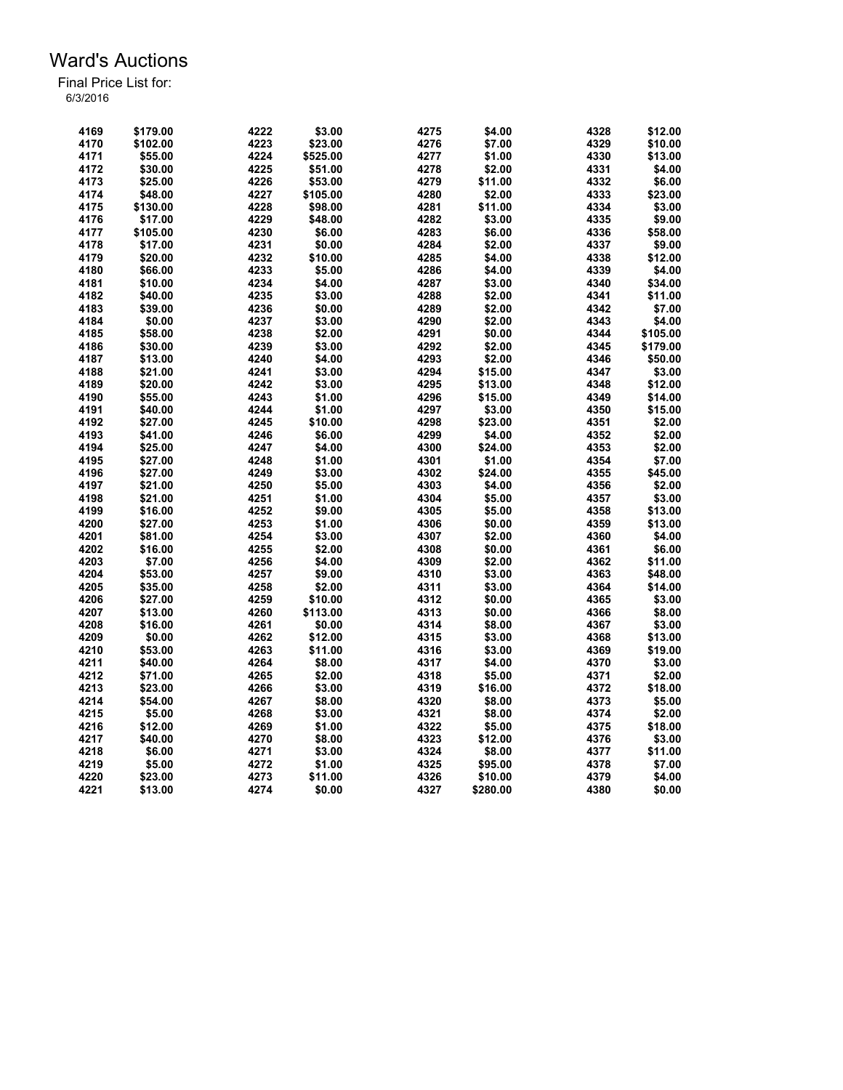| 4169 | \$179.00 | 4222 | \$3.00   | 4275 | \$4.00   | 4328 | \$12.00  |
|------|----------|------|----------|------|----------|------|----------|
| 4170 | \$102.00 | 4223 | \$23.00  | 4276 | \$7.00   | 4329 | \$10.00  |
| 4171 | \$55.00  | 4224 | \$525.00 | 4277 | \$1.00   | 4330 | \$13.00  |
| 4172 | \$30.00  | 4225 | \$51.00  | 4278 | \$2.00   | 4331 | \$4.00   |
| 4173 | \$25.00  | 4226 | \$53.00  | 4279 | \$11.00  | 4332 | \$6.00   |
| 4174 | \$48.00  | 4227 | \$105.00 | 4280 | \$2.00   | 4333 | \$23.00  |
| 4175 | \$130.00 | 4228 | \$98.00  | 4281 | \$11.00  | 4334 | \$3.00   |
| 4176 | \$17.00  | 4229 | \$48.00  | 4282 | \$3.00   | 4335 | \$9.00   |
| 4177 | \$105.00 | 4230 | \$6.00   | 4283 | \$6.00   | 4336 | \$58.00  |
| 4178 | \$17.00  | 4231 | \$0.00   | 4284 | \$2.00   | 4337 | \$9.00   |
| 4179 | \$20.00  | 4232 | \$10.00  | 4285 | \$4.00   | 4338 | \$12.00  |
| 4180 | \$66.00  | 4233 | \$5.00   | 4286 | \$4.00   | 4339 | \$4.00   |
| 4181 | \$10.00  | 4234 | \$4.00   | 4287 | \$3.00   | 4340 | \$34.00  |
| 4182 | \$40.00  | 4235 | \$3.00   | 4288 | \$2.00   | 4341 | \$11.00  |
| 4183 | \$39.00  | 4236 | \$0.00   | 4289 | \$2.00   | 4342 | \$7.00   |
| 4184 | \$0.00   | 4237 | \$3.00   | 4290 | \$2.00   | 4343 | \$4.00   |
| 4185 | \$58.00  | 4238 | \$2.00   | 4291 | \$0.00   | 4344 | \$105.00 |
| 4186 | \$30.00  | 4239 | \$3.00   | 4292 | \$2.00   | 4345 | \$179.00 |
| 4187 | \$13.00  | 4240 | \$4.00   | 4293 | \$2.00   | 4346 | \$50.00  |
| 4188 | \$21.00  | 4241 | \$3.00   | 4294 | \$15.00  | 4347 | \$3.00   |
| 4189 | \$20.00  | 4242 | \$3.00   | 4295 | \$13.00  | 4348 | \$12.00  |
| 4190 | \$55.00  | 4243 |          | 4296 | \$15.00  | 4349 |          |
|      |          |      | \$1.00   |      |          |      | \$14.00  |
| 4191 | \$40.00  | 4244 | \$1.00   | 4297 | \$3.00   | 4350 | \$15.00  |
| 4192 | \$27.00  | 4245 | \$10.00  | 4298 | \$23.00  | 4351 | \$2.00   |
| 4193 | \$41.00  | 4246 | \$6.00   | 4299 | \$4.00   | 4352 | \$2.00   |
| 4194 | \$25.00  | 4247 | \$4.00   | 4300 | \$24.00  | 4353 | \$2.00   |
| 4195 | \$27.00  | 4248 | \$1.00   | 4301 | \$1.00   | 4354 | \$7.00   |
| 4196 | \$27.00  | 4249 | \$3.00   | 4302 | \$24.00  | 4355 | \$45.00  |
| 4197 | \$21.00  | 4250 | \$5.00   | 4303 | \$4.00   | 4356 | \$2.00   |
| 4198 | \$21.00  | 4251 | \$1.00   | 4304 | \$5.00   | 4357 | \$3.00   |
| 4199 | \$16.00  | 4252 | \$9.00   | 4305 | \$5.00   | 4358 | \$13.00  |
| 4200 | \$27.00  | 4253 | \$1.00   | 4306 | \$0.00   | 4359 | \$13.00  |
| 4201 | \$81.00  | 4254 | \$3.00   | 4307 | \$2.00   | 4360 | \$4.00   |
| 4202 | \$16.00  | 4255 | \$2.00   | 4308 | \$0.00   | 4361 | \$6.00   |
| 4203 | \$7.00   | 4256 | \$4.00   | 4309 | \$2.00   | 4362 | \$11.00  |
| 4204 | \$53.00  | 4257 | \$9.00   | 4310 | \$3.00   | 4363 | \$48.00  |
| 4205 | \$35.00  | 4258 | \$2.00   | 4311 | \$3.00   | 4364 | \$14.00  |
| 4206 | \$27.00  | 4259 | \$10.00  | 4312 | \$0.00   | 4365 | \$3.00   |
| 4207 | \$13.00  | 4260 | \$113.00 | 4313 | \$0.00   | 4366 | \$8.00   |
| 4208 | \$16.00  | 4261 | \$0.00   | 4314 | \$8.00   | 4367 | \$3.00   |
| 4209 | \$0.00   | 4262 | \$12.00  | 4315 | \$3.00   | 4368 | \$13.00  |
| 4210 | \$53.00  | 4263 | \$11.00  | 4316 | \$3.00   | 4369 | \$19.00  |
| 4211 | \$40.00  | 4264 | \$8.00   | 4317 | \$4.00   | 4370 | \$3.00   |
| 4212 | \$71.00  | 4265 | \$2.00   | 4318 | \$5.00   | 4371 | \$2.00   |
| 4213 | \$23.00  | 4266 | \$3.00   | 4319 | \$16.00  | 4372 | \$18.00  |
| 4214 | \$54.00  | 4267 | \$8.00   | 4320 | \$8.00   | 4373 | \$5.00   |
| 4215 | \$5.00   | 4268 | \$3.00   | 4321 | \$8.00   | 4374 | \$2.00   |
| 4216 | \$12.00  | 4269 | \$1.00   | 4322 | \$5.00   | 4375 | \$18.00  |
| 4217 | \$40.00  | 4270 | \$8.00   | 4323 | \$12.00  | 4376 | \$3.00   |
| 4218 | \$6.00   | 4271 | \$3.00   | 4324 | \$8.00   | 4377 | \$11.00  |
| 4219 | \$5.00   | 4272 | \$1.00   | 4325 | \$95.00  | 4378 | \$7.00   |
| 4220 | \$23.00  | 4273 | \$11.00  | 4326 | \$10.00  | 4379 | \$4.00   |
| 4221 | \$13.00  | 4274 | \$0.00   | 4327 | \$280.00 | 4380 | \$0.00   |
|      |          |      |          |      |          |      |          |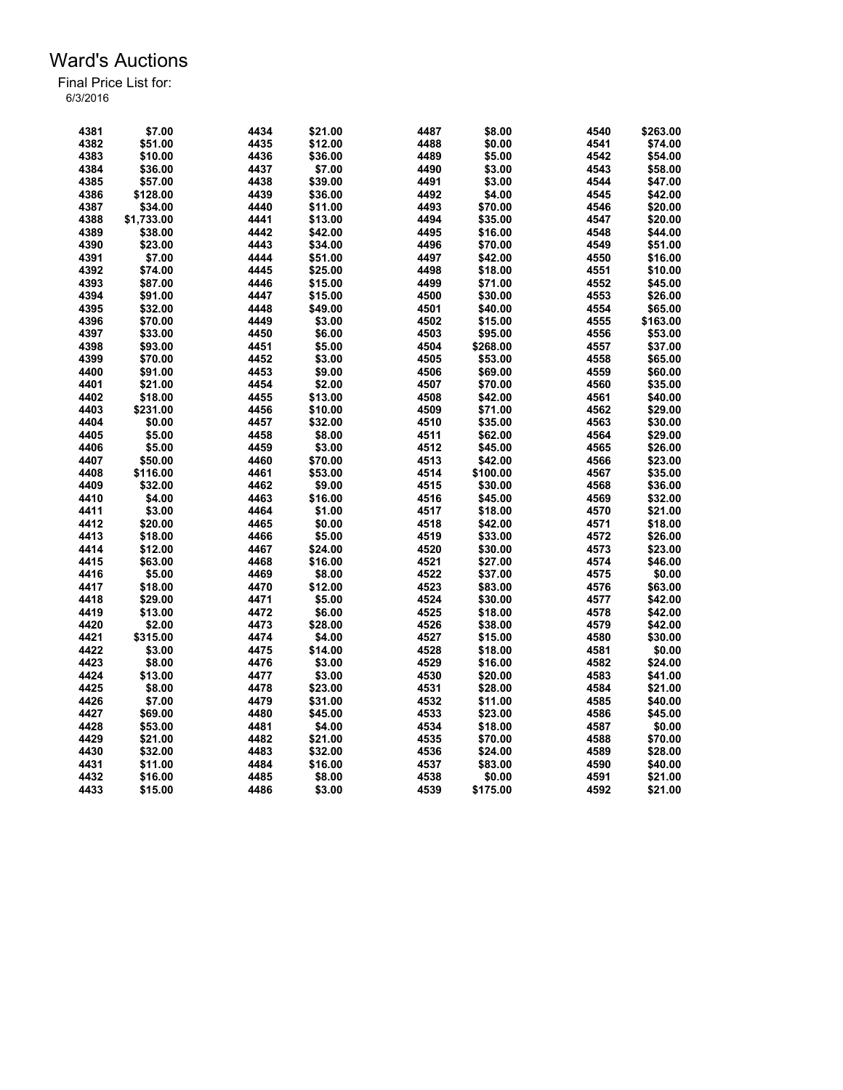| 4381 | \$7.00     | 4434 | \$21.00 | 4487 | \$8.00   | 4540         | \$263.00 |
|------|------------|------|---------|------|----------|--------------|----------|
| 4382 | \$51.00    | 4435 | \$12.00 | 4488 | \$0.00   | 4541         | \$74.00  |
| 4383 | \$10.00    | 4436 | \$36.00 | 4489 | \$5.00   | 4542         | \$54.00  |
| 4384 | \$36.00    | 4437 | \$7.00  | 4490 | \$3.00   | 4543         | \$58.00  |
| 4385 | \$57.00    | 4438 | \$39.00 | 4491 | \$3.00   | 4544         | \$47.00  |
| 4386 | \$128.00   | 4439 | \$36.00 | 4492 | \$4.00   | 4545         | \$42.00  |
| 4387 | \$34.00    | 4440 | \$11.00 | 4493 | \$70.00  | 4546         | \$20.00  |
| 4388 | \$1,733.00 | 4441 | \$13.00 | 4494 | \$35.00  | 4547         | \$20.00  |
| 4389 | \$38.00    | 4442 | \$42.00 | 4495 | \$16.00  | 4548         | \$44.00  |
| 4390 | \$23.00    | 4443 | \$34.00 | 4496 | \$70.00  | 4549         | \$51.00  |
| 4391 | \$7.00     | 4444 | \$51.00 | 4497 | \$42.00  | 4550         | \$16.00  |
| 4392 | \$74.00    | 4445 | \$25.00 | 4498 | \$18.00  | 4551         | \$10.00  |
| 4393 | \$87.00    | 4446 | \$15.00 | 4499 | \$71.00  | 4552         | \$45.00  |
| 4394 | \$91.00    | 4447 | \$15.00 | 4500 | \$30.00  | 4553         | \$26.00  |
| 4395 | \$32.00    | 4448 | \$49.00 | 4501 | \$40.00  | 4554         | \$65.00  |
| 4396 | \$70.00    | 4449 | \$3.00  | 4502 | \$15.00  | 4555         | \$163.00 |
| 4397 | \$33.00    | 4450 | \$6.00  | 4503 | \$95.00  | 4556         | \$53.00  |
| 4398 | \$93.00    | 4451 | \$5.00  | 4504 | \$268.00 | 4557         | \$37.00  |
| 4399 | \$70.00    |      |         |      |          |              |          |
| 4400 |            | 4452 | \$3.00  | 4505 | \$53.00  | 4558<br>4559 | \$65.00  |
|      | \$91.00    | 4453 | \$9.00  | 4506 | \$69.00  |              | \$60.00  |
| 4401 | \$21.00    | 4454 | \$2.00  | 4507 | \$70.00  | 4560         | \$35.00  |
| 4402 | \$18.00    | 4455 | \$13.00 | 4508 | \$42.00  | 4561         | \$40.00  |
| 4403 | \$231.00   | 4456 | \$10.00 | 4509 | \$71.00  | 4562         | \$29.00  |
| 4404 | \$0.00     | 4457 | \$32.00 | 4510 | \$35.00  | 4563         | \$30.00  |
| 4405 | \$5.00     | 4458 | \$8.00  | 4511 | \$62.00  | 4564         | \$29.00  |
| 4406 | \$5.00     | 4459 | \$3.00  | 4512 | \$45.00  | 4565         | \$26.00  |
| 4407 | \$50.00    | 4460 | \$70.00 | 4513 | \$42.00  | 4566         | \$23.00  |
| 4408 | \$116.00   | 4461 | \$53.00 | 4514 | \$100.00 | 4567         | \$35.00  |
| 4409 | \$32.00    | 4462 | \$9.00  | 4515 | \$30.00  | 4568         | \$36.00  |
| 4410 | \$4.00     | 4463 | \$16.00 | 4516 | \$45.00  | 4569         | \$32.00  |
| 4411 | \$3.00     | 4464 | \$1.00  | 4517 | \$18.00  | 4570         | \$21.00  |
| 4412 | \$20.00    | 4465 | \$0.00  | 4518 | \$42.00  | 4571         | \$18.00  |
| 4413 | \$18.00    | 4466 | \$5.00  | 4519 | \$33.00  | 4572         | \$26.00  |
| 4414 | \$12.00    | 4467 | \$24.00 | 4520 | \$30.00  | 4573         | \$23.00  |
| 4415 | \$63.00    | 4468 | \$16.00 | 4521 | \$27.00  | 4574         | \$46.00  |
| 4416 | \$5.00     | 4469 | \$8.00  | 4522 | \$37.00  | 4575         | \$0.00   |
| 4417 | \$18.00    | 4470 | \$12.00 | 4523 | \$83.00  | 4576         | \$63.00  |
| 4418 | \$29.00    | 4471 | \$5.00  | 4524 | \$30.00  | 4577         | \$42.00  |
| 4419 | \$13.00    | 4472 | \$6.00  | 4525 | \$18.00  | 4578         | \$42.00  |
| 4420 | \$2.00     | 4473 | \$28.00 | 4526 | \$38.00  | 4579         | \$42.00  |
| 4421 | \$315.00   | 4474 | \$4.00  | 4527 | \$15.00  | 4580         | \$30.00  |
| 4422 | \$3.00     | 4475 | \$14.00 | 4528 | \$18.00  | 4581         | \$0.00   |
| 4423 | \$8.00     | 4476 | \$3.00  | 4529 | \$16.00  | 4582         | \$24.00  |
| 4424 | \$13.00    | 4477 | \$3.00  | 4530 | \$20.00  | 4583         | \$41.00  |
| 4425 | \$8.00     | 4478 | \$23.00 | 4531 | \$28.00  | 4584         | \$21.00  |
| 4426 | \$7.00     | 4479 | \$31.00 | 4532 | \$11.00  | 4585         | \$40.00  |
| 4427 | \$69.00    | 4480 | \$45.00 | 4533 | \$23.00  | 4586         | \$45.00  |
| 4428 | \$53.00    | 4481 | \$4.00  | 4534 | \$18.00  | 4587         | \$0.00   |
| 4429 | \$21.00    | 4482 | \$21.00 | 4535 | \$70.00  | 4588         | \$70.00  |
| 4430 | \$32.00    | 4483 | \$32.00 | 4536 | \$24.00  | 4589         | \$28.00  |
| 4431 | \$11.00    | 4484 | \$16.00 | 4537 | \$83.00  | 4590         | \$40.00  |
| 4432 | \$16.00    | 4485 | \$8.00  | 4538 | \$0.00   | 4591         | \$21.00  |
| 4433 | \$15.00    | 4486 | \$3.00  | 4539 | \$175.00 | 4592         | \$21.00  |
|      |            |      |         |      |          |              |          |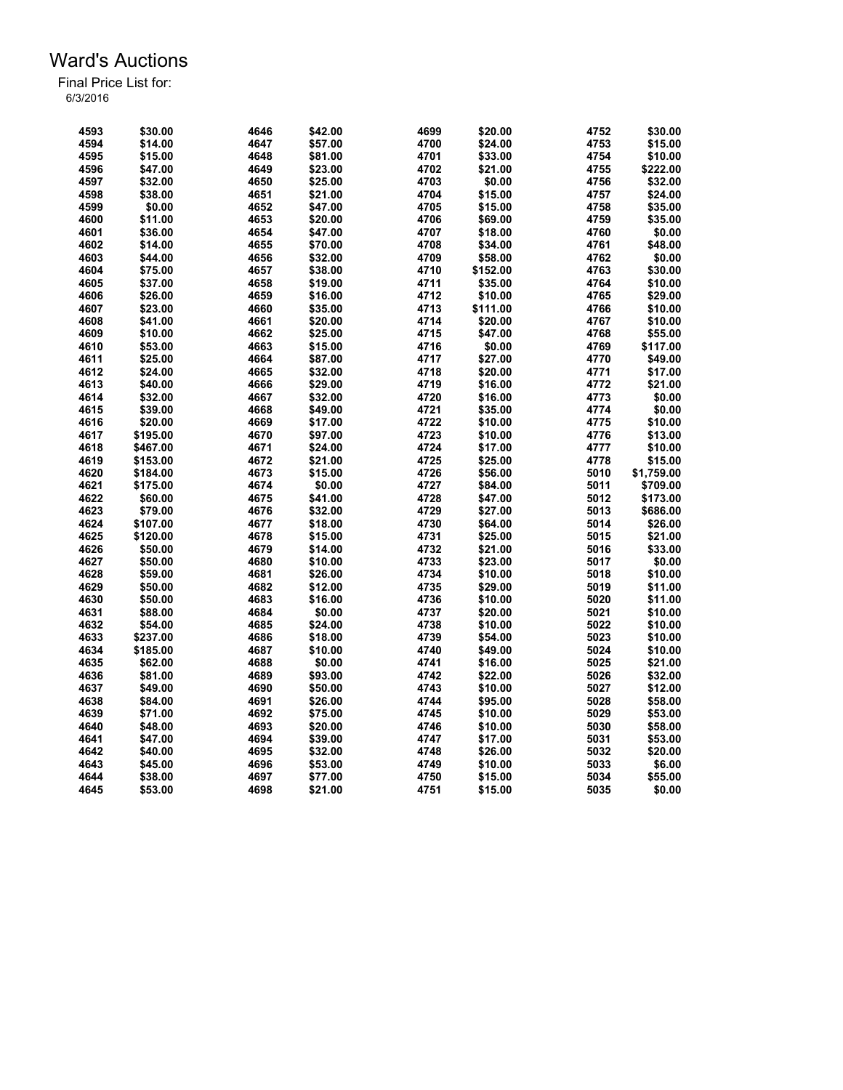| 4593 | \$30.00  | 4646 | \$42.00 | 4699 | \$20.00  | 4752 | \$30.00    |
|------|----------|------|---------|------|----------|------|------------|
| 4594 | \$14.00  | 4647 | \$57.00 | 4700 | \$24.00  | 4753 | \$15.00    |
| 4595 | \$15.00  | 4648 | \$81.00 | 4701 | \$33.00  | 4754 | \$10.00    |
| 4596 | \$47.00  | 4649 | \$23.00 | 4702 | \$21.00  | 4755 | \$222.00   |
| 4597 | \$32.00  | 4650 | \$25.00 | 4703 | \$0.00   | 4756 | \$32.00    |
| 4598 | \$38.00  | 4651 | \$21.00 | 4704 | \$15.00  | 4757 | \$24.00    |
| 4599 | \$0.00   | 4652 | \$47.00 | 4705 | \$15.00  | 4758 | \$35.00    |
| 4600 | \$11.00  | 4653 | \$20.00 | 4706 | \$69.00  | 4759 | \$35.00    |
| 4601 | \$36.00  | 4654 | \$47.00 | 4707 | \$18.00  | 4760 | \$0.00     |
| 4602 | \$14.00  | 4655 | \$70.00 | 4708 | \$34.00  | 4761 | \$48.00    |
| 4603 | \$44.00  | 4656 | \$32.00 | 4709 | \$58.00  | 4762 | \$0.00     |
| 4604 | \$75.00  | 4657 | \$38.00 | 4710 | \$152.00 | 4763 | \$30.00    |
| 4605 | \$37.00  | 4658 | \$19.00 | 4711 | \$35.00  | 4764 | \$10.00    |
| 4606 | \$26.00  | 4659 | \$16.00 | 4712 | \$10.00  | 4765 | \$29.00    |
| 4607 | \$23.00  | 4660 | \$35.00 | 4713 | \$111.00 | 4766 | \$10.00    |
| 4608 | \$41.00  | 4661 | \$20.00 | 4714 | \$20.00  | 4767 | \$10.00    |
| 4609 | \$10.00  | 4662 | \$25.00 | 4715 | \$47.00  | 4768 | \$55.00    |
| 4610 | \$53.00  | 4663 | \$15.00 | 4716 | \$0.00   | 4769 | \$117.00   |
|      |          |      |         |      |          |      |            |
| 4611 | \$25.00  | 4664 | \$87.00 | 4717 | \$27.00  | 4770 | \$49.00    |
| 4612 | \$24.00  | 4665 | \$32.00 | 4718 | \$20.00  | 4771 | \$17.00    |
| 4613 | \$40.00  | 4666 | \$29.00 | 4719 | \$16.00  | 4772 | \$21.00    |
| 4614 | \$32.00  | 4667 | \$32.00 | 4720 | \$16.00  | 4773 | \$0.00     |
| 4615 | \$39.00  | 4668 | \$49.00 | 4721 | \$35.00  | 4774 | \$0.00     |
| 4616 | \$20.00  | 4669 | \$17.00 | 4722 | \$10.00  | 4775 | \$10.00    |
| 4617 | \$195.00 | 4670 | \$97.00 | 4723 | \$10.00  | 4776 | \$13.00    |
| 4618 | \$467.00 | 4671 | \$24.00 | 4724 | \$17.00  | 4777 | \$10.00    |
| 4619 | \$153.00 | 4672 | \$21.00 | 4725 | \$25.00  | 4778 | \$15.00    |
| 4620 | \$184.00 | 4673 | \$15.00 | 4726 | \$56.00  | 5010 | \$1,759.00 |
| 4621 | \$175.00 | 4674 | \$0.00  | 4727 | \$84.00  | 5011 | \$709.00   |
| 4622 | \$60.00  | 4675 | \$41.00 | 4728 | \$47.00  | 5012 | \$173.00   |
| 4623 | \$79.00  | 4676 | \$32.00 | 4729 | \$27.00  | 5013 | \$686.00   |
| 4624 | \$107.00 | 4677 | \$18.00 | 4730 | \$64.00  | 5014 | \$26.00    |
| 4625 | \$120.00 | 4678 | \$15.00 | 4731 | \$25.00  | 5015 | \$21.00    |
| 4626 | \$50.00  | 4679 | \$14.00 | 4732 | \$21.00  | 5016 | \$33.00    |
| 4627 | \$50.00  | 4680 | \$10.00 | 4733 | \$23.00  | 5017 | \$0.00     |
| 4628 | \$59.00  | 4681 | \$26.00 | 4734 | \$10.00  | 5018 | \$10.00    |
| 4629 | \$50.00  | 4682 | \$12.00 | 4735 | \$29.00  | 5019 | \$11.00    |
| 4630 | \$50.00  | 4683 | \$16.00 | 4736 | \$10.00  | 5020 | \$11.00    |
| 4631 | \$88.00  | 4684 | \$0.00  | 4737 | \$20.00  | 5021 | \$10.00    |
| 4632 | \$54.00  | 4685 | \$24.00 | 4738 | \$10.00  | 5022 | \$10.00    |
| 4633 | \$237.00 | 4686 | \$18.00 | 4739 | \$54.00  | 5023 | \$10.00    |
| 4634 | \$185.00 | 4687 | \$10.00 | 4740 | \$49.00  | 5024 | \$10.00    |
| 4635 | \$62.00  | 4688 | \$0.00  | 4741 | \$16.00  | 5025 | \$21.00    |
| 4636 | \$81.00  | 4689 | \$93.00 | 4742 | \$22.00  | 5026 | \$32.00    |
| 4637 | \$49.00  | 4690 | \$50.00 | 4743 | \$10.00  | 5027 | \$12.00    |
| 4638 | \$84.00  | 4691 | \$26.00 | 4744 | \$95.00  | 5028 | \$58.00    |
| 4639 | \$71.00  | 4692 | \$75.00 | 4745 | \$10.00  | 5029 | \$53.00    |
| 4640 | \$48.00  | 4693 | \$20.00 | 4746 | \$10.00  | 5030 | \$58.00    |
| 4641 | \$47.00  | 4694 | \$39.00 | 4747 | \$17.00  | 5031 | \$53.00    |
| 4642 | \$40.00  | 4695 | \$32.00 | 4748 | \$26.00  | 5032 | \$20.00    |
| 4643 | \$45.00  | 4696 | \$53.00 | 4749 | \$10.00  | 5033 | \$6.00     |
| 4644 | \$38.00  | 4697 | \$77.00 | 4750 | \$15.00  | 5034 | \$55.00    |
| 4645 | \$53.00  | 4698 | \$21.00 | 4751 | \$15.00  | 5035 | \$0.00     |
|      |          |      |         |      |          |      |            |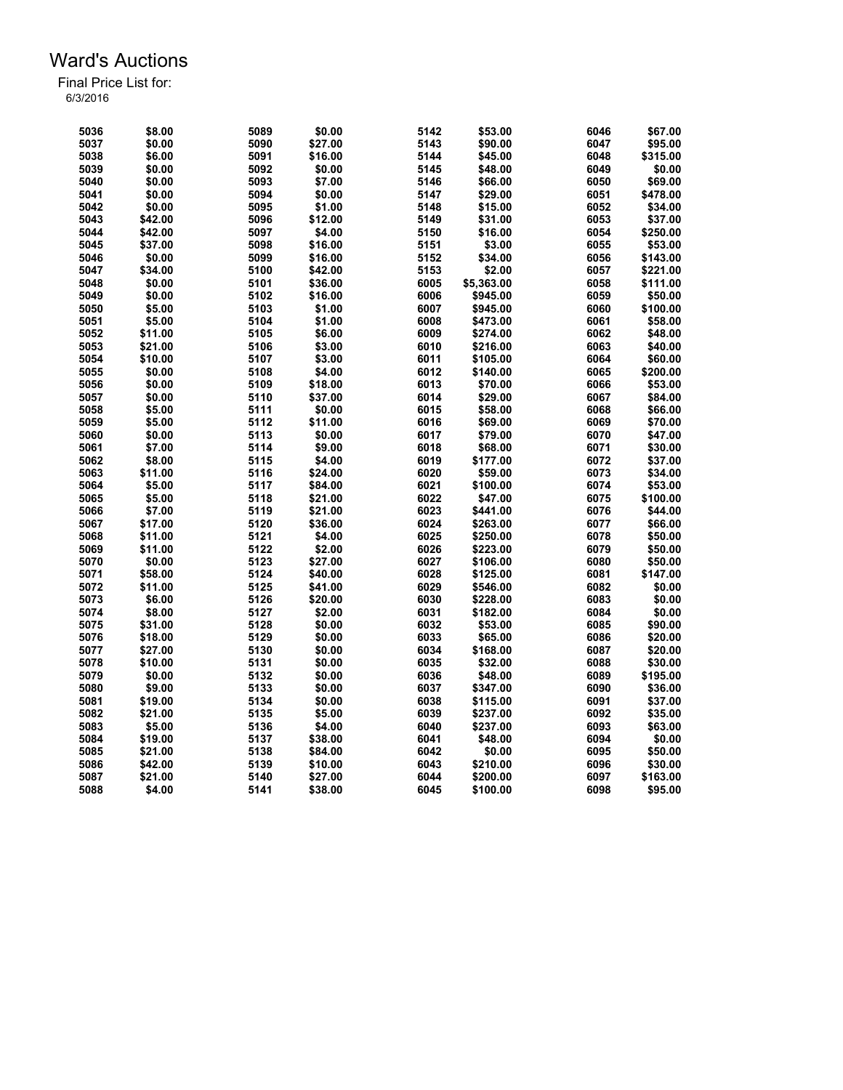| 5036 | \$8.00  | 5089 | \$0.00  | 5142         | \$53.00    | 6046 | \$67.00  |
|------|---------|------|---------|--------------|------------|------|----------|
| 5037 | \$0.00  | 5090 | \$27.00 | 5143         | \$90.00    | 6047 | \$95.00  |
| 5038 | \$6.00  | 5091 | \$16.00 | 5144         | \$45.00    | 6048 | \$315.00 |
| 5039 | \$0.00  | 5092 | \$0.00  | 5145         | \$48.00    | 6049 | \$0.00   |
| 5040 | \$0.00  | 5093 | \$7.00  | 5146         | \$66.00    | 6050 | \$69.00  |
| 5041 | \$0.00  | 5094 | \$0.00  | 5147         | \$29.00    | 6051 | \$478.00 |
| 5042 | \$0.00  | 5095 | \$1.00  | 5148         | \$15.00    | 6052 | \$34.00  |
| 5043 | \$42.00 | 5096 | \$12.00 | 5149         | \$31.00    | 6053 | \$37.00  |
| 5044 | \$42.00 | 5097 | \$4.00  | 5150         | \$16.00    | 6054 | \$250.00 |
| 5045 | \$37.00 | 5098 | \$16.00 | 5151         | \$3.00     | 6055 | \$53.00  |
| 5046 | \$0.00  | 5099 | \$16.00 | 5152         | \$34.00    | 6056 | \$143.00 |
| 5047 | \$34.00 | 5100 | \$42.00 | 5153         | \$2.00     | 6057 | \$221.00 |
| 5048 | \$0.00  | 5101 | \$36.00 | 6005         | \$5,363.00 | 6058 | \$111.00 |
| 5049 | \$0.00  | 5102 | \$16.00 | 6006         | \$945.00   | 6059 | \$50.00  |
| 5050 | \$5.00  | 5103 | \$1.00  | 6007         | \$945.00   | 6060 | \$100.00 |
| 5051 | \$5.00  | 5104 | \$1.00  | 6008         | \$473.00   | 6061 | \$58.00  |
| 5052 | \$11.00 | 5105 | \$6.00  | 6009         | \$274.00   | 6062 | \$48.00  |
|      |         |      |         |              |            |      |          |
| 5053 | \$21.00 | 5106 | \$3.00  | 6010         | \$216.00   | 6063 | \$40.00  |
| 5054 | \$10.00 | 5107 | \$3.00  | 6011         | \$105.00   | 6064 | \$60.00  |
| 5055 | \$0.00  | 5108 | \$4.00  | 6012         | \$140.00   | 6065 | \$200.00 |
| 5056 | \$0.00  | 5109 | \$18.00 | 6013         | \$70.00    | 6066 | \$53.00  |
| 5057 | \$0.00  | 5110 | \$37.00 | 6014         | \$29.00    | 6067 | \$84.00  |
| 5058 | \$5.00  | 5111 | \$0.00  | 6015         | \$58.00    | 6068 | \$66.00  |
| 5059 | \$5.00  | 5112 | \$11.00 | 6016         | \$69.00    | 6069 | \$70.00  |
| 5060 | \$0.00  | 5113 | \$0.00  | 6017         | \$79.00    | 6070 | \$47.00  |
| 5061 | \$7.00  | 5114 | \$9.00  | 6018         | \$68.00    | 6071 | \$30.00  |
| 5062 | \$8.00  | 5115 | \$4.00  | 6019         | \$177.00   | 6072 | \$37.00  |
| 5063 | \$11.00 | 5116 | \$24.00 | 6020         | \$59.00    | 6073 | \$34.00  |
| 5064 | \$5.00  | 5117 | \$84.00 | 6021         | \$100.00   | 6074 | \$53.00  |
| 5065 | \$5.00  | 5118 | \$21.00 | 6022         | \$47.00    | 6075 | \$100.00 |
| 5066 | \$7.00  | 5119 | \$21.00 | 6023         | \$441.00   | 6076 | \$44.00  |
| 5067 | \$17.00 | 5120 | \$36.00 | 6024         | \$263.00   | 6077 | \$66.00  |
| 5068 | \$11.00 | 5121 | \$4.00  | 6025         | \$250.00   | 6078 | \$50.00  |
| 5069 | \$11.00 | 5122 | \$2.00  | 6026         | \$223.00   | 6079 | \$50.00  |
| 5070 | \$0.00  | 5123 | \$27.00 | 6027         | \$106.00   | 6080 | \$50.00  |
| 5071 | \$58.00 | 5124 | \$40.00 | 6028         | \$125.00   | 6081 | \$147.00 |
| 5072 | \$11.00 | 5125 | \$41.00 | 6029         | \$546.00   | 6082 | \$0.00   |
| 5073 | \$6.00  | 5126 | \$20.00 | 6030         | \$228.00   | 6083 | \$0.00   |
| 5074 | \$8.00  | 5127 | \$2.00  | 6031         | \$182.00   | 6084 | \$0.00   |
| 5075 | \$31.00 | 5128 | \$0.00  | 6032         | \$53.00    | 6085 | \$90.00  |
| 5076 | \$18.00 | 5129 | \$0.00  | 6033         | \$65.00    | 6086 | \$20.00  |
| 5077 | \$27.00 | 5130 | \$0.00  | 6034         | \$168.00   | 6087 | \$20.00  |
| 5078 | \$10.00 | 5131 | \$0.00  | 6035         | \$32.00    | 6088 | \$30.00  |
| 5079 | \$0.00  | 5132 | \$0.00  | 6036         | \$48.00    | 6089 | \$195.00 |
| 5080 | \$9.00  | 5133 | \$0.00  | 6037         | \$347.00   | 6090 | \$36.00  |
| 5081 | \$19.00 | 5134 | \$0.00  | 6038         | \$115.00   | 6091 | \$37.00  |
|      |         |      |         |              |            | 6092 |          |
| 5082 | \$21.00 | 5135 | \$5.00  | 6039<br>6040 | \$237.00   | 6093 | \$35.00  |
| 5083 | \$5.00  | 5136 | \$4.00  |              | \$237.00   |      | \$63.00  |
| 5084 | \$19.00 | 5137 | \$38.00 | 6041         | \$48.00    | 6094 | \$0.00   |
| 5085 | \$21.00 | 5138 | \$84.00 | 6042         | \$0.00     | 6095 | \$50.00  |
| 5086 | \$42.00 | 5139 | \$10.00 | 6043         | \$210.00   | 6096 | \$30.00  |
| 5087 | \$21.00 | 5140 | \$27.00 | 6044         | \$200.00   | 6097 | \$163.00 |
| 5088 | \$4.00  | 5141 | \$38.00 | 6045         | \$100.00   | 6098 | \$95.00  |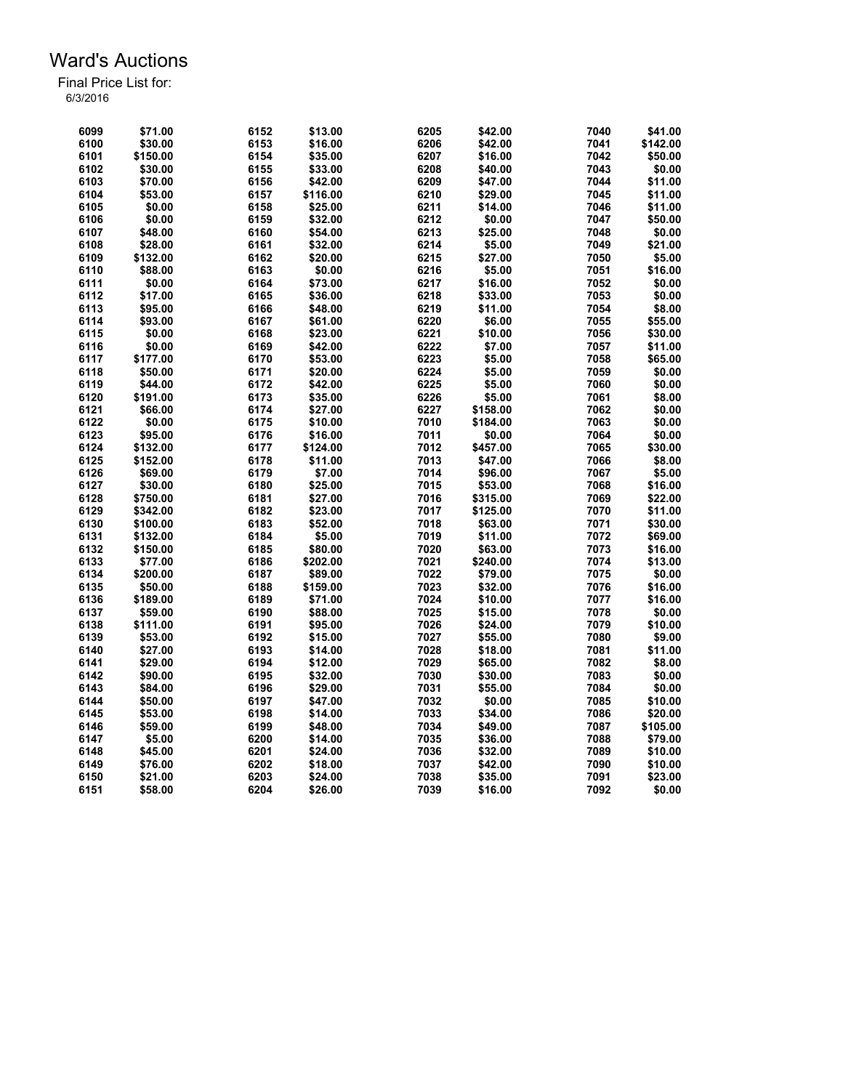| 6099 | \$71.00  | 6152 | \$13.00  | 6205 | \$42.00  | 7040 | \$41.00           |
|------|----------|------|----------|------|----------|------|-------------------|
| 6100 | \$30.00  | 6153 | \$16.00  | 6206 | \$42.00  | 7041 | \$142.00          |
| 6101 | \$150.00 | 6154 | \$35.00  | 6207 | \$16.00  | 7042 | \$50.00           |
| 6102 | \$30.00  | 6155 | \$33.00  | 6208 | \$40.00  | 7043 | \$0.00            |
| 6103 | \$70.00  | 6156 | \$42.00  | 6209 | \$47.00  | 7044 | \$11.00           |
| 6104 | \$53.00  | 6157 | \$116.00 | 6210 | \$29.00  | 7045 | \$11.00           |
| 6105 | \$0.00   | 6158 | \$25.00  | 6211 | \$14.00  | 7046 | \$11.00           |
| 6106 | \$0.00   | 6159 | \$32.00  | 6212 | \$0.00   | 7047 | \$50.00           |
| 6107 | \$48.00  | 6160 | \$54.00  | 6213 | \$25.00  | 7048 | \$0.00            |
| 6108 | \$28.00  | 6161 | \$32.00  | 6214 | \$5.00   | 7049 | \$21.00           |
| 6109 | \$132.00 | 6162 | \$20.00  | 6215 | \$27.00  | 7050 | \$5.00            |
| 6110 | \$88.00  | 6163 | \$0.00   | 6216 | \$5.00   | 7051 | \$16.00           |
| 6111 | \$0.00   | 6164 | \$73.00  | 6217 | \$16.00  | 7052 | \$0.00            |
| 6112 | \$17.00  | 6165 | \$36.00  | 6218 | \$33.00  | 7053 | \$0.00            |
| 6113 | \$95.00  | 6166 | \$48.00  | 6219 | \$11.00  | 7054 | \$8.00            |
| 6114 | \$93.00  | 6167 | \$61.00  | 6220 | \$6.00   | 7055 | \$55.00           |
| 6115 | \$0.00   | 6168 | \$23.00  | 6221 | \$10.00  | 7056 | \$30.00           |
| 6116 | \$0.00   | 6169 | \$42.00  | 6222 | \$7.00   | 7057 | \$11.00           |
| 6117 | \$177.00 |      |          | 6223 | \$5.00   | 7058 |                   |
|      |          | 6170 | \$53.00  | 6224 | \$5.00   | 7059 | \$65.00<br>\$0.00 |
| 6118 | \$50.00  | 6171 | \$20.00  |      |          |      |                   |
| 6119 | \$44.00  | 6172 | \$42.00  | 6225 | \$5.00   | 7060 | \$0.00            |
| 6120 | \$191.00 | 6173 | \$35.00  | 6226 | \$5.00   | 7061 | \$8.00            |
| 6121 | \$66.00  | 6174 | \$27.00  | 6227 | \$158.00 | 7062 | \$0.00            |
| 6122 | \$0.00   | 6175 | \$10.00  | 7010 | \$184.00 | 7063 | \$0.00            |
| 6123 | \$95.00  | 6176 | \$16.00  | 7011 | \$0.00   | 7064 | \$0.00            |
| 6124 | \$132.00 | 6177 | \$124.00 | 7012 | \$457.00 | 7065 | \$30.00           |
| 6125 | \$152.00 | 6178 | \$11.00  | 7013 | \$47.00  | 7066 | \$8.00            |
| 6126 | \$69.00  | 6179 | \$7.00   | 7014 | \$96.00  | 7067 | \$5.00            |
| 6127 | \$30.00  | 6180 | \$25.00  | 7015 | \$53.00  | 7068 | \$16.00           |
| 6128 | \$750.00 | 6181 | \$27.00  | 7016 | \$315.00 | 7069 | \$22.00           |
| 6129 | \$342.00 | 6182 | \$23.00  | 7017 | \$125.00 | 7070 | \$11.00           |
| 6130 | \$100.00 | 6183 | \$52.00  | 7018 | \$63.00  | 7071 | \$30.00           |
| 6131 | \$132.00 | 6184 | \$5.00   | 7019 | \$11.00  | 7072 | \$69.00           |
| 6132 | \$150.00 | 6185 | \$80.00  | 7020 | \$63.00  | 7073 | \$16.00           |
| 6133 | \$77.00  | 6186 | \$202.00 | 7021 | \$240.00 | 7074 | \$13.00           |
| 6134 | \$200.00 | 6187 | \$89.00  | 7022 | \$79.00  | 7075 | \$0.00            |
| 6135 | \$50.00  | 6188 | \$159.00 | 7023 | \$32.00  | 7076 | \$16.00           |
| 6136 | \$189.00 | 6189 | \$71.00  | 7024 | \$10.00  | 7077 | \$16.00           |
| 6137 | \$59.00  | 6190 | \$88.00  | 7025 | \$15.00  | 7078 | \$0.00            |
| 6138 | \$111.00 | 6191 | \$95.00  | 7026 | \$24.00  | 7079 | \$10.00           |
| 6139 | \$53.00  | 6192 | \$15.00  | 7027 | \$55.00  | 7080 | \$9.00            |
| 6140 | \$27.00  | 6193 | \$14.00  | 7028 | \$18.00  | 7081 | \$11.00           |
| 6141 | \$29.00  | 6194 | \$12.00  | 7029 | \$65.00  | 7082 | \$8.00            |
| 6142 | \$90.00  | 6195 | \$32.00  | 7030 | \$30.00  | 7083 | \$0.00            |
| 6143 | \$84.00  | 6196 | \$29.00  | 7031 | \$55.00  | 7084 | \$0.00            |
| 6144 | \$50.00  | 6197 | \$47.00  | 7032 | \$0.00   | 7085 | \$10.00           |
| 6145 | \$53.00  | 6198 | \$14.00  | 7033 | \$34.00  | 7086 | \$20.00           |
| 6146 | \$59.00  | 6199 | \$48.00  | 7034 | \$49.00  | 7087 | \$105.00          |
| 6147 | \$5.00   | 6200 | \$14.00  | 7035 | \$36.00  | 7088 | \$79.00           |
| 6148 | \$45.00  | 6201 | \$24.00  | 7036 | \$32.00  | 7089 | \$10.00           |
| 6149 | \$76.00  | 6202 | \$18.00  | 7037 | \$42.00  | 7090 | \$10.00           |
| 6150 | \$21.00  | 6203 | \$24.00  | 7038 | \$35.00  | 7091 | \$23.00           |
| 6151 | \$58.00  | 6204 | \$26.00  | 7039 | \$16.00  | 7092 | \$0.00            |
|      |          |      |          |      |          |      |                   |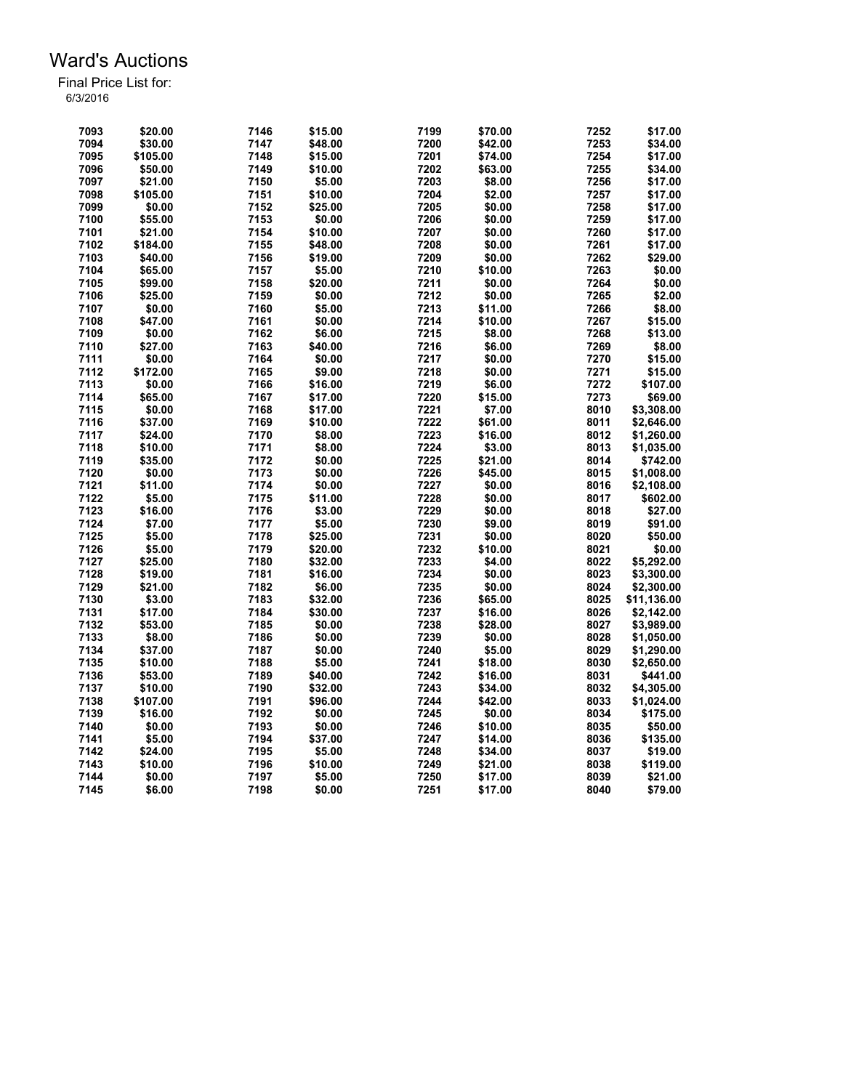| 7093 | \$20.00  | 7146 | \$15.00 | 7199 | \$70.00 | 7252 | \$17.00     |
|------|----------|------|---------|------|---------|------|-------------|
| 7094 | \$30.00  | 7147 | \$48.00 | 7200 | \$42.00 | 7253 | \$34.00     |
| 7095 | \$105.00 | 7148 | \$15.00 | 7201 | \$74.00 | 7254 | \$17.00     |
| 7096 | \$50.00  | 7149 | \$10.00 | 7202 | \$63.00 | 7255 | \$34.00     |
| 7097 | \$21.00  | 7150 | \$5.00  | 7203 | \$8.00  | 7256 | \$17.00     |
| 7098 | \$105.00 | 7151 | \$10.00 | 7204 | \$2.00  | 7257 | \$17.00     |
| 7099 | \$0.00   | 7152 | \$25.00 | 7205 | \$0.00  | 7258 | \$17.00     |
| 7100 | \$55.00  | 7153 | \$0.00  | 7206 | \$0.00  | 7259 | \$17.00     |
| 7101 | \$21.00  | 7154 | \$10.00 | 7207 | \$0.00  | 7260 | \$17.00     |
| 7102 | \$184.00 | 7155 | \$48.00 | 7208 | \$0.00  | 7261 | \$17.00     |
| 7103 | \$40.00  | 7156 | \$19.00 | 7209 | \$0.00  | 7262 | \$29.00     |
| 7104 | \$65.00  | 7157 | \$5.00  | 7210 | \$10.00 | 7263 | \$0.00      |
| 7105 | \$99.00  | 7158 | \$20.00 | 7211 | \$0.00  | 7264 | \$0.00      |
| 7106 | \$25.00  | 7159 | \$0.00  | 7212 | \$0.00  | 7265 | \$2.00      |
| 7107 | \$0.00   | 7160 | \$5.00  | 7213 | \$11.00 | 7266 | \$8.00      |
| 7108 | \$47.00  | 7161 | \$0.00  | 7214 | \$10.00 | 7267 | \$15.00     |
| 7109 | \$0.00   | 7162 | \$6.00  | 7215 | \$8.00  | 7268 | \$13.00     |
| 7110 | \$27.00  | 7163 | \$40.00 | 7216 | \$6.00  | 7269 | \$8.00      |
| 7111 | \$0.00   | 7164 | \$0.00  | 7217 | \$0.00  | 7270 | \$15.00     |
|      |          | 7165 | \$9.00  | 7218 | \$0.00  | 7271 |             |
| 7112 | \$172.00 |      |         | 7219 |         | 7272 | \$15.00     |
| 7113 | \$0.00   | 7166 | \$16.00 |      | \$6.00  |      | \$107.00    |
| 7114 | \$65.00  | 7167 | \$17.00 | 7220 | \$15.00 | 7273 | \$69.00     |
| 7115 | \$0.00   | 7168 | \$17.00 | 7221 | \$7.00  | 8010 | \$3,308.00  |
| 7116 | \$37.00  | 7169 | \$10.00 | 7222 | \$61.00 | 8011 | \$2,646.00  |
| 7117 | \$24.00  | 7170 | \$8.00  | 7223 | \$16.00 | 8012 | \$1,260.00  |
| 7118 | \$10.00  | 7171 | \$8.00  | 7224 | \$3.00  | 8013 | \$1,035.00  |
| 7119 | \$35.00  | 7172 | \$0.00  | 7225 | \$21.00 | 8014 | \$742.00    |
| 7120 | \$0.00   | 7173 | \$0.00  | 7226 | \$45.00 | 8015 | \$1,008.00  |
| 7121 | \$11.00  | 7174 | \$0.00  | 7227 | \$0.00  | 8016 | \$2,108.00  |
| 7122 | \$5.00   | 7175 | \$11.00 | 7228 | \$0.00  | 8017 | \$602.00    |
| 7123 | \$16.00  | 7176 | \$3.00  | 7229 | \$0.00  | 8018 | \$27.00     |
| 7124 | \$7.00   | 7177 | \$5.00  | 7230 | \$9.00  | 8019 | \$91.00     |
| 7125 | \$5.00   | 7178 | \$25.00 | 7231 | \$0.00  | 8020 | \$50.00     |
| 7126 | \$5.00   | 7179 | \$20.00 | 7232 | \$10.00 | 8021 | \$0.00      |
| 7127 | \$25.00  | 7180 | \$32.00 | 7233 | \$4.00  | 8022 | \$5,292.00  |
| 7128 | \$19.00  | 7181 | \$16.00 | 7234 | \$0.00  | 8023 | \$3,300.00  |
| 7129 | \$21.00  | 7182 | \$6.00  | 7235 | \$0.00  | 8024 | \$2,300.00  |
| 7130 | \$3.00   | 7183 | \$32.00 | 7236 | \$65.00 | 8025 | \$11,136.00 |
| 7131 | \$17.00  | 7184 | \$30.00 | 7237 | \$16.00 | 8026 | \$2,142.00  |
| 7132 | \$53.00  | 7185 | \$0.00  | 7238 | \$28.00 | 8027 | \$3,989.00  |
| 7133 | \$8.00   | 7186 | \$0.00  | 7239 | \$0.00  | 8028 | \$1,050.00  |
| 7134 | \$37.00  | 7187 | \$0.00  | 7240 | \$5.00  | 8029 | \$1,290.00  |
| 7135 | \$10.00  | 7188 | \$5.00  | 7241 | \$18.00 | 8030 | \$2,650.00  |
| 7136 | \$53.00  | 7189 | \$40.00 | 7242 | \$16.00 | 8031 | \$441.00    |
| 7137 | \$10.00  | 7190 | \$32.00 | 7243 | \$34.00 | 8032 | \$4,305.00  |
|      |          |      |         |      |         |      |             |
| 7138 | \$107.00 | 7191 | \$96.00 | 7244 | \$42.00 | 8033 | \$1,024.00  |
| 7139 | \$16.00  | 7192 | \$0.00  | 7245 | \$0.00  | 8034 | \$175.00    |
| 7140 | \$0.00   | 7193 | \$0.00  | 7246 | \$10.00 | 8035 | \$50.00     |
| 7141 | \$5.00   | 7194 | \$37.00 | 7247 | \$14.00 | 8036 | \$135.00    |
| 7142 | \$24.00  | 7195 | \$5.00  | 7248 | \$34.00 | 8037 | \$19.00     |
| 7143 | \$10.00  | 7196 | \$10.00 | 7249 | \$21.00 | 8038 | \$119.00    |
| 7144 | \$0.00   | 7197 | \$5.00  | 7250 | \$17.00 | 8039 | \$21.00     |
| 7145 | \$6.00   | 7198 | \$0.00  | 7251 | \$17.00 | 8040 | \$79.00     |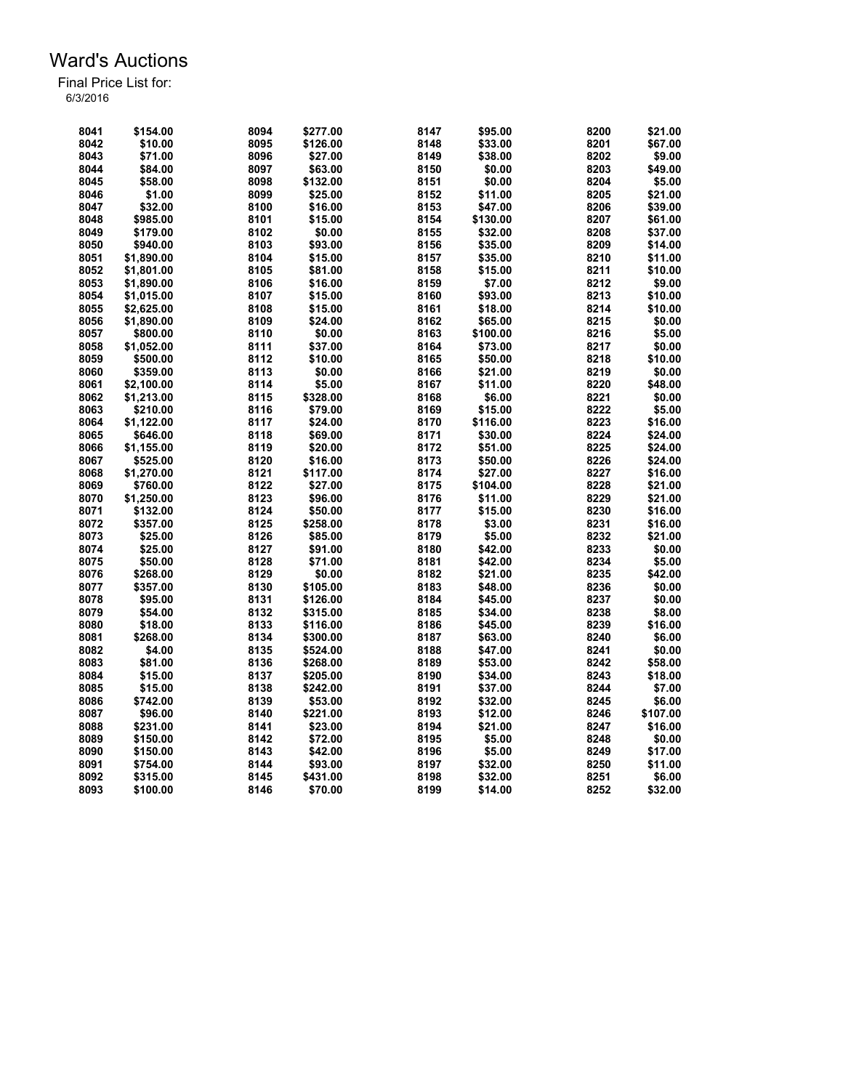| 8041 | \$154.00   | 8094 | \$277.00 | 8147 | \$95.00  | 8200 | \$21.00  |
|------|------------|------|----------|------|----------|------|----------|
| 8042 | \$10.00    | 8095 | \$126.00 | 8148 | \$33.00  | 8201 | \$67.00  |
| 8043 | \$71.00    | 8096 | \$27.00  | 8149 | \$38.00  | 8202 | \$9.00   |
| 8044 | \$84.00    | 8097 | \$63.00  | 8150 | \$0.00   | 8203 | \$49.00  |
| 8045 | \$58.00    | 8098 | \$132.00 | 8151 | \$0.00   | 8204 | \$5.00   |
| 8046 | \$1.00     | 8099 | \$25.00  | 8152 | \$11.00  | 8205 | \$21.00  |
| 8047 | \$32.00    | 8100 | \$16.00  | 8153 | \$47.00  | 8206 | \$39.00  |
| 8048 | \$985.00   | 8101 | \$15.00  | 8154 | \$130.00 | 8207 | \$61.00  |
| 8049 | \$179.00   | 8102 | \$0.00   | 8155 | \$32.00  | 8208 | \$37.00  |
| 8050 | \$940.00   | 8103 | \$93.00  | 8156 | \$35.00  | 8209 | \$14.00  |
| 8051 | \$1,890.00 | 8104 | \$15.00  | 8157 | \$35.00  | 8210 | \$11.00  |
| 8052 | \$1,801.00 | 8105 | \$81.00  | 8158 | \$15.00  | 8211 | \$10.00  |
| 8053 | \$1,890.00 | 8106 | \$16.00  | 8159 | \$7.00   | 8212 | \$9.00   |
| 8054 | \$1,015.00 | 8107 | \$15.00  | 8160 | \$93.00  | 8213 | \$10.00  |
| 8055 | \$2,625.00 | 8108 | \$15.00  | 8161 | \$18.00  | 8214 | \$10.00  |
| 8056 | \$1.890.00 | 8109 | \$24.00  | 8162 | \$65.00  | 8215 | \$0.00   |
| 8057 | \$800.00   | 8110 | \$0.00   | 8163 | \$100.00 | 8216 | \$5.00   |
| 8058 | \$1,052.00 | 8111 | \$37.00  | 8164 | \$73.00  | 8217 | \$0.00   |
| 8059 | \$500.00   | 8112 | \$10.00  | 8165 | \$50.00  | 8218 | \$10.00  |
| 8060 | \$359.00   | 8113 | \$0.00   | 8166 | \$21.00  | 8219 | \$0.00   |
| 8061 | \$2.100.00 | 8114 | \$5.00   | 8167 | \$11.00  | 8220 | \$48.00  |
| 8062 | \$1,213.00 | 8115 | \$328.00 | 8168 | \$6.00   | 8221 | \$0.00   |
| 8063 |            |      | \$79.00  |      |          |      |          |
|      | \$210.00   | 8116 |          | 8169 | \$15.00  | 8222 | \$5.00   |
| 8064 | \$1,122.00 | 8117 | \$24.00  | 8170 | \$116.00 | 8223 | \$16.00  |
| 8065 | \$646.00   | 8118 | \$69.00  | 8171 | \$30.00  | 8224 | \$24.00  |
| 8066 | \$1,155.00 | 8119 | \$20.00  | 8172 | \$51.00  | 8225 | \$24.00  |
| 8067 | \$525.00   | 8120 | \$16.00  | 8173 | \$50.00  | 8226 | \$24.00  |
| 8068 | \$1,270.00 | 8121 | \$117.00 | 8174 | \$27.00  | 8227 | \$16.00  |
| 8069 | \$760.00   | 8122 | \$27.00  | 8175 | \$104.00 | 8228 | \$21.00  |
| 8070 | \$1,250.00 | 8123 | \$96.00  | 8176 | \$11.00  | 8229 | \$21.00  |
| 8071 | \$132.00   | 8124 | \$50.00  | 8177 | \$15.00  | 8230 | \$16.00  |
| 8072 | \$357.00   | 8125 | \$258.00 | 8178 | \$3.00   | 8231 | \$16.00  |
| 8073 | \$25.00    | 8126 | \$85.00  | 8179 | \$5.00   | 8232 | \$21.00  |
| 8074 | \$25.00    | 8127 | \$91.00  | 8180 | \$42.00  | 8233 | \$0.00   |
| 8075 | \$50.00    | 8128 | \$71.00  | 8181 | \$42.00  | 8234 | \$5.00   |
| 8076 | \$268.00   | 8129 | \$0.00   | 8182 | \$21.00  | 8235 | \$42.00  |
| 8077 | \$357.00   | 8130 | \$105.00 | 8183 | \$48.00  | 8236 | \$0.00   |
| 8078 | \$95.00    | 8131 | \$126.00 | 8184 | \$45.00  | 8237 | \$0.00   |
| 8079 | \$54.00    | 8132 | \$315.00 | 8185 | \$34.00  | 8238 | \$8.00   |
| 8080 | \$18.00    | 8133 | \$116.00 | 8186 | \$45.00  | 8239 | \$16.00  |
| 8081 | \$268.00   | 8134 | \$300.00 | 8187 | \$63.00  | 8240 | \$6.00   |
| 8082 | \$4.00     | 8135 | \$524.00 | 8188 | \$47.00  | 8241 | \$0.00   |
| 8083 | \$81.00    | 8136 | \$268.00 | 8189 | \$53.00  | 8242 | \$58.00  |
| 8084 | \$15.00    | 8137 | \$205.00 | 8190 | \$34.00  | 8243 | \$18.00  |
| 8085 | \$15.00    | 8138 | \$242.00 | 8191 | \$37.00  | 8244 | \$7.00   |
| 8086 | \$742.00   | 8139 | \$53.00  | 8192 | \$32.00  | 8245 | \$6.00   |
| 8087 | \$96.00    | 8140 | \$221.00 | 8193 | \$12.00  | 8246 | \$107.00 |
| 8088 | \$231.00   | 8141 | \$23.00  | 8194 | \$21.00  | 8247 | \$16.00  |
| 8089 | \$150.00   | 8142 | \$72.00  | 8195 | \$5.00   | 8248 | \$0.00   |
| 8090 | \$150.00   | 8143 | \$42.00  | 8196 | \$5.00   | 8249 | \$17.00  |
| 8091 | \$754.00   | 8144 | \$93.00  | 8197 | \$32.00  | 8250 | \$11.00  |
| 8092 | \$315.00   | 8145 | \$431.00 | 8198 | \$32.00  | 8251 | \$6.00   |
| 8093 | \$100.00   | 8146 | \$70.00  | 8199 | \$14.00  | 8252 | \$32.00  |
|      |            |      |          |      |          |      |          |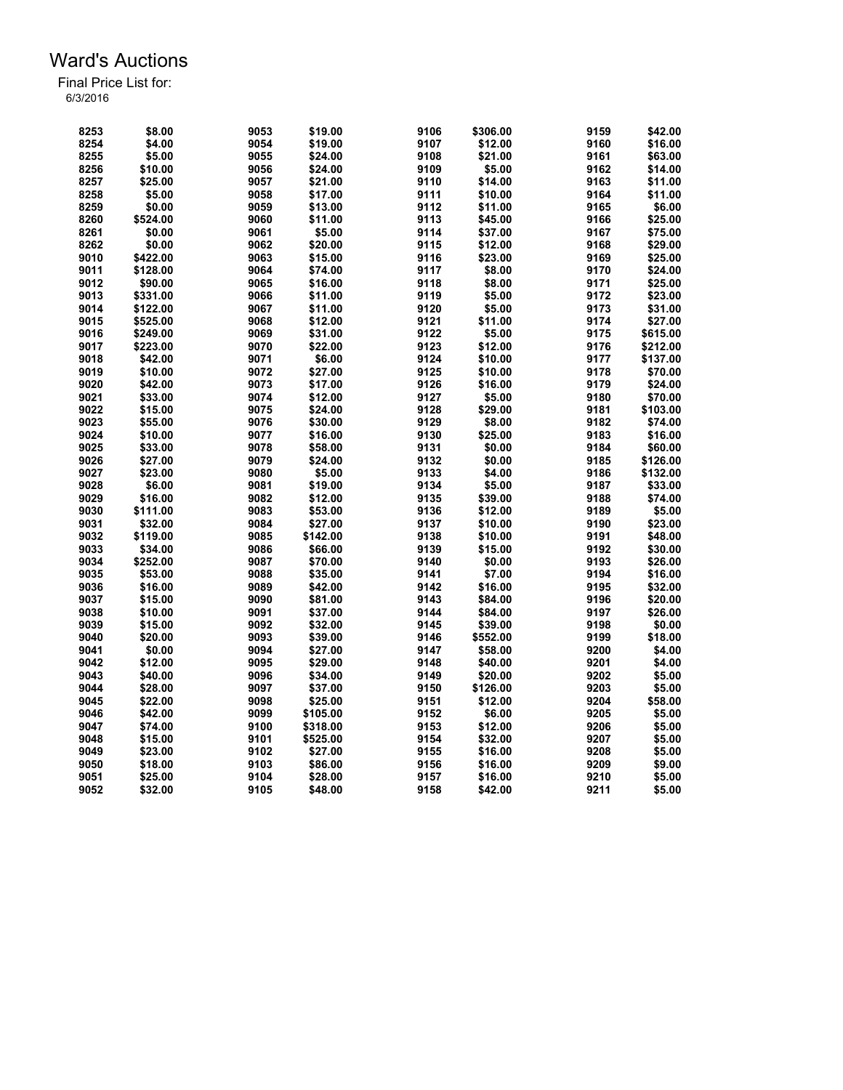| 8253 | \$8.00   | 9053 | \$19.00  | 9106 | \$306.00 | 9159 | \$42.00  |
|------|----------|------|----------|------|----------|------|----------|
| 8254 | \$4.00   | 9054 | \$19.00  | 9107 | \$12.00  | 9160 | \$16.00  |
| 8255 | \$5.00   | 9055 | \$24.00  | 9108 | \$21.00  | 9161 | \$63.00  |
| 8256 | \$10.00  | 9056 | \$24.00  | 9109 | \$5.00   | 9162 | \$14.00  |
| 8257 | \$25.00  | 9057 | \$21.00  | 9110 | \$14.00  | 9163 | \$11.00  |
| 8258 | \$5.00   | 9058 | \$17.00  | 9111 | \$10.00  | 9164 | \$11.00  |
| 8259 | \$0.00   | 9059 | \$13.00  | 9112 | \$11.00  | 9165 | \$6.00   |
| 8260 | \$524.00 | 9060 | \$11.00  | 9113 | \$45.00  | 9166 | \$25.00  |
| 8261 | \$0.00   | 9061 | \$5.00   | 9114 | \$37.00  | 9167 | \$75.00  |
| 8262 | \$0.00   | 9062 | \$20.00  | 9115 | \$12.00  | 9168 | \$29.00  |
| 9010 | \$422.00 | 9063 | \$15.00  | 9116 | \$23.00  | 9169 | \$25.00  |
| 9011 | \$128.00 | 9064 | \$74.00  | 9117 | \$8.00   | 9170 | \$24.00  |
| 9012 | \$90.00  | 9065 | \$16.00  | 9118 | \$8.00   | 9171 | \$25.00  |
| 9013 | \$331.00 | 9066 | \$11.00  | 9119 | \$5.00   | 9172 | \$23.00  |
| 9014 | \$122.00 | 9067 | \$11.00  | 9120 | \$5.00   | 9173 | \$31.00  |
| 9015 | \$525.00 | 9068 | \$12.00  | 9121 | \$11.00  | 9174 | \$27.00  |
| 9016 | \$249.00 | 9069 | \$31.00  | 9122 | \$5.00   | 9175 | \$615.00 |
| 9017 |          | 9070 | \$22.00  |      | \$12.00  | 9176 |          |
|      | \$223.00 |      |          | 9123 |          |      | \$212.00 |
| 9018 | \$42.00  | 9071 | \$6.00   | 9124 | \$10.00  | 9177 | \$137.00 |
| 9019 | \$10.00  | 9072 | \$27.00  | 9125 | \$10.00  | 9178 | \$70.00  |
| 9020 | \$42.00  | 9073 | \$17.00  | 9126 | \$16.00  | 9179 | \$24.00  |
| 9021 | \$33.00  | 9074 | \$12.00  | 9127 | \$5.00   | 9180 | \$70.00  |
| 9022 | \$15.00  | 9075 | \$24.00  | 9128 | \$29.00  | 9181 | \$103.00 |
| 9023 | \$55.00  | 9076 | \$30.00  | 9129 | \$8.00   | 9182 | \$74.00  |
| 9024 | \$10.00  | 9077 | \$16.00  | 9130 | \$25.00  | 9183 | \$16.00  |
| 9025 | \$33.00  | 9078 | \$58.00  | 9131 | \$0.00   | 9184 | \$60.00  |
| 9026 | \$27.00  | 9079 | \$24.00  | 9132 | \$0.00   | 9185 | \$126.00 |
| 9027 | \$23.00  | 9080 | \$5.00   | 9133 | \$4.00   | 9186 | \$132.00 |
| 9028 | \$6.00   | 9081 | \$19.00  | 9134 | \$5.00   | 9187 | \$33.00  |
| 9029 | \$16.00  | 9082 | \$12.00  | 9135 | \$39.00  | 9188 | \$74.00  |
| 9030 | \$111.00 | 9083 | \$53.00  | 9136 | \$12.00  | 9189 | \$5.00   |
| 9031 | \$32.00  | 9084 | \$27.00  | 9137 | \$10.00  | 9190 | \$23.00  |
| 9032 | \$119.00 | 9085 | \$142.00 | 9138 | \$10.00  | 9191 | \$48.00  |
| 9033 | \$34.00  | 9086 | \$66.00  | 9139 | \$15.00  | 9192 | \$30.00  |
| 9034 | \$252.00 | 9087 | \$70.00  | 9140 | \$0.00   | 9193 | \$26.00  |
| 9035 | \$53.00  | 9088 | \$35.00  | 9141 | \$7.00   | 9194 | \$16.00  |
| 9036 | \$16.00  | 9089 | \$42.00  | 9142 | \$16.00  | 9195 | \$32.00  |
| 9037 | \$15.00  | 9090 | \$81.00  | 9143 | \$84.00  | 9196 | \$20.00  |
| 9038 | \$10.00  | 9091 | \$37.00  | 9144 | \$84.00  | 9197 | \$26.00  |
| 9039 | \$15.00  | 9092 | \$32.00  | 9145 | \$39.00  | 9198 | \$0.00   |
| 9040 | \$20.00  | 9093 | \$39.00  | 9146 | \$552.00 | 9199 | \$18.00  |
| 9041 | \$0.00   | 9094 | \$27.00  | 9147 | \$58.00  | 9200 | \$4.00   |
| 9042 | \$12.00  | 9095 | \$29.00  | 9148 | \$40.00  | 9201 | \$4.00   |
| 9043 | \$40.00  | 9096 | \$34.00  | 9149 | \$20.00  | 9202 | \$5.00   |
| 9044 | \$28.00  | 9097 | \$37.00  | 9150 | \$126.00 | 9203 | \$5.00   |
| 9045 | \$22.00  | 9098 | \$25.00  | 9151 | \$12.00  | 9204 | \$58.00  |
| 9046 | \$42.00  | 9099 | \$105.00 | 9152 | \$6.00   | 9205 | \$5.00   |
| 9047 | \$74.00  | 9100 | \$318.00 | 9153 | \$12.00  | 9206 | \$5.00   |
|      |          |      |          |      |          |      |          |
| 9048 | \$15.00  | 9101 | \$525.00 | 9154 | \$32.00  | 9207 | \$5.00   |
| 9049 | \$23.00  | 9102 | \$27.00  | 9155 | \$16.00  | 9208 | \$5.00   |
| 9050 | \$18.00  | 9103 | \$86.00  | 9156 | \$16.00  | 9209 | \$9.00   |
| 9051 | \$25.00  | 9104 | \$28.00  | 9157 | \$16.00  | 9210 | \$5.00   |
| 9052 | \$32.00  | 9105 | \$48.00  | 9158 | \$42.00  | 9211 | \$5.00   |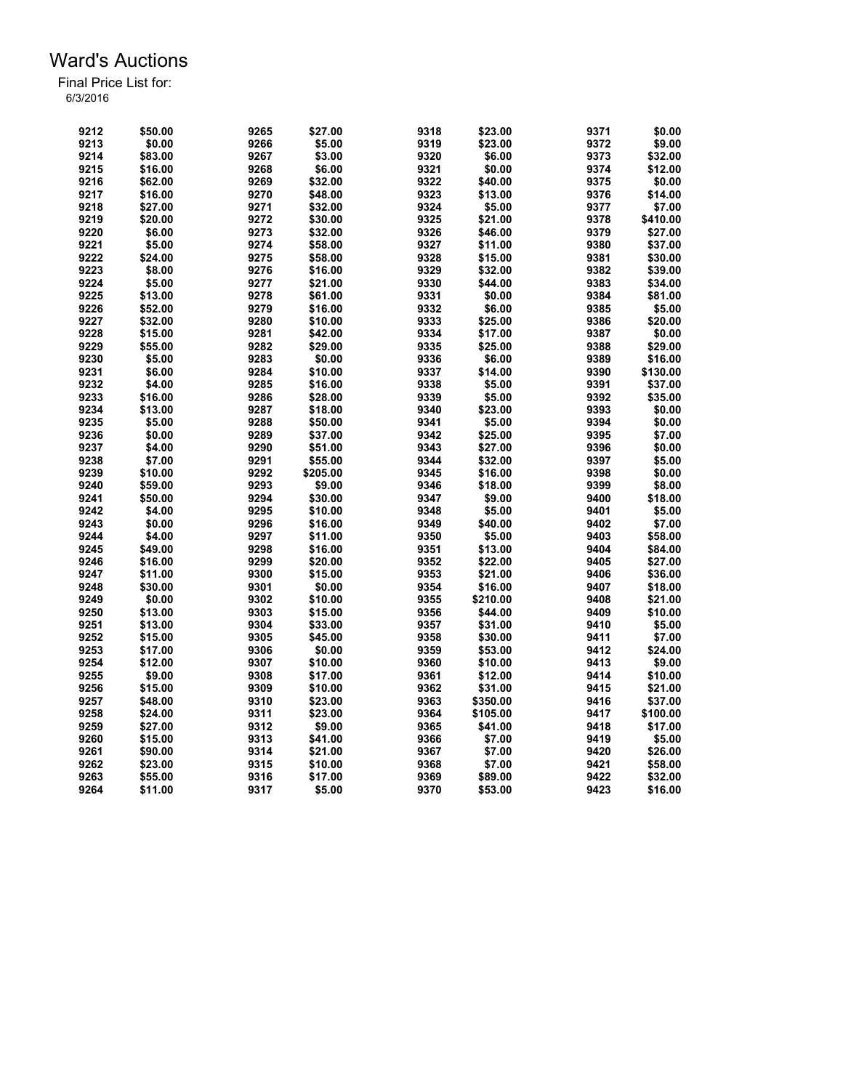| 9212 | \$50.00 | 9265 | \$27.00  | 9318 | \$23.00  | 9371 | \$0.00   |
|------|---------|------|----------|------|----------|------|----------|
| 9213 | \$0.00  | 9266 | \$5.00   | 9319 | \$23.00  | 9372 | \$9.00   |
| 9214 | \$83.00 | 9267 | \$3.00   | 9320 | \$6.00   | 9373 | \$32.00  |
| 9215 | \$16.00 | 9268 | \$6.00   | 9321 | \$0.00   | 9374 | \$12.00  |
| 9216 | \$62.00 | 9269 | \$32.00  | 9322 | \$40.00  | 9375 | \$0.00   |
| 9217 | \$16.00 | 9270 | \$48.00  | 9323 | \$13.00  | 9376 | \$14.00  |
| 9218 | \$27.00 | 9271 | \$32.00  | 9324 | \$5.00   | 9377 | \$7.00   |
| 9219 | \$20.00 | 9272 | \$30.00  | 9325 | \$21.00  | 9378 | \$410.00 |
| 9220 | \$6.00  | 9273 | \$32.00  | 9326 | \$46.00  | 9379 | \$27.00  |
| 9221 | \$5.00  | 9274 | \$58.00  | 9327 | \$11.00  | 9380 | \$37.00  |
| 9222 | \$24.00 | 9275 | \$58.00  | 9328 | \$15.00  | 9381 | \$30.00  |
| 9223 | \$8.00  | 9276 | \$16.00  | 9329 | \$32.00  | 9382 | \$39.00  |
| 9224 | \$5.00  | 9277 | \$21.00  | 9330 | \$44.00  | 9383 | \$34.00  |
| 9225 | \$13.00 | 9278 | \$61.00  | 9331 | \$0.00   | 9384 | \$81.00  |
| 9226 | \$52.00 | 9279 | \$16.00  | 9332 | \$6.00   | 9385 | \$5.00   |
| 9227 | \$32.00 | 9280 | \$10.00  | 9333 | \$25.00  | 9386 | \$20.00  |
| 9228 | \$15.00 | 9281 | \$42.00  | 9334 | \$17.00  | 9387 | \$0.00   |
| 9229 | \$55.00 | 9282 | \$29.00  | 9335 | \$25.00  | 9388 | \$29.00  |
| 9230 | \$5.00  | 9283 | \$0.00   | 9336 | \$6.00   | 9389 | \$16.00  |
| 9231 | \$6.00  | 9284 | \$10.00  | 9337 | \$14.00  | 9390 | \$130.00 |
| 9232 | \$4.00  | 9285 | \$16.00  | 9338 | \$5.00   | 9391 | \$37.00  |
| 9233 | \$16.00 | 9286 | \$28.00  | 9339 | \$5.00   | 9392 | \$35.00  |
| 9234 | \$13.00 | 9287 |          | 9340 |          | 9393 | \$0.00   |
|      |         |      | \$18.00  |      | \$23.00  |      |          |
| 9235 | \$5.00  | 9288 | \$50.00  | 9341 | \$5.00   | 9394 | \$0.00   |
| 9236 | \$0.00  | 9289 | \$37.00  | 9342 | \$25.00  | 9395 | \$7.00   |
| 9237 | \$4.00  | 9290 | \$51.00  | 9343 | \$27.00  | 9396 | \$0.00   |
| 9238 | \$7.00  | 9291 | \$55.00  | 9344 | \$32.00  | 9397 | \$5.00   |
| 9239 | \$10.00 | 9292 | \$205.00 | 9345 | \$16.00  | 9398 | \$0.00   |
| 9240 | \$59.00 | 9293 | \$9.00   | 9346 | \$18.00  | 9399 | \$8.00   |
| 9241 | \$50.00 | 9294 | \$30.00  | 9347 | \$9.00   | 9400 | \$18.00  |
| 9242 | \$4.00  | 9295 | \$10.00  | 9348 | \$5.00   | 9401 | \$5.00   |
| 9243 | \$0.00  | 9296 | \$16.00  | 9349 | \$40.00  | 9402 | \$7.00   |
| 9244 | \$4.00  | 9297 | \$11.00  | 9350 | \$5.00   | 9403 | \$58.00  |
| 9245 | \$49.00 | 9298 | \$16.00  | 9351 | \$13.00  | 9404 | \$84.00  |
| 9246 | \$16.00 | 9299 | \$20.00  | 9352 | \$22.00  | 9405 | \$27.00  |
| 9247 | \$11.00 | 9300 | \$15.00  | 9353 | \$21.00  | 9406 | \$36.00  |
| 9248 | \$30.00 | 9301 | \$0.00   | 9354 | \$16.00  | 9407 | \$18.00  |
| 9249 | \$0.00  | 9302 | \$10.00  | 9355 | \$210.00 | 9408 | \$21.00  |
| 9250 | \$13.00 | 9303 | \$15.00  | 9356 | \$44.00  | 9409 | \$10.00  |
| 9251 | \$13.00 | 9304 | \$33.00  | 9357 | \$31.00  | 9410 | \$5.00   |
| 9252 | \$15.00 | 9305 | \$45.00  | 9358 | \$30.00  | 9411 | \$7.00   |
| 9253 | \$17.00 | 9306 | \$0.00   | 9359 | \$53.00  | 9412 | \$24.00  |
| 9254 | \$12.00 | 9307 | \$10.00  | 9360 | \$10.00  | 9413 | \$9.00   |
| 9255 | \$9.00  | 9308 | \$17.00  | 9361 | \$12.00  | 9414 | \$10.00  |
| 9256 | \$15.00 | 9309 | \$10.00  | 9362 | \$31.00  | 9415 | \$21.00  |
| 9257 | \$48.00 | 9310 | \$23.00  | 9363 | \$350.00 | 9416 | \$37.00  |
| 9258 | \$24.00 | 9311 | \$23.00  | 9364 | \$105.00 | 9417 | \$100.00 |
| 9259 | \$27.00 | 9312 | \$9.00   | 9365 | \$41.00  | 9418 | \$17.00  |
| 9260 | \$15.00 | 9313 | \$41.00  | 9366 | \$7.00   | 9419 | \$5.00   |
| 9261 | \$90.00 | 9314 | \$21.00  | 9367 | \$7.00   | 9420 | \$26.00  |
| 9262 | \$23.00 | 9315 | \$10.00  | 9368 | \$7.00   | 9421 | \$58.00  |
| 9263 | \$55.00 | 9316 | \$17.00  | 9369 | \$89.00  | 9422 | \$32.00  |
| 9264 | \$11.00 | 9317 | \$5.00   | 9370 | \$53.00  | 9423 | \$16.00  |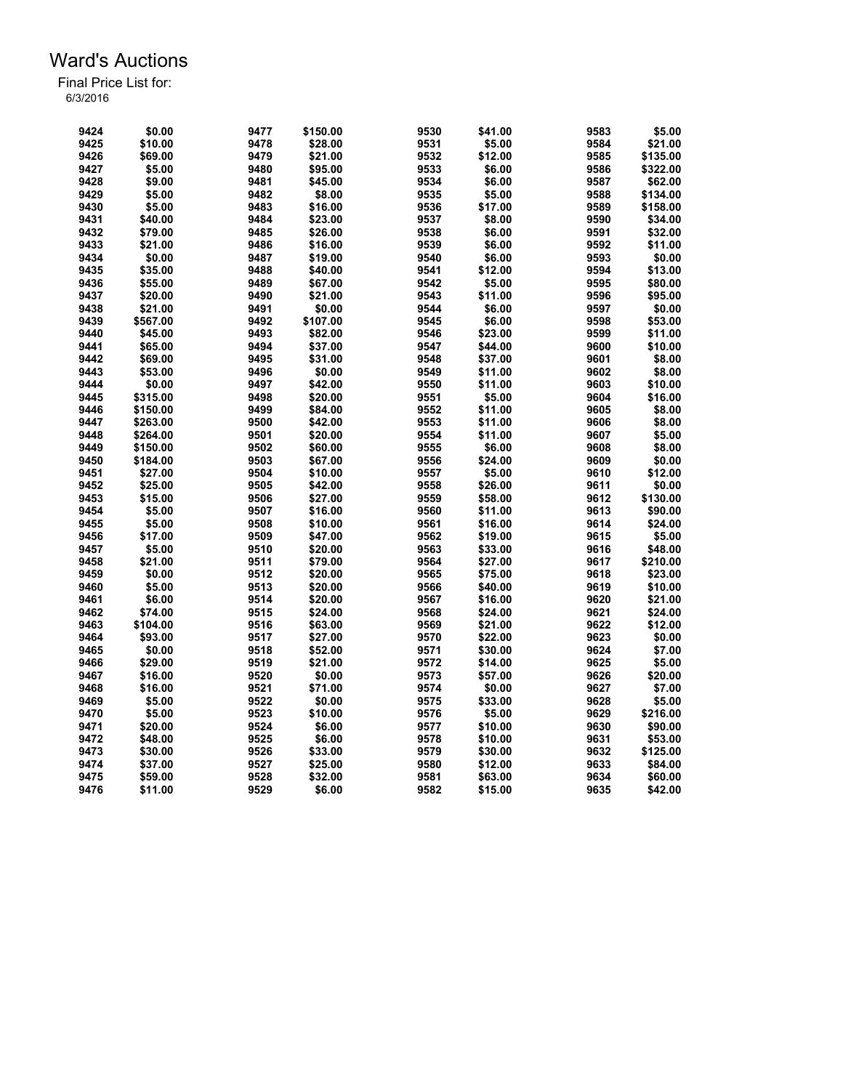| 9424 | \$0.00   | 9477 | \$150.00 | 9530 | \$41.00 | 9583 | \$5.00   |
|------|----------|------|----------|------|---------|------|----------|
| 9425 | \$10.00  | 9478 | \$28.00  | 9531 | \$5.00  | 9584 | \$21.00  |
| 9426 | \$69.00  | 9479 | \$21.00  | 9532 | \$12.00 | 9585 | \$135.00 |
| 9427 | \$5.00   | 9480 | \$95.00  | 9533 | \$6.00  | 9586 | \$322.00 |
| 9428 | \$9.00   | 9481 | \$45.00  | 9534 | \$6.00  | 9587 | \$62.00  |
| 9429 | \$5.00   | 9482 | \$8.00   | 9535 | \$5.00  | 9588 | \$134.00 |
| 9430 | \$5.00   | 9483 | \$16.00  | 9536 | \$17.00 | 9589 | \$158.00 |
| 9431 | \$40.00  | 9484 | \$23.00  | 9537 | \$8.00  | 9590 | \$34.00  |
| 9432 | \$79.00  | 9485 | \$26.00  | 9538 | \$6.00  | 9591 | \$32.00  |
| 9433 | \$21.00  | 9486 | \$16.00  | 9539 | \$6.00  | 9592 | \$11.00  |
| 9434 | \$0.00   | 9487 | \$19.00  | 9540 | \$6.00  | 9593 | \$0.00   |
| 9435 | \$35.00  | 9488 | \$40.00  | 9541 | \$12.00 | 9594 | \$13.00  |
| 9436 | \$55.00  | 9489 | \$67.00  | 9542 | \$5.00  | 9595 | \$80.00  |
| 9437 | \$20.00  | 9490 | \$21.00  | 9543 | \$11.00 | 9596 | \$95.00  |
| 9438 | \$21.00  | 9491 | \$0.00   | 9544 | \$6.00  | 9597 | \$0.00   |
| 9439 | \$567.00 | 9492 | \$107.00 | 9545 | \$6.00  | 9598 | \$53.00  |
| 9440 |          | 9493 | \$82.00  | 9546 | \$23.00 | 9599 | \$11.00  |
|      | \$45.00  |      |          |      |         |      |          |
| 9441 | \$65.00  | 9494 | \$37.00  | 9547 | \$44.00 | 9600 | \$10.00  |
| 9442 | \$69.00  | 9495 | \$31.00  | 9548 | \$37.00 | 9601 | \$8.00   |
| 9443 | \$53.00  | 9496 | \$0.00   | 9549 | \$11.00 | 9602 | \$8.00   |
| 9444 | \$0.00   | 9497 | \$42.00  | 9550 | \$11.00 | 9603 | \$10.00  |
| 9445 | \$315.00 | 9498 | \$20.00  | 9551 | \$5.00  | 9604 | \$16.00  |
| 9446 | \$150.00 | 9499 | \$84.00  | 9552 | \$11.00 | 9605 | \$8.00   |
| 9447 | \$263.00 | 9500 | \$42.00  | 9553 | \$11.00 | 9606 | \$8.00   |
| 9448 | \$264.00 | 9501 | \$20.00  | 9554 | \$11.00 | 9607 | \$5.00   |
| 9449 | \$150.00 | 9502 | \$60.00  | 9555 | \$6.00  | 9608 | \$8.00   |
| 9450 | \$184.00 | 9503 | \$67.00  | 9556 | \$24.00 | 9609 | \$0.00   |
| 9451 | \$27.00  | 9504 | \$10.00  | 9557 | \$5.00  | 9610 | \$12.00  |
| 9452 | \$25.00  | 9505 | \$42.00  | 9558 | \$26.00 | 9611 | \$0.00   |
| 9453 | \$15.00  | 9506 | \$27.00  | 9559 | \$58.00 | 9612 | \$130.00 |
| 9454 | \$5.00   | 9507 | \$16.00  | 9560 | \$11.00 | 9613 | \$90.00  |
| 9455 | \$5.00   | 9508 | \$10.00  | 9561 | \$16.00 | 9614 | \$24.00  |
| 9456 | \$17.00  | 9509 | \$47.00  | 9562 | \$19.00 | 9615 | \$5.00   |
| 9457 | \$5.00   | 9510 | \$20.00  | 9563 | \$33.00 | 9616 | \$48.00  |
| 9458 | \$21.00  | 9511 | \$79.00  | 9564 | \$27.00 | 9617 | \$210.00 |
| 9459 | \$0.00   | 9512 | \$20.00  | 9565 | \$75.00 | 9618 | \$23.00  |
| 9460 | \$5.00   | 9513 | \$20.00  | 9566 | \$40.00 | 9619 | \$10.00  |
| 9461 | \$6.00   | 9514 | \$20.00  | 9567 | \$16.00 | 9620 | \$21.00  |
| 9462 | \$74.00  | 9515 | \$24.00  | 9568 | \$24.00 | 9621 | \$24.00  |
|      |          | 9516 |          |      |         |      |          |
| 9463 | \$104.00 |      | \$63.00  | 9569 | \$21.00 | 9622 | \$12.00  |
| 9464 | \$93.00  | 9517 | \$27.00  | 9570 | \$22.00 | 9623 | \$0.00   |
| 9465 | \$0.00   | 9518 | \$52.00  | 9571 | \$30.00 | 9624 | \$7.00   |
| 9466 | \$29.00  | 9519 | \$21.00  | 9572 | \$14.00 | 9625 | \$5.00   |
| 9467 | \$16.00  | 9520 | \$0.00   | 9573 | \$57.00 | 9626 | \$20.00  |
| 9468 | \$16.00  | 9521 | \$71.00  | 9574 | \$0.00  | 9627 | \$7.00   |
| 9469 | \$5.00   | 9522 | \$0.00   | 9575 | \$33.00 | 9628 | \$5.00   |
| 9470 | \$5.00   | 9523 | \$10.00  | 9576 | \$5.00  | 9629 | \$216.00 |
| 9471 | \$20.00  | 9524 | \$6.00   | 9577 | \$10.00 | 9630 | \$90.00  |
| 9472 | \$48.00  | 9525 | \$6.00   | 9578 | \$10.00 | 9631 | \$53.00  |
| 9473 | \$30.00  | 9526 | \$33.00  | 9579 | \$30.00 | 9632 | \$125.00 |
| 9474 | \$37.00  | 9527 | \$25.00  | 9580 | \$12.00 | 9633 | \$84.00  |
| 9475 | \$59.00  | 9528 | \$32.00  | 9581 | \$63.00 | 9634 | \$60.00  |
| 9476 | \$11.00  | 9529 | \$6.00   | 9582 | \$15.00 | 9635 | \$42.00  |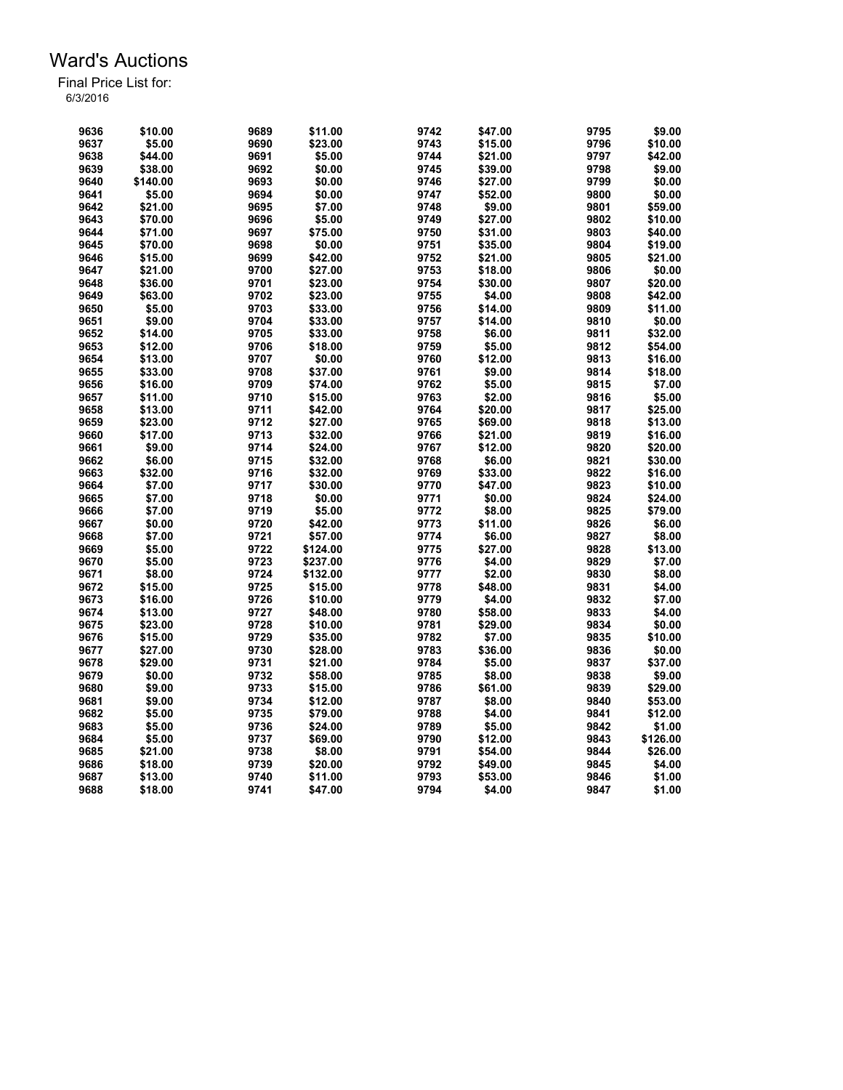| 9636 | \$10.00  | 9689 | \$11.00  | 9742 | \$47.00 | 9795 | \$9.00   |
|------|----------|------|----------|------|---------|------|----------|
| 9637 | \$5.00   | 9690 | \$23.00  | 9743 | \$15.00 | 9796 | \$10.00  |
| 9638 | \$44.00  | 9691 | \$5.00   | 9744 | \$21.00 | 9797 | \$42.00  |
| 9639 | \$38.00  | 9692 | \$0.00   | 9745 | \$39.00 | 9798 | \$9.00   |
| 9640 | \$140.00 | 9693 | \$0.00   | 9746 | \$27.00 | 9799 | \$0.00   |
| 9641 | \$5.00   | 9694 | \$0.00   | 9747 | \$52.00 | 9800 | \$0.00   |
| 9642 | \$21.00  | 9695 | \$7.00   | 9748 | \$9.00  | 9801 | \$59.00  |
| 9643 | \$70.00  | 9696 | \$5.00   | 9749 | \$27.00 | 9802 | \$10.00  |
| 9644 | \$71.00  | 9697 | \$75.00  | 9750 | \$31.00 | 9803 | \$40.00  |
| 9645 | \$70.00  | 9698 | \$0.00   | 9751 | \$35.00 | 9804 | \$19.00  |
| 9646 | \$15.00  | 9699 | \$42.00  | 9752 | \$21.00 | 9805 | \$21.00  |
| 9647 | \$21.00  | 9700 | \$27.00  | 9753 | \$18.00 | 9806 | \$0.00   |
| 9648 | \$36.00  | 9701 | \$23.00  | 9754 | \$30.00 | 9807 | \$20.00  |
| 9649 | \$63.00  | 9702 | \$23.00  | 9755 | \$4.00  | 9808 | \$42.00  |
| 9650 | \$5.00   | 9703 | \$33.00  | 9756 | \$14.00 | 9809 | \$11.00  |
| 9651 | \$9.00   | 9704 | \$33.00  | 9757 | \$14.00 | 9810 | \$0.00   |
| 9652 | \$14.00  | 9705 | \$33.00  | 9758 | \$6.00  | 9811 | \$32.00  |
| 9653 | \$12.00  | 9706 | \$18.00  | 9759 | \$5.00  | 9812 | \$54.00  |
|      |          |      |          |      |         |      |          |
| 9654 | \$13.00  | 9707 | \$0.00   | 9760 | \$12.00 | 9813 | \$16.00  |
| 9655 | \$33.00  | 9708 | \$37.00  | 9761 | \$9.00  | 9814 | \$18.00  |
| 9656 | \$16.00  | 9709 | \$74.00  | 9762 | \$5.00  | 9815 | \$7.00   |
| 9657 | \$11.00  | 9710 | \$15.00  | 9763 | \$2.00  | 9816 | \$5.00   |
| 9658 | \$13.00  | 9711 | \$42.00  | 9764 | \$20.00 | 9817 | \$25.00  |
| 9659 | \$23.00  | 9712 | \$27.00  | 9765 | \$69.00 | 9818 | \$13.00  |
| 9660 | \$17.00  | 9713 | \$32.00  | 9766 | \$21.00 | 9819 | \$16.00  |
| 9661 | \$9.00   | 9714 | \$24.00  | 9767 | \$12.00 | 9820 | \$20.00  |
| 9662 | \$6.00   | 9715 | \$32.00  | 9768 | \$6.00  | 9821 | \$30.00  |
| 9663 | \$32.00  | 9716 | \$32.00  | 9769 | \$33.00 | 9822 | \$16.00  |
| 9664 | \$7.00   | 9717 | \$30.00  | 9770 | \$47.00 | 9823 | \$10.00  |
| 9665 | \$7.00   | 9718 | \$0.00   | 9771 | \$0.00  | 9824 | \$24.00  |
| 9666 | \$7.00   | 9719 | \$5.00   | 9772 | \$8.00  | 9825 | \$79.00  |
| 9667 | \$0.00   | 9720 | \$42.00  | 9773 | \$11.00 | 9826 | \$6.00   |
| 9668 | \$7.00   | 9721 | \$57.00  | 9774 | \$6.00  | 9827 | \$8.00   |
| 9669 | \$5.00   | 9722 | \$124.00 | 9775 | \$27.00 | 9828 | \$13.00  |
| 9670 | \$5.00   | 9723 | \$237.00 | 9776 | \$4.00  | 9829 | \$7.00   |
| 9671 | \$8.00   | 9724 | \$132.00 | 9777 | \$2.00  | 9830 | \$8.00   |
| 9672 | \$15.00  | 9725 | \$15.00  | 9778 | \$48.00 | 9831 | \$4.00   |
| 9673 | \$16.00  | 9726 | \$10.00  | 9779 | \$4.00  | 9832 | \$7.00   |
| 9674 | \$13.00  | 9727 | \$48.00  | 9780 | \$58.00 | 9833 | \$4.00   |
| 9675 | \$23.00  | 9728 | \$10.00  | 9781 | \$29.00 | 9834 | \$0.00   |
| 9676 | \$15.00  | 9729 | \$35.00  | 9782 | \$7.00  | 9835 | \$10.00  |
| 9677 | \$27.00  | 9730 | \$28.00  | 9783 | \$36.00 | 9836 | \$0.00   |
| 9678 | \$29.00  | 9731 | \$21.00  | 9784 | \$5.00  | 9837 | \$37.00  |
| 9679 | \$0.00   | 9732 | \$58.00  | 9785 | \$8.00  | 9838 | \$9.00   |
| 9680 | \$9.00   | 9733 | \$15.00  | 9786 | \$61.00 | 9839 | \$29.00  |
| 9681 | \$9.00   | 9734 | \$12.00  | 9787 | \$8.00  | 9840 | \$53.00  |
| 9682 | \$5.00   | 9735 | \$79.00  | 9788 | \$4.00  | 9841 | \$12.00  |
| 9683 | \$5.00   | 9736 | \$24.00  | 9789 | \$5.00  | 9842 | \$1.00   |
| 9684 | \$5.00   | 9737 | \$69.00  | 9790 | \$12.00 | 9843 | \$126.00 |
| 9685 | \$21.00  | 9738 | \$8.00   | 9791 | \$54.00 | 9844 | \$26.00  |
| 9686 | \$18.00  | 9739 | \$20.00  | 9792 | \$49.00 | 9845 | \$4.00   |
| 9687 | \$13.00  | 9740 | \$11.00  | 9793 | \$53.00 | 9846 | \$1.00   |
| 9688 | \$18.00  | 9741 | \$47.00  | 9794 | \$4.00  | 9847 | \$1.00   |
|      |          |      |          |      |         |      |          |